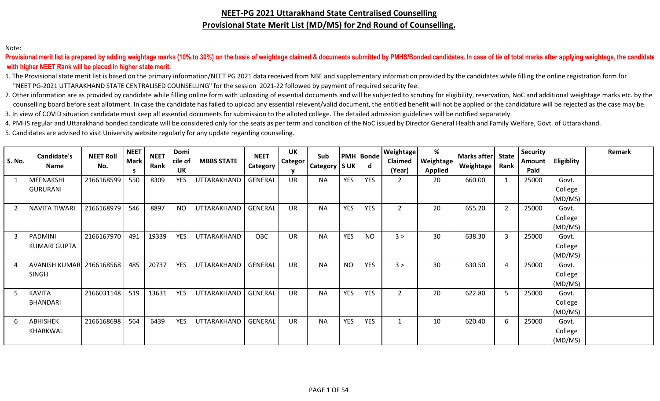### **NEET-PG 2021 Uttarakhand State Centralised Counselling Provisional State Merit List (MD/MS) for 2nd Round of Counselling.**

### Note:

 **with higher NEET Rank will be placed in higher state merit.** Provisional merit list is prepared by adding weightage marks (10% to 30%) on the basis of weightage claimed & documents submitted by PMHS/Bonded candidates. In case of tie of total marks after applying weightage, the candi

1. The Provisional state merit list is based on the primary information/NEET PG 2021 data received from NBE and supplementary information provided by the candidates while filling the online registration form for "NEET PG-2021 UTTARAKHAND STATE CENTRALISED COUNSELLING" for the session 2021-22 followed by payment of required security fee.

2. Other information are as provided by candidate while filling online form with uploading of essential documents and will be subjected to scrutiny for eligibility, reservation, NoC and additional weightage marks etc. by t counselling board before seat allotment. In case the candidate has failed to upload any essential relevent/valid document, the entitled benefit will not be applied or the candidature will be rejected as the case may be. 3. In view of COVID situation candidate must keep all essential documents for submission to the alloted college. The detailed admission guidelines will be notified separately.

4. PMHS regular and Uttarakhand bonded candidate will be considered only for the seats as per term and condition of the NoC issued by Director General Health and Family Welfare, Govt. of Uttarakhand.

5. Candidates are advised to visit University website regularly for any update regarding counseling.

|               | Candidate's                     | <b>NEET Roll</b> | <b>NEET</b>       | <b>NEET</b> | Domi                 |                   | <b>NEET</b>    | <b>UK</b>      | Sub       |            | <b>PMH</b> Bonde | Weightage         | $\%$                        | <b>Marks after</b> | <b>State</b> | <b>Security</b>       |            | Remark |
|---------------|---------------------------------|------------------|-------------------|-------------|----------------------|-------------------|----------------|----------------|-----------|------------|------------------|-------------------|-----------------------------|--------------------|--------------|-----------------------|------------|--------|
| <b>S. No.</b> | <b>Name</b>                     | No.              | <b>Mark</b><br>-S | Rank        | cile of<br><b>UK</b> | <b>MBBS STATE</b> | Category       | <b>Categor</b> | Category  | <b>SUK</b> | d                | Claimed<br>(Year) | Weightage<br><b>Applied</b> | Weightage          | Rank         | <b>Amount</b><br>Paid | Eligiblity |        |
|               | <b>MEENAKSHI</b>                | 2166168599       | 550               | 8309        | <b>YES</b>           | UTTARAKHAND       | <b>GENERAL</b> | <b>UR</b>      | <b>NA</b> | <b>YES</b> | <b>YES</b>       | $\overline{2}$    | 20                          | 660.00             | $\mathbf{1}$ | 25000                 | Govt.      |        |
|               | <b>GURURANI</b>                 |                  |                   |             |                      |                   |                |                |           |            |                  |                   |                             |                    |              |                       | College    |        |
|               |                                 |                  |                   |             |                      |                   |                |                |           |            |                  |                   |                             |                    |              |                       | (MD/MS)    |        |
|               | <b>NAVITA TIWARI</b>            | 2166168979       | 546               | 8897        | <b>NO</b>            | UTTARAKHAND       | GENERAL        | <b>UR</b>      | <b>NA</b> | <b>YES</b> | <b>YES</b>       | $\overline{2}$    | 20                          | 655.20             | 2            | 25000                 | Govt.      |        |
|               |                                 |                  |                   |             |                      |                   |                |                |           |            |                  |                   |                             |                    |              |                       | College    |        |
|               |                                 |                  |                   |             |                      |                   |                |                |           |            |                  |                   |                             |                    |              |                       | (MD/MS)    |        |
| 3             | PADMINI                         | 2166167970       | 491               | 19339       | <b>YES</b>           | UTTARAKHAND       | <b>OBC</b>     | <b>UR</b>      | <b>NA</b> | <b>YES</b> | <b>NO</b>        | 3 >               | 30                          | 638.30             | 3            | 25000                 | Govt.      |        |
|               | <b>KUMARI GUPTA</b>             |                  |                   |             |                      |                   |                |                |           |            |                  |                   |                             |                    |              |                       | College    |        |
|               |                                 |                  |                   |             |                      |                   |                |                |           |            |                  |                   |                             |                    |              |                       | (MD/MS)    |        |
| 4             | <b>AVANISH KUMAR 2166168568</b> |                  | 485               | 20737       | <b>YES</b>           | UTTARAKHAND       | GENERAL        | <b>UR</b>      | <b>NA</b> | <b>NO</b>  | <b>YES</b>       | 3 >               | 30                          | 630.50             | 4            | 25000                 | Govt.      |        |
|               | <b>SINGH</b>                    |                  |                   |             |                      |                   |                |                |           |            |                  |                   |                             |                    |              |                       | College    |        |
|               |                                 |                  |                   |             |                      |                   |                |                |           |            |                  |                   |                             |                    |              |                       | (MD/MS)    |        |
|               | <b>KAVITA</b>                   | 2166031148       | 519               | 13631       | <b>YES</b>           | UTTARAKHAND       | <b>GENERAL</b> | <b>UR</b>      | <b>NA</b> | <b>YES</b> | <b>YES</b>       | $\overline{2}$    | 20                          | 622.80             | 5            | 25000                 | Govt.      |        |
|               | <b>BHANDARI</b>                 |                  |                   |             |                      |                   |                |                |           |            |                  |                   |                             |                    |              |                       | College    |        |
|               |                                 |                  |                   |             |                      |                   |                |                |           |            |                  |                   |                             |                    |              |                       | (MD/MS)    |        |
| b             | <b>ABHISHEK</b>                 | 2166168698       | 564               | 6439        | <b>YES</b>           | UTTARAKHAND       | <b>GENERAL</b> | <b>UR</b>      | <b>NA</b> | <b>YES</b> | <b>YES</b>       | $\mathbf{1}$      | 10                          | 620.40             | 6            | 25000                 | Govt.      |        |
|               | KHARKWAL                        |                  |                   |             |                      |                   |                |                |           |            |                  |                   |                             |                    |              |                       | College    |        |
|               |                                 |                  |                   |             |                      |                   |                |                |           |            |                  |                   |                             |                    |              |                       | (MD/MS)    |        |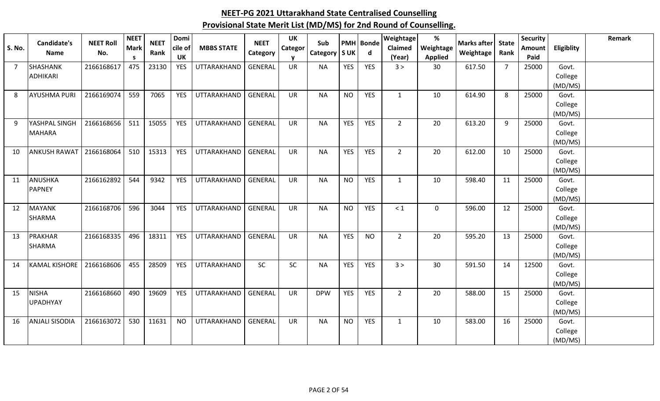| S. No.         | <b>Candidate's</b><br><b>Name</b>  | <b>NEET Roll</b><br>No. | <b>NEET</b><br><b>Mark</b> | <b>NEET</b><br>Rank | Domi<br>cile of | <b>MBBS STATE</b> | <b>NEET</b><br>Category | <b>UK</b><br>Categor | Sub<br>Category   S UK |            | <b>PMH</b> Bonde<br>d | Weightage<br>Claimed | $\%$<br>Weightage | <b>Marks after</b><br>Weightage | <b>State</b><br>Rank | <b>Security</b><br>Amount | Eligiblity         | Remark |
|----------------|------------------------------------|-------------------------|----------------------------|---------------------|-----------------|-------------------|-------------------------|----------------------|------------------------|------------|-----------------------|----------------------|-------------------|---------------------------------|----------------------|---------------------------|--------------------|--------|
|                |                                    |                         | -S                         |                     | <b>UK</b>       |                   |                         | <b>V</b>             |                        |            |                       | (Year)               | <b>Applied</b>    |                                 |                      | Paid                      |                    |        |
| $\overline{7}$ | <b>SHASHANK</b><br><b>ADHIKARI</b> | 2166168617              | 475                        | 23130               | <b>YES</b>      | UTTARAKHAND       | <b>GENERAL</b>          | <b>UR</b>            | <b>NA</b>              | <b>YES</b> | <b>YES</b>            | 3 >                  | 30                | 617.50                          | $\overline{7}$       | 25000                     | Govt.<br>College   |        |
|                |                                    |                         |                            |                     |                 |                   |                         |                      |                        |            |                       |                      |                   |                                 |                      |                           | (MD/MS)            |        |
| 8              | <b>AYUSHMA PURI</b>                | 2166169074              | 559                        | 7065                | <b>YES</b>      | UTTARAKHAND       | GENERAL                 | <b>UR</b>            | <b>NA</b>              | <b>NO</b>  | YES                   | 1                    | 10                | 614.90                          | 8                    | 25000                     | Govt.              |        |
|                |                                    |                         |                            |                     |                 |                   |                         |                      |                        |            |                       |                      |                   |                                 |                      |                           | College            |        |
|                |                                    |                         |                            |                     |                 |                   |                         |                      |                        |            |                       |                      |                   |                                 |                      |                           | (MD/MS)            |        |
| 9              | YASHPAL SINGH                      | 2166168656              | 511                        | 15055               | YES             | UTTARAKHAND       | <b>GENERAL</b>          | <b>UR</b>            | <b>NA</b>              | <b>YES</b> | <b>YES</b>            | $\overline{2}$       | 20                | 613.20                          | 9                    | 25000                     | Govt.              |        |
|                | <b>MAHARA</b>                      |                         |                            |                     |                 |                   |                         |                      |                        |            |                       |                      |                   |                                 |                      |                           | College            |        |
|                |                                    |                         |                            |                     |                 |                   |                         |                      |                        |            |                       |                      |                   |                                 |                      |                           | (MD/MS)            |        |
| 10             | <b>ANKUSH RAWAT</b>                | 2166168064              | 510                        | 15313               | YES             | UTTARAKHAND       | GENERAL                 | <b>UR</b>            | <b>NA</b>              | <b>YES</b> | YES                   | $\overline{2}$       | 20                | 612.00                          | 10                   | 25000                     | Govt.              |        |
|                |                                    |                         |                            |                     |                 |                   |                         |                      |                        |            |                       |                      |                   |                                 |                      |                           | College            |        |
|                | ANUSHKA                            | 2166162892              | 544                        | 9342                | <b>YES</b>      | UTTARAKHAND       | <b>GENERAL</b>          | <b>UR</b>            | <b>NA</b>              | <b>NO</b>  | YES                   | 1                    | 10                | 598.40                          |                      | 25000                     | (MD/MS)<br>Govt.   |        |
| 11             | <b>PAPNEY</b>                      |                         |                            |                     |                 |                   |                         |                      |                        |            |                       |                      |                   |                                 | 11                   |                           | College            |        |
|                |                                    |                         |                            |                     |                 |                   |                         |                      |                        |            |                       |                      |                   |                                 |                      |                           | (MD/MS)            |        |
| 12             | <b>MAYANK</b>                      | 2166168706              | 596                        | 3044                | <b>YES</b>      | UTTARAKHAND       | GENERAL                 | <b>UR</b>            | <b>NA</b>              | <b>NO</b>  | <b>YES</b>            | $\leq 1$             | $\mathbf 0$       | 596.00                          | 12                   | 25000                     | Govt.              |        |
|                | <b>SHARMA</b>                      |                         |                            |                     |                 |                   |                         |                      |                        |            |                       |                      |                   |                                 |                      |                           | College            |        |
|                |                                    |                         |                            |                     |                 |                   |                         |                      |                        |            |                       |                      |                   |                                 |                      |                           | (MD/MS)            |        |
| 13             | PRAKHAR                            | 2166168335              | 496                        | 18311               | <b>YES</b>      | UTTARAKHAND       | <b>GENERAL</b>          | <b>UR</b>            | <b>NA</b>              | <b>YES</b> | <b>NO</b>             | $\overline{2}$       | 20                | 595.20                          | 13                   | 25000                     | Govt.              |        |
|                | <b>SHARMA</b>                      |                         |                            |                     |                 |                   |                         |                      |                        |            |                       |                      |                   |                                 |                      |                           | College            |        |
|                |                                    |                         |                            |                     |                 |                   |                         |                      |                        |            |                       |                      |                   |                                 |                      |                           | (MD/MS)            |        |
| 14             | <b>KAMAL KISHORE</b>               | 2166168606              | 455                        | 28509               | YES             | UTTARAKHAND       | <b>SC</b>               | SC                   | <b>NA</b>              | <b>YES</b> | <b>YES</b>            | 3 >                  | 30                | 591.50                          | 14                   | 12500                     | Govt.              |        |
|                |                                    |                         |                            |                     |                 |                   |                         |                      |                        |            |                       |                      |                   |                                 |                      |                           | College            |        |
|                |                                    |                         |                            |                     |                 |                   |                         |                      |                        |            |                       |                      |                   |                                 |                      |                           | (MD/MS)            |        |
| 15             | <b>NISHA</b>                       | 2166168660              | 490                        | 19609               | <b>YES</b>      | UTTARAKHAND       | <b>GENERAL</b>          | <b>UR</b>            | <b>DPW</b>             | <b>YES</b> | <b>YES</b>            | $\overline{2}$       | 20                | 588.00                          | 15                   | 25000                     | Govt.              |        |
|                | <b>UPADHYAY</b>                    |                         |                            |                     |                 |                   |                         |                      |                        |            |                       |                      |                   |                                 |                      |                           | College<br>(MD/MS) |        |
| 16             | <b>ANJALI SISODIA</b>              | 2166163072              | 530                        | 11631               | <b>NO</b>       | UTTARAKHAND       | GENERAL                 | <b>UR</b>            | <b>NA</b>              | <b>NO</b>  | <b>YES</b>            | 1                    | 10                | 583.00                          | 16                   | 25000                     | Govt.              |        |
|                |                                    |                         |                            |                     |                 |                   |                         |                      |                        |            |                       |                      |                   |                                 |                      |                           | College            |        |
|                |                                    |                         |                            |                     |                 |                   |                         |                      |                        |            |                       |                      |                   |                                 |                      |                           | (MD/MS)            |        |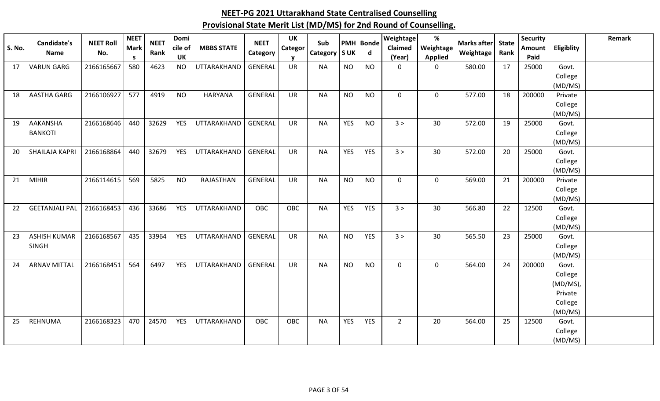| <b>S. No.</b> | <b>Candidate's</b><br><b>Name</b>   | <b>NEET Roll</b><br>No. | <b>NEET</b><br><b>Mark</b><br><b>S</b> | <b>NEET</b><br>Rank | Domi<br>cile of<br>UK | <b>MBBS STATE</b> | <b>NEET</b><br>Category | <b>UK</b><br>Categor<br>v | Sub<br>Category   S UK |            | <b>PMH</b> Bonde<br>d | Weightage<br>Claimed<br>(Year) | %<br>Weightage<br><b>Applied</b> | <b>Marks after</b><br>Weightage | <b>State</b><br>Rank | <b>Security</b><br><b>Amount</b><br>Paid | Eligiblity                                                    | Remark |
|---------------|-------------------------------------|-------------------------|----------------------------------------|---------------------|-----------------------|-------------------|-------------------------|---------------------------|------------------------|------------|-----------------------|--------------------------------|----------------------------------|---------------------------------|----------------------|------------------------------------------|---------------------------------------------------------------|--------|
| 17            | <b>VARUN GARG</b>                   | 2166165667              | 580                                    | 4623                | <b>NO</b>             | UTTARAKHAND       | GENERAL                 | <b>UR</b>                 | <b>NA</b>              | <b>NO</b>  | <b>NO</b>             | $\Omega$                       | 0                                | 580.00                          | 17                   | 25000                                    | Govt.<br>College<br>(MD/MS)                                   |        |
| 18            | <b>AASTHA GARG</b>                  | 2166106927              | 577                                    | 4919                | <b>NO</b>             | <b>HARYANA</b>    | <b>GENERAL</b>          | <b>UR</b>                 | <b>NA</b>              | <b>NO</b>  | <b>NO</b>             | $\mathbf 0$                    | $\mathbf 0$                      | 577.00                          | 18                   | 200000                                   | Private<br>College<br>(MD/MS)                                 |        |
| 19            | AAKANSHA<br><b>BANKOTI</b>          | 2166168646              | 440                                    | 32629               | <b>YES</b>            | UTTARAKHAND       | <b>GENERAL</b>          | <b>UR</b>                 | <b>NA</b>              | <b>YES</b> | <b>NO</b>             | 3 >                            | 30                               | 572.00                          | 19                   | 25000                                    | Govt.<br>College<br>(MD/MS)                                   |        |
| 20            | <b>SHAILAJA KAPRI</b>               | 2166168864              | 440                                    | 32679               | <b>YES</b>            | UTTARAKHAND       | <b>GENERAL</b>          | <b>UR</b>                 | <b>NA</b>              | <b>YES</b> | <b>YES</b>            | 3 >                            | 30                               | 572.00                          | 20                   | 25000                                    | Govt.<br>College<br>(MD/MS)                                   |        |
| 21            | <b>MIHIR</b>                        | 2166114615              | 569                                    | 5825                | <b>NO</b>             | RAJASTHAN         | <b>GENERAL</b>          | <b>UR</b>                 | <b>NA</b>              | <b>NO</b>  | <b>NO</b>             | $\mathbf 0$                    | $\mathbf 0$                      | 569.00                          | 21                   | 200000                                   | Private<br>College<br>(MD/MS)                                 |        |
| 22            | <b>GEETANJALI PAL</b>               | 2166168453              | 436                                    | 33686               | <b>YES</b>            | UTTARAKHAND       | <b>OBC</b>              | OBC                       | <b>NA</b>              | <b>YES</b> | <b>YES</b>            | 3 >                            | 30                               | 566.80                          | 22                   | 12500                                    | Govt.<br>College<br>(MD/MS)                                   |        |
| 23            | <b>ASHISH KUMAR</b><br><b>SINGH</b> | 2166168567              | 435                                    | 33964               | <b>YES</b>            | UTTARAKHAND       | <b>GENERAL</b>          | <b>UR</b>                 | <b>NA</b>              | <b>NO</b>  | <b>YES</b>            | 3 >                            | 30                               | 565.50                          | 23                   | 25000                                    | Govt.<br>College<br>(MD/MS)                                   |        |
| 24            | <b>ARNAV MITTAL</b>                 | 2166168451              | 564                                    | 6497                | <b>YES</b>            | UTTARAKHAND       | <b>GENERAL</b>          | <b>UR</b>                 | <b>NA</b>              | <b>NO</b>  | <b>NO</b>             | $\mathbf 0$                    | $\mathbf 0$                      | 564.00                          | 24                   | 200000                                   | Govt.<br>College<br>(MD/MS),<br>Private<br>College<br>(MD/MS) |        |
| 25            | <b>REHNUMA</b>                      | 2166168323              | 470                                    | 24570               | <b>YES</b>            | UTTARAKHAND       | <b>OBC</b>              | OBC                       | <b>NA</b>              | <b>YES</b> | <b>YES</b>            | $\overline{2}$                 | 20                               | 564.00                          | 25                   | 12500                                    | Govt.<br>College<br>(MD/MS)                                   |        |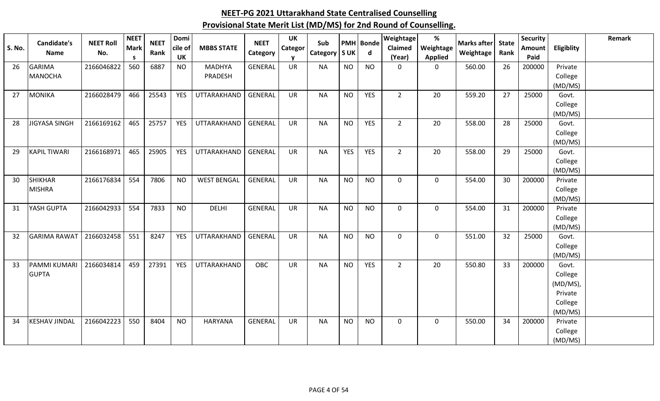| <b>S. No.</b> | <b>Candidate's</b>                  | <b>NEET Roll</b> | <b>NEET</b><br><b>Mark</b> | <b>NEET</b> | Domi<br>cile of | <b>MBBS STATE</b>  | <b>NEET</b>    | UK<br>Categor | Sub             |            | <b>PMH</b> Bonde | <b>Weightage</b><br>Claimed | $\%$<br>Weightage | <b>Marks after</b> | <b>State</b> | <b>Security</b><br>Amount | Eligiblity          | Remark |
|---------------|-------------------------------------|------------------|----------------------------|-------------|-----------------|--------------------|----------------|---------------|-----------------|------------|------------------|-----------------------------|-------------------|--------------------|--------------|---------------------------|---------------------|--------|
|               | Name                                | No.              | <b>S</b>                   | Rank        | UK              |                    | Category       |               | Category   S UK |            | d                | (Year)                      | <b>Applied</b>    | Weightage          | Rank         | Paid                      |                     |        |
| 26            | <b>GARIMA</b>                       | 2166046822       | 560                        | 6887        | <b>NO</b>       | <b>MADHYA</b>      | <b>GENERAL</b> | UR            | <b>NA</b>       | <b>NO</b>  | <b>NO</b>        | $\Omega$                    | 0                 | 560.00             | 26           | 200000                    | Private             |        |
|               | <b>MANOCHA</b>                      |                  |                            |             |                 | <b>PRADESH</b>     |                |               |                 |            |                  |                             |                   |                    |              |                           | College             |        |
|               |                                     |                  |                            |             |                 |                    |                |               |                 |            |                  |                             |                   |                    |              |                           | (MD/MS)             |        |
| 27            | <b>MONIKA</b>                       | 2166028479       | 466                        | 25543       | <b>YES</b>      | UTTARAKHAND        | GENERAL        | <b>UR</b>     | <b>NA</b>       | <b>NO</b>  | YES              | $\overline{2}$              | 20                | 559.20             | 27           | 25000                     | Govt.<br>College    |        |
|               |                                     |                  |                            |             |                 |                    |                |               |                 |            |                  |                             |                   |                    |              |                           | (MD/MS)             |        |
| 28            | <b>JIGYASA SINGH</b>                | 2166169162       | 465                        | 25757       | <b>YES</b>      | UTTARAKHAND        | <b>GENERAL</b> | <b>UR</b>     | <b>NA</b>       | <b>NO</b>  | YES              | $\overline{2}$              | 20                | 558.00             | 28           | 25000                     | Govt.               |        |
|               |                                     |                  |                            |             |                 |                    |                |               |                 |            |                  |                             |                   |                    |              |                           | College             |        |
|               |                                     |                  |                            |             |                 |                    |                |               |                 |            |                  |                             |                   |                    |              |                           | (MD/MS)             |        |
| 29            | <b>KAPIL TIWARI</b>                 | 2166168971       | 465                        | 25905       | <b>YES</b>      | UTTARAKHAND        | <b>GENERAL</b> | UR            | <b>NA</b>       | <b>YES</b> | YES              | $\overline{2}$              | 20                | 558.00             | 29           | 25000                     | Govt.               |        |
|               |                                     |                  |                            |             |                 |                    |                |               |                 |            |                  |                             |                   |                    |              |                           | College             |        |
|               |                                     |                  |                            |             |                 |                    |                |               |                 |            |                  |                             |                   |                    |              |                           | (MD/MS)             |        |
| 30            | <b>SHIKHAR</b>                      | 2166176834       | 554                        | 7806        | <b>NO</b>       | <b>WEST BENGAL</b> | <b>GENERAL</b> | <b>UR</b>     | <b>NA</b>       | <b>NO</b>  | <b>NO</b>        | $\mathbf 0$                 | $\mathbf 0$       | 554.00             | 30           | 200000                    | Private             |        |
|               | <b>MISHRA</b>                       |                  |                            |             |                 |                    |                |               |                 |            |                  |                             |                   |                    |              |                           | College<br>(MD/MS)  |        |
| 31            | YASH GUPTA                          | 2166042933       | 554                        | 7833        | <b>NO</b>       | <b>DELHI</b>       | GENERAL        | <b>UR</b>     | <b>NA</b>       | <b>NO</b>  | <b>NO</b>        | $\mathbf 0$                 | $\mathbf 0$       | 554.00             | 31           | 200000                    | Private             |        |
|               |                                     |                  |                            |             |                 |                    |                |               |                 |            |                  |                             |                   |                    |              |                           | College             |        |
|               |                                     |                  |                            |             |                 |                    |                |               |                 |            |                  |                             |                   |                    |              |                           | (MD/MS)             |        |
| 32            | <b>GARIMA RAWAT</b>                 | 2166032458       | 551                        | 8247        | <b>YES</b>      | UTTARAKHAND        | <b>GENERAL</b> | UR            | <b>NA</b>       | <b>NO</b>  | <b>NO</b>        | $\mathbf 0$                 | $\mathbf 0$       | 551.00             | 32           | 25000                     | Govt.               |        |
|               |                                     |                  |                            |             |                 |                    |                |               |                 |            |                  |                             |                   |                    |              |                           | College             |        |
|               |                                     |                  |                            |             |                 |                    |                |               |                 |            |                  |                             |                   |                    |              |                           | (MD/MS)             |        |
| 33            | <b>PAMMI KUMARI</b><br><b>GUPTA</b> | 2166034814       | 459                        | 27391       | <b>YES</b>      | UTTARAKHAND        | OBC            | UR            | <b>NA</b>       | <b>NO</b>  | YES              | $\overline{2}$              | 20                | 550.80             | 33           | 200000                    | Govt.               |        |
|               |                                     |                  |                            |             |                 |                    |                |               |                 |            |                  |                             |                   |                    |              |                           | College<br>(MD/MS), |        |
|               |                                     |                  |                            |             |                 |                    |                |               |                 |            |                  |                             |                   |                    |              |                           | Private             |        |
|               |                                     |                  |                            |             |                 |                    |                |               |                 |            |                  |                             |                   |                    |              |                           | College             |        |
|               |                                     |                  |                            |             |                 |                    |                |               |                 |            |                  |                             |                   |                    |              |                           | (MD/MS)             |        |
| 34            | <b>KESHAV JINDAL</b>                | 2166042223       | 550                        | 8404        | <b>NO</b>       | HARYANA            | <b>GENERAL</b> | <b>UR</b>     | <b>NA</b>       | <b>NO</b>  | <b>NO</b>        | 0                           | 0                 | 550.00             | 34           | 200000                    | Private             |        |
|               |                                     |                  |                            |             |                 |                    |                |               |                 |            |                  |                             |                   |                    |              |                           | College             |        |
|               |                                     |                  |                            |             |                 |                    |                |               |                 |            |                  |                             |                   |                    |              |                           | (MD/MS)             |        |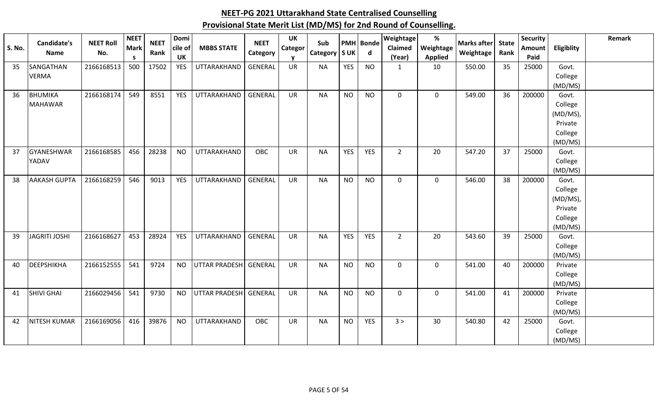| <b>S. No.</b> | Candidate's<br><b>Name</b>       | <b>NEET Roll</b><br>No. | <b>NEET</b><br><b>Mark</b><br>S. | <b>NEET</b><br>Rank | Domi<br>cile of<br><b>UK</b> | <b>MBBS STATE</b>    | <b>NEET</b><br>Category | <b>UK</b><br>Categor<br><b>V</b> | Sub<br>Category   S UK |            | <b>PMH</b> Bonde<br>$\mathbf d$ | Weightage<br>Claimed<br>(Year) | $\%$<br>Weightage<br><b>Applied</b> | <b>Marks after</b><br>Weightage | <b>State</b><br>Rank | <b>Security</b><br><b>Amount</b><br>Paid | Eligiblity                                                    | Remark |
|---------------|----------------------------------|-------------------------|----------------------------------|---------------------|------------------------------|----------------------|-------------------------|----------------------------------|------------------------|------------|---------------------------------|--------------------------------|-------------------------------------|---------------------------------|----------------------|------------------------------------------|---------------------------------------------------------------|--------|
| 35            | SANGATHAN<br><b>VERMA</b>        | 2166168513              | 500                              | 17502               | <b>YES</b>                   | UTTARAKHAND          | <b>GENERAL</b>          | <b>UR</b>                        | <b>NA</b>              | <b>YES</b> | <b>NO</b>                       | 1                              | 10                                  | 550.00                          | 35                   | 25000                                    | Govt.<br>College<br>(MD/MS)                                   |        |
| 36            | <b>BHUMIKA</b><br><b>MAHAWAR</b> | 2166168174              | 549                              | 8551                | <b>YES</b>                   | UTTARAKHAND          | GENERAL                 | <b>UR</b>                        | <b>NA</b>              | <b>NO</b>  | <b>NO</b>                       | $\mathbf 0$                    | $\mathbf 0$                         | 549.00                          | 36                   | 200000                                   | Govt.<br>College<br>(MD/MS),<br>Private<br>College<br>(MD/MS) |        |
| 37            | GYANESHWAR<br>YADAV              | 2166168585              | 456                              | 28238               | <b>NO</b>                    | UTTARAKHAND          | OBC                     | <b>UR</b>                        | <b>NA</b>              | <b>YES</b> | <b>YES</b>                      | $\overline{2}$                 | 20                                  | 547.20                          | 37                   | 25000                                    | Govt.<br>College<br>(MD/MS)                                   |        |
| 38            | <b>AAKASH GUPTA</b>              | 2166168259              | 546                              | 9013                | <b>YES</b>                   | UTTARAKHAND          | <b>GENERAL</b>          | <b>UR</b>                        | <b>NA</b>              | <b>NO</b>  | <b>NO</b>                       | 0                              | $\mathbf 0$                         | 546.00                          | 38                   | 200000                                   | Govt.<br>College<br>(MD/MS),<br>Private<br>College<br>(MD/MS) |        |
| 39            | <b>JAGRITI JOSHI</b>             | 2166168627              | 453                              | 28924               | <b>YES</b>                   | UTTARAKHAND          | <b>GENERAL</b>          | <b>UR</b>                        | <b>NA</b>              | <b>YES</b> | <b>YES</b>                      | $\overline{2}$                 | 20                                  | 543.60                          | 39                   | 25000                                    | Govt.<br>College<br>(MD/MS)                                   |        |
| 40            | <b>DEEPSHIKHA</b>                | 2166152555              | 541                              | 9724                | <b>NO</b>                    | <b>UTTAR PRADESH</b> | GENERAL                 | <b>UR</b>                        | <b>NA</b>              | <b>NO</b>  | <b>NO</b>                       | $\mathbf 0$                    | $\mathbf 0$                         | 541.00                          | 40                   | 200000                                   | Private<br>College<br>(MD/MS)                                 |        |
| 41            | <b>SHIVI GHAI</b>                | 2166029456              | 541                              | 9730                | <b>NO</b>                    | <b>UTTAR PRADESH</b> | <b>GENERAL</b>          | <b>UR</b>                        | <b>NA</b>              | <b>NO</b>  | <b>NO</b>                       | 0                              | $\mathbf 0$                         | 541.00                          | 41                   | 200000                                   | Private<br>College<br>(MD/MS)                                 |        |
| 42            | <b>NITESH KUMAR</b>              | 2166169056              | 416                              | 39876               | <b>NO</b>                    | UTTARAKHAND          | OBC                     | <b>UR</b>                        | <b>NA</b>              | <b>NO</b>  | <b>YES</b>                      | 3 >                            | 30                                  | 540.80                          | 42                   | 25000                                    | Govt.<br>College<br>(MD/MS)                                   |        |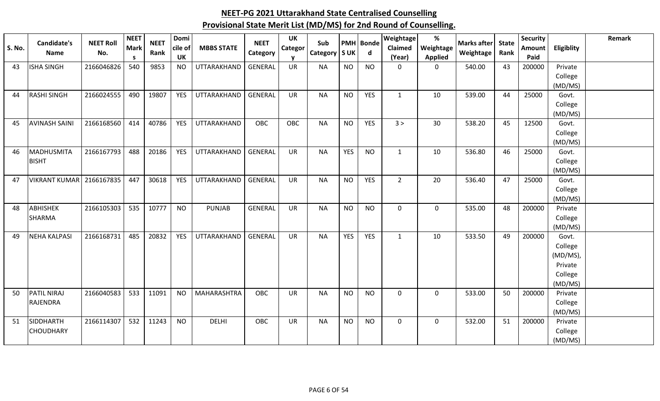| <b>S. No.</b> | <b>Candidate's</b><br><b>Name</b> | <b>NEET Roll</b><br>No. | <b>NEET</b><br><b>Mark</b> | <b>NEET</b><br>Rank | Domi<br>cile of | <b>MBBS STATE</b>  | <b>NEET</b><br>Category | <b>UK</b><br><b>Categor</b> | Sub<br>Category   S UK |            | <b>PMH</b> Bonde<br>d | <b>Weightage</b><br>Claimed | $\%$<br>Weightage | <b>Marks after</b><br>Weightage | <b>State</b><br>Rank | <b>Security</b><br>Amount | Eligiblity         | Remark |
|---------------|-----------------------------------|-------------------------|----------------------------|---------------------|-----------------|--------------------|-------------------------|-----------------------------|------------------------|------------|-----------------------|-----------------------------|-------------------|---------------------------------|----------------------|---------------------------|--------------------|--------|
|               |                                   |                         | <b>S</b>                   |                     | <b>UK</b>       |                    |                         | v                           |                        |            |                       | (Year)                      | <b>Applied</b>    |                                 |                      | Paid                      |                    |        |
| 43            | <b>ISHA SINGH</b>                 | 2166046826              | 540                        | 9853                | <b>NO</b>       | UTTARAKHAND        | <b>GENERAL</b>          | <b>UR</b>                   | <b>NA</b>              | <b>NO</b>  | <b>NO</b>             | $\Omega$                    | $\mathbf 0$       | 540.00                          | 43                   | 200000                    | Private            |        |
|               |                                   |                         |                            |                     |                 |                    |                         |                             |                        |            |                       |                             |                   |                                 |                      |                           | College            |        |
|               |                                   |                         |                            |                     |                 |                    |                         |                             |                        |            |                       |                             |                   |                                 |                      |                           | (MD/MS)            |        |
| 44            | <b>RASHI SINGH</b>                | 2166024555              | 490                        | 19807               | <b>YES</b>      | <b>UTTARAKHAND</b> | <b>GENERAL</b>          | <b>UR</b>                   | <b>NA</b>              | <b>NO</b>  | YES                   | $\mathbf{1}$                | 10                | 539.00                          | 44                   | 25000                     | Govt.              |        |
|               |                                   |                         |                            |                     |                 |                    |                         |                             |                        |            |                       |                             |                   |                                 |                      |                           | College            |        |
| 45            | <b>AVINASH SAINI</b>              | 2166168560              | 414                        | 40786               | <b>YES</b>      | UTTARAKHAND        | <b>OBC</b>              | OBC                         | <b>NA</b>              | <b>NO</b>  | <b>YES</b>            | 3 >                         | 30                | 538.20                          | 45                   | 12500                     | (MD/MS)<br>Govt.   |        |
|               |                                   |                         |                            |                     |                 |                    |                         |                             |                        |            |                       |                             |                   |                                 |                      |                           | College            |        |
|               |                                   |                         |                            |                     |                 |                    |                         |                             |                        |            |                       |                             |                   |                                 |                      |                           | (MD/MS)            |        |
| 46            | MADHUSMITA                        | 2166167793              | 488                        | 20186               | <b>YES</b>      | UTTARAKHAND        | <b>GENERAL</b>          | <b>UR</b>                   | <b>NA</b>              | <b>YES</b> | <b>NO</b>             | $\mathbf{1}$                | 10                | 536.80                          | 46                   | 25000                     | Govt.              |        |
|               | <b>BISHT</b>                      |                         |                            |                     |                 |                    |                         |                             |                        |            |                       |                             |                   |                                 |                      |                           | College            |        |
|               |                                   |                         |                            |                     |                 |                    |                         |                             |                        |            |                       |                             |                   |                                 |                      |                           | (MD/MS)            |        |
| 47            | <b>VIKRANT KUMAR</b>              | 2166167835              | 447                        | 30618               | <b>YES</b>      | UTTARAKHAND        | <b>GENERAL</b>          | <b>UR</b>                   | <b>NA</b>              | <b>NO</b>  | YES                   | $2^{\circ}$                 | 20                | 536.40                          | 47                   | 25000                     | Govt.              |        |
|               |                                   |                         |                            |                     |                 |                    |                         |                             |                        |            |                       |                             |                   |                                 |                      |                           | College            |        |
|               |                                   |                         |                            |                     |                 |                    |                         |                             |                        |            |                       |                             |                   |                                 |                      |                           | (MD/MS)            |        |
| 48            | <b>ABHISHEK</b>                   | 2166105303              | 535                        | 10777               | <b>NO</b>       | PUNJAB             | GENERAL                 | <b>UR</b>                   | <b>NA</b>              | <b>NO</b>  | <b>NO</b>             | 0                           | 0                 | 535.00                          | 48                   | 200000                    | Private            |        |
|               | <b>SHARMA</b>                     |                         |                            |                     |                 |                    |                         |                             |                        |            |                       |                             |                   |                                 |                      |                           | College            |        |
|               |                                   |                         |                            |                     |                 |                    |                         |                             |                        |            |                       |                             |                   |                                 |                      |                           | (MD/MS)            |        |
| 49            | <b>NEHA KALPASI</b>               | 2166168731              | 485                        | 20832               | <b>YES</b>      | UTTARAKHAND        | <b>GENERAL</b>          | <b>UR</b>                   | <b>NA</b>              | <b>YES</b> | YES                   | 1                           | 10                | 533.50                          | 49                   | 200000                    | Govt.              |        |
|               |                                   |                         |                            |                     |                 |                    |                         |                             |                        |            |                       |                             |                   |                                 |                      |                           | College            |        |
|               |                                   |                         |                            |                     |                 |                    |                         |                             |                        |            |                       |                             |                   |                                 |                      |                           | (MD/MS),           |        |
|               |                                   |                         |                            |                     |                 |                    |                         |                             |                        |            |                       |                             |                   |                                 |                      |                           | Private            |        |
|               |                                   |                         |                            |                     |                 |                    |                         |                             |                        |            |                       |                             |                   |                                 |                      |                           | College            |        |
|               |                                   |                         |                            |                     |                 |                    |                         |                             |                        |            |                       |                             |                   |                                 |                      |                           | (MD/MS)            |        |
| 50            | <b>PATIL NIRAJ</b>                | 2166040583              | 533                        | 11091               | <b>NO</b>       | MAHARASHTRA        | <b>OBC</b>              | <b>UR</b>                   | <b>NA</b>              | <b>NO</b>  | <b>NO</b>             | 0                           | 0                 | 533.00                          | 50                   | 200000                    | Private            |        |
|               | <b>RAJENDRA</b>                   |                         |                            |                     |                 |                    |                         |                             |                        |            |                       |                             |                   |                                 |                      |                           | College            |        |
| 51            | SIDDHARTH                         | 2166114307              | 532                        | 11243               | <b>NO</b>       | <b>DELHI</b>       | <b>OBC</b>              | <b>UR</b>                   | <b>NA</b>              | <b>NO</b>  | <b>NO</b>             | $\mathbf 0$                 | $\mathbf 0$       | 532.00                          | 51                   | 200000                    | (MD/MS)<br>Private |        |
|               | <b>CHOUDHARY</b>                  |                         |                            |                     |                 |                    |                         |                             |                        |            |                       |                             |                   |                                 |                      |                           | College            |        |
|               |                                   |                         |                            |                     |                 |                    |                         |                             |                        |            |                       |                             |                   |                                 |                      |                           | (MD/MS)            |        |
|               |                                   |                         |                            |                     |                 |                    |                         |                             |                        |            |                       |                             |                   |                                 |                      |                           |                    |        |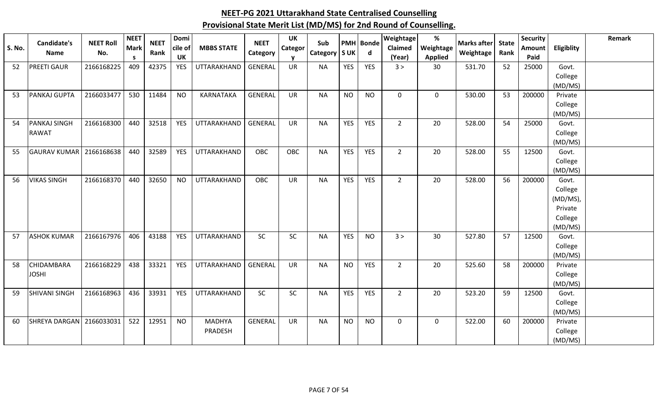| S. No. | <b>Candidate's</b><br><b>Name</b> | <b>NEET Roll</b><br>No. | <b>NEET</b><br><b>Mark</b><br>-S | <b>NEET</b><br>Rank | Domi<br>cile of<br>UK | <b>MBBS STATE</b> | <b>NEET</b><br>Category | <b>UK</b><br>Categor<br><b>V</b> | Sub<br>Category   S UK |            | <b>PMH</b> Bonde<br>$\mathbf d$ | Weightage<br>Claimed<br>(Year) | %<br>Weightage<br><b>Applied</b> | <b>Marks after</b><br>Weightage | <b>State</b><br>Rank | <b>Security</b><br><b>Amount</b><br>Paid | Eligiblity         | Remark |
|--------|-----------------------------------|-------------------------|----------------------------------|---------------------|-----------------------|-------------------|-------------------------|----------------------------------|------------------------|------------|---------------------------------|--------------------------------|----------------------------------|---------------------------------|----------------------|------------------------------------------|--------------------|--------|
| 52     | <b>PREETI GAUR</b>                | 2166168225              | 409                              | 42375               | <b>YES</b>            | UTTARAKHAND       | <b>GENERAL</b>          | <b>UR</b>                        | <b>NA</b>              | <b>YES</b> | <b>YES</b>                      | 3 >                            | 30                               | 531.70                          | 52                   | 25000                                    | Govt.              |        |
|        |                                   |                         |                                  |                     |                       |                   |                         |                                  |                        |            |                                 |                                |                                  |                                 |                      |                                          | College            |        |
|        |                                   |                         |                                  |                     |                       |                   |                         |                                  |                        |            |                                 |                                |                                  |                                 |                      |                                          | (MD/MS)            |        |
| 53     | PANKAJ GUPTA                      | 2166033477              | 530                              | 11484               | <b>NO</b>             | <b>KARNATAKA</b>  | <b>GENERAL</b>          | <b>UR</b>                        | <b>NA</b>              | <b>NO</b>  | <b>NO</b>                       | $\mathbf 0$                    | $\mathbf 0$                      | 530.00                          | 53                   | 200000                                   | Private            |        |
|        |                                   |                         |                                  |                     |                       |                   |                         |                                  |                        |            |                                 |                                |                                  |                                 |                      |                                          | College            |        |
| 54     | <b>PANKAJ SINGH</b>               | 2166168300              | 440                              | 32518               | <b>YES</b>            | UTTARAKHAND       | <b>GENERAL</b>          | UR                               | <b>NA</b>              | <b>YES</b> | <b>YES</b>                      | $\overline{2}$                 | 20                               | 528.00                          | 54                   | 25000                                    | (MD/MS)<br>Govt.   |        |
|        | <b>RAWAT</b>                      |                         |                                  |                     |                       |                   |                         |                                  |                        |            |                                 |                                |                                  |                                 |                      |                                          | College            |        |
|        |                                   |                         |                                  |                     |                       |                   |                         |                                  |                        |            |                                 |                                |                                  |                                 |                      |                                          | (MD/MS)            |        |
| 55     | <b>GAURAV KUMAR</b>               | 2166168638              | 440                              | 32589               | <b>YES</b>            | UTTARAKHAND       | <b>OBC</b>              | OBC                              | <b>NA</b>              | <b>YES</b> | YES                             | $\overline{2}$                 | 20                               | 528.00                          | 55                   | 12500                                    | Govt.              |        |
|        |                                   |                         |                                  |                     |                       |                   |                         |                                  |                        |            |                                 |                                |                                  |                                 |                      |                                          | College            |        |
|        |                                   |                         |                                  |                     |                       |                   |                         |                                  |                        |            |                                 |                                |                                  |                                 |                      |                                          | (MD/MS)            |        |
| 56     | <b>VIKAS SINGH</b>                | 2166168370              | 440                              | 32650               | <b>NO</b>             | UTTARAKHAND       | OBC                     | <b>UR</b>                        | <b>NA</b>              | <b>YES</b> | <b>YES</b>                      | $\overline{2}$                 | 20                               | 528.00                          | 56                   | 200000                                   | Govt.              |        |
|        |                                   |                         |                                  |                     |                       |                   |                         |                                  |                        |            |                                 |                                |                                  |                                 |                      |                                          | College            |        |
|        |                                   |                         |                                  |                     |                       |                   |                         |                                  |                        |            |                                 |                                |                                  |                                 |                      |                                          | (MD/MS),           |        |
|        |                                   |                         |                                  |                     |                       |                   |                         |                                  |                        |            |                                 |                                |                                  |                                 |                      |                                          | Private            |        |
|        |                                   |                         |                                  |                     |                       |                   |                         |                                  |                        |            |                                 |                                |                                  |                                 |                      |                                          | College            |        |
|        |                                   |                         |                                  |                     |                       |                   |                         |                                  |                        |            |                                 |                                |                                  |                                 |                      |                                          | (MD/MS)            |        |
| 57     | <b>ASHOK KUMAR</b>                | 2166167976              | 406                              | 43188               | <b>YES</b>            | UTTARAKHAND       | SC                      | SC                               | <b>NA</b>              | <b>YES</b> | <b>NO</b>                       | 3 >                            | 30                               | 527.80                          | 57                   | 12500                                    | Govt.              |        |
|        |                                   |                         |                                  |                     |                       |                   |                         |                                  |                        |            |                                 |                                |                                  |                                 |                      |                                          | College<br>(MD/MS) |        |
| 58     | <b>CHIDAMBARA</b>                 | 2166168229              | 438                              | 33321               | <b>YES</b>            | UTTARAKHAND       | GENERAL                 | <b>UR</b>                        | <b>NA</b>              | <b>NO</b>  | <b>YES</b>                      | $\overline{2}$                 | 20                               | 525.60                          | 58                   | 200000                                   | Private            |        |
|        | <b>JOSHI</b>                      |                         |                                  |                     |                       |                   |                         |                                  |                        |            |                                 |                                |                                  |                                 |                      |                                          | College            |        |
|        |                                   |                         |                                  |                     |                       |                   |                         |                                  |                        |            |                                 |                                |                                  |                                 |                      |                                          | (MD/MS)            |        |
| 59     | <b>SHIVANI SINGH</b>              | 2166168963              | 436                              | 33931               | <b>YES</b>            | UTTARAKHAND       | SC                      | SC                               | <b>NA</b>              | <b>YES</b> | <b>YES</b>                      | $\overline{2}$                 | 20                               | 523.20                          | 59                   | 12500                                    | Govt.              |        |
|        |                                   |                         |                                  |                     |                       |                   |                         |                                  |                        |            |                                 |                                |                                  |                                 |                      |                                          | College            |        |
|        |                                   |                         |                                  |                     |                       |                   |                         |                                  |                        |            |                                 |                                |                                  |                                 |                      |                                          | (MD/MS)            |        |
| 60     | SHREYA DARGAN                     | 2166033031              | 522                              | 12951               | <b>NO</b>             | <b>MADHYA</b>     | <b>GENERAL</b>          | <b>UR</b>                        | <b>NA</b>              | <b>NO</b>  | <b>NO</b>                       | $\mathbf 0$                    | $\mathbf 0$                      | 522.00                          | 60                   | 200000                                   | Private            |        |
|        |                                   |                         |                                  |                     |                       | PRADESH           |                         |                                  |                        |            |                                 |                                |                                  |                                 |                      |                                          | College            |        |
|        |                                   |                         |                                  |                     |                       |                   |                         |                                  |                        |            |                                 |                                |                                  |                                 |                      |                                          | (MD/MS)            |        |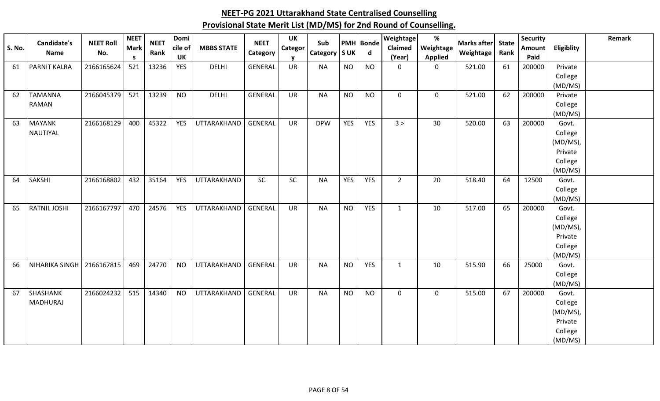| S. No. | Candidate's         | <b>NEET Roll</b> | <b>NEET</b><br><b>Mark</b> | <b>NEET</b> | Domi<br>cile of | <b>MBBS STATE</b> | <b>NEET</b>    | <b>UK</b><br>Categor | Sub             |            | <b>PMH</b> Bonde | Weightage<br>Claimed | $\%$<br>Weightage | <b>Marks after</b> | <b>State</b> | <b>Security</b><br>Amount | Eligiblity         | Remark |
|--------|---------------------|------------------|----------------------------|-------------|-----------------|-------------------|----------------|----------------------|-----------------|------------|------------------|----------------------|-------------------|--------------------|--------------|---------------------------|--------------------|--------|
|        | Name                | No.              | s.                         | Rank        | UK              |                   | Category       | $\mathbf v$          | Category   S UK |            | $\mathbf d$      | (Year)               | <b>Applied</b>    | Weightage          | Rank         | Paid                      |                    |        |
| 61     | <b>PARNIT KALRA</b> | 2166165624       | 521                        | 13236       | <b>YES</b>      | <b>DELHI</b>      | <b>GENERAL</b> | <b>UR</b>            | <b>NA</b>       | <b>NO</b>  | <b>NO</b>        | $\mathbf 0$          | $\mathbf 0$       | 521.00             | 61           | 200000                    | Private            |        |
|        |                     |                  |                            |             |                 |                   |                |                      |                 |            |                  |                      |                   |                    |              |                           | College            |        |
|        |                     |                  |                            |             |                 |                   |                |                      |                 |            |                  |                      |                   |                    |              |                           | (MD/MS)            |        |
| 62     | <b>TAMANNA</b>      | 2166045379       | 521                        | 13239       | <b>NO</b>       | <b>DELHI</b>      | <b>GENERAL</b> | <b>UR</b>            | <b>NA</b>       | <b>NO</b>  | <b>NO</b>        | $\mathbf 0$          | $\mathbf 0$       | 521.00             | 62           | 200000                    | Private            |        |
|        | <b>RAMAN</b>        |                  |                            |             |                 |                   |                |                      |                 |            |                  |                      |                   |                    |              |                           | College            |        |
|        |                     |                  |                            |             |                 |                   |                |                      |                 |            |                  |                      |                   |                    |              |                           | (MD/MS)            |        |
| 63     | <b>MAYANK</b>       | 2166168129       | 400                        | 45322       | <b>YES</b>      | UTTARAKHAND       | <b>GENERAL</b> | <b>UR</b>            | <b>DPW</b>      | <b>YES</b> | <b>YES</b>       | 3 >                  | 30                | 520.00             | 63           | 200000                    | Govt.              |        |
|        | NAUTIYAL            |                  |                            |             |                 |                   |                |                      |                 |            |                  |                      |                   |                    |              |                           | College            |        |
|        |                     |                  |                            |             |                 |                   |                |                      |                 |            |                  |                      |                   |                    |              |                           | (MD/MS),           |        |
|        |                     |                  |                            |             |                 |                   |                |                      |                 |            |                  |                      |                   |                    |              |                           | Private            |        |
|        |                     |                  |                            |             |                 |                   |                |                      |                 |            |                  |                      |                   |                    |              |                           | College<br>(MD/MS) |        |
| 64     | <b>SAKSHI</b>       | 2166168802       | 432                        | 35164       | <b>YES</b>      | UTTARAKHAND       | SC             | SC                   | <b>NA</b>       | <b>YES</b> | YES              | $\overline{2}$       | 20                | 518.40             | 64           | 12500                     | Govt.              |        |
|        |                     |                  |                            |             |                 |                   |                |                      |                 |            |                  |                      |                   |                    |              |                           | College            |        |
|        |                     |                  |                            |             |                 |                   |                |                      |                 |            |                  |                      |                   |                    |              |                           | (MD/MS)            |        |
| 65     | <b>RATNIL JOSHI</b> | 2166167797       | 470                        | 24576       | <b>YES</b>      | UTTARAKHAND       | <b>GENERAL</b> | <b>UR</b>            | <b>NA</b>       | <b>NO</b>  | <b>YES</b>       | $\mathbf{1}$         | 10                | 517.00             | 65           | 200000                    | Govt.              |        |
|        |                     |                  |                            |             |                 |                   |                |                      |                 |            |                  |                      |                   |                    |              |                           | College            |        |
|        |                     |                  |                            |             |                 |                   |                |                      |                 |            |                  |                      |                   |                    |              |                           | (MD/MS),           |        |
|        |                     |                  |                            |             |                 |                   |                |                      |                 |            |                  |                      |                   |                    |              |                           | Private            |        |
|        |                     |                  |                            |             |                 |                   |                |                      |                 |            |                  |                      |                   |                    |              |                           | College            |        |
|        |                     |                  |                            |             |                 |                   |                |                      |                 |            |                  |                      |                   |                    |              |                           | (MD/MS)            |        |
| 66     | NIHARIKA SINGH      | 2166167815       | 469                        | 24770       | <b>NO</b>       | UTTARAKHAND       | GENERAL        | <b>UR</b>            | <b>NA</b>       | <b>NO</b>  | YES              | $\mathbf{1}$         | 10                | 515.90             | 66           | 25000                     | Govt.              |        |
|        |                     |                  |                            |             |                 |                   |                |                      |                 |            |                  |                      |                   |                    |              |                           | College            |        |
|        |                     |                  |                            |             |                 |                   |                |                      |                 |            |                  |                      |                   |                    |              |                           | (MD/MS)            |        |
| 67     | <b>SHASHANK</b>     | 2166024232       | 515                        | 14340       | <b>NO</b>       | UTTARAKHAND       | <b>GENERAL</b> | <b>UR</b>            | <b>NA</b>       | <b>NO</b>  | <b>NO</b>        | $\mathbf 0$          | $\mathbf 0$       | 515.00             | 67           | 200000                    | Govt.              |        |
|        | MADHURAJ            |                  |                            |             |                 |                   |                |                      |                 |            |                  |                      |                   |                    |              |                           | College            |        |
|        |                     |                  |                            |             |                 |                   |                |                      |                 |            |                  |                      |                   |                    |              |                           | (MD/MS),           |        |
|        |                     |                  |                            |             |                 |                   |                |                      |                 |            |                  |                      |                   |                    |              |                           | Private            |        |
|        |                     |                  |                            |             |                 |                   |                |                      |                 |            |                  |                      |                   |                    |              |                           | College            |        |
|        |                     |                  |                            |             |                 |                   |                |                      |                 |            |                  |                      |                   |                    |              |                           | (MD/MS)            |        |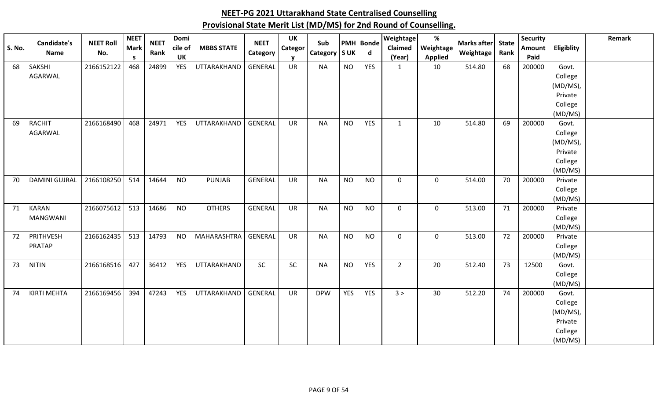| <b>S. No.</b> | Candidate's<br><b>Name</b> | <b>NEET Roll</b><br>No. | <b>NEET</b><br><b>Mark</b> | <b>NEET</b><br>Rank | Domi<br>cile of | <b>MBBS STATE</b> | <b>NEET</b><br>Category | UK<br>Categor | Sub<br>Category   S UK | <b>PMH</b> | <b>Bonde</b><br>d | <b>Weightage</b><br>Claimed | $\%$<br>Weightage | <b>Marks after</b><br>Weightage | <b>State</b><br>Rank | <b>Security</b><br><b>Amount</b> | Eligiblity       | Remark |
|---------------|----------------------------|-------------------------|----------------------------|---------------------|-----------------|-------------------|-------------------------|---------------|------------------------|------------|-------------------|-----------------------------|-------------------|---------------------------------|----------------------|----------------------------------|------------------|--------|
|               |                            |                         | s.                         |                     | <b>UK</b>       |                   |                         | v             |                        |            |                   | (Year)                      | <b>Applied</b>    |                                 |                      | Paid                             |                  |        |
| 68            | <b>SAKSHI</b>              | 2166152122              | 468                        | 24899               | <b>YES</b>      | UTTARAKHAND       | <b>GENERAL</b>          | <b>UR</b>     | <b>NA</b>              | <b>NO</b>  | <b>YES</b>        | $\mathbf{1}$                | 10                | 514.80                          | 68                   | 200000                           | Govt.            |        |
|               | AGARWAL                    |                         |                            |                     |                 |                   |                         |               |                        |            |                   |                             |                   |                                 |                      |                                  | College          |        |
|               |                            |                         |                            |                     |                 |                   |                         |               |                        |            |                   |                             |                   |                                 |                      |                                  | (MD/MS),         |        |
|               |                            |                         |                            |                     |                 |                   |                         |               |                        |            |                   |                             |                   |                                 |                      |                                  | Private          |        |
|               |                            |                         |                            |                     |                 |                   |                         |               |                        |            |                   |                             |                   |                                 |                      |                                  | College          |        |
| 69            | <b>RACHIT</b>              | 2166168490              | 468                        | 24971               | <b>YES</b>      | UTTARAKHAND       | GENERAL                 | <b>UR</b>     | <b>NA</b>              | <b>NO</b>  | <b>YES</b>        | $\mathbf{1}$                | 10                | 514.80                          | 69                   | 200000                           | (MD/MS)<br>Govt. |        |
|               | AGARWAL                    |                         |                            |                     |                 |                   |                         |               |                        |            |                   |                             |                   |                                 |                      |                                  | College          |        |
|               |                            |                         |                            |                     |                 |                   |                         |               |                        |            |                   |                             |                   |                                 |                      |                                  | (MD/MS),         |        |
|               |                            |                         |                            |                     |                 |                   |                         |               |                        |            |                   |                             |                   |                                 |                      |                                  | Private          |        |
|               |                            |                         |                            |                     |                 |                   |                         |               |                        |            |                   |                             |                   |                                 |                      |                                  | College          |        |
|               |                            |                         |                            |                     |                 |                   |                         |               |                        |            |                   |                             |                   |                                 |                      |                                  | (MD/MS)          |        |
| 70            | <b>DAMINI GUJRAL</b>       | 2166108250              | 514                        | 14644               | <b>NO</b>       | <b>PUNJAB</b>     | <b>GENERAL</b>          | <b>UR</b>     | <b>NA</b>              | <b>NO</b>  | <b>NO</b>         | $\mathbf 0$                 | $\mathbf 0$       | 514.00                          | 70                   | 200000                           | Private          |        |
|               |                            |                         |                            |                     |                 |                   |                         |               |                        |            |                   |                             |                   |                                 |                      |                                  | College          |        |
|               |                            |                         |                            |                     |                 |                   |                         |               |                        |            |                   |                             |                   |                                 |                      |                                  | (MD/MS)          |        |
| 71            | <b>KARAN</b>               | 2166075612              | 513                        | 14686               | <b>NO</b>       | <b>OTHERS</b>     | <b>GENERAL</b>          | <b>UR</b>     | <b>NA</b>              | <b>NO</b>  | <b>NO</b>         | $\mathbf 0$                 | $\mathbf 0$       | 513.00                          | 71                   | 200000                           | Private          |        |
|               | <b>MANGWANI</b>            |                         |                            |                     |                 |                   |                         |               |                        |            |                   |                             |                   |                                 |                      |                                  | College          |        |
|               |                            |                         |                            |                     |                 |                   |                         |               |                        |            |                   |                             |                   |                                 |                      |                                  | (MD/MS)          |        |
| 72            | PRITHVESH                  | 2166162435              | 513                        | 14793               | <b>NO</b>       | MAHARASHTRA       | GENERAL                 | <b>UR</b>     | <b>NA</b>              | <b>NO</b>  | <b>NO</b>         | $\mathbf 0$                 | $\mathbf 0$       | 513.00                          | 72                   | 200000                           | Private          |        |
|               | <b>PRATAP</b>              |                         |                            |                     |                 |                   |                         |               |                        |            |                   |                             |                   |                                 |                      |                                  | College          |        |
| 73            | <b>NITIN</b>               | 2166168516              | 427                        | 36412               | YES             | UTTARAKHAND       | SC                      | SC            | <b>NA</b>              | <b>NO</b>  | YES               | $\overline{2}$              | 20                | 512.40                          | 73                   | 12500                            | (MD/MS)<br>Govt. |        |
|               |                            |                         |                            |                     |                 |                   |                         |               |                        |            |                   |                             |                   |                                 |                      |                                  | College          |        |
|               |                            |                         |                            |                     |                 |                   |                         |               |                        |            |                   |                             |                   |                                 |                      |                                  | (MD/MS)          |        |
| 74            | <b>KIRTI MEHTA</b>         | 2166169456              | 394                        | 47243               | <b>YES</b>      | UTTARAKHAND       | <b>GENERAL</b>          | <b>UR</b>     | <b>DPW</b>             | <b>YES</b> | <b>YES</b>        | 3 >                         | 30                | 512.20                          | 74                   | 200000                           | Govt.            |        |
|               |                            |                         |                            |                     |                 |                   |                         |               |                        |            |                   |                             |                   |                                 |                      |                                  | College          |        |
|               |                            |                         |                            |                     |                 |                   |                         |               |                        |            |                   |                             |                   |                                 |                      |                                  | (MD/MS),         |        |
|               |                            |                         |                            |                     |                 |                   |                         |               |                        |            |                   |                             |                   |                                 |                      |                                  | Private          |        |
|               |                            |                         |                            |                     |                 |                   |                         |               |                        |            |                   |                             |                   |                                 |                      |                                  | College          |        |
|               |                            |                         |                            |                     |                 |                   |                         |               |                        |            |                   |                             |                   |                                 |                      |                                  | (MD/MS)          |        |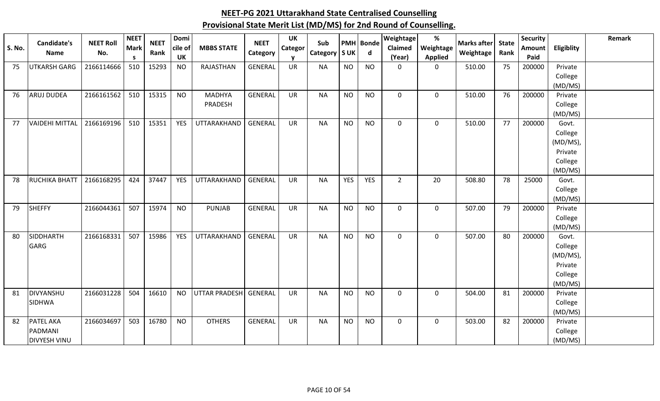| <b>S. No.</b> | <b>Candidate's</b><br><b>Name</b> | <b>NEET Roll</b><br>No. | <b>NEET</b><br><b>Mark</b><br>s. | <b>NEET</b><br>Rank | Domi<br>cile of<br>UK | <b>MBBS STATE</b>    | <b>NEET</b><br>Category | <b>UK</b><br><b>Categor</b><br>v | Sub<br>Category | SUK        | PMH Bonde<br>d | <b>Weightage</b><br>Claimed<br>(Year) | $\%$<br>Weightage<br><b>Applied</b> | <b>Marks after</b><br>Weightage | <b>State</b><br>Rank | <b>Security</b><br><b>Amount</b><br>Paid | Eligiblity          | Remark |
|---------------|-----------------------------------|-------------------------|----------------------------------|---------------------|-----------------------|----------------------|-------------------------|----------------------------------|-----------------|------------|----------------|---------------------------------------|-------------------------------------|---------------------------------|----------------------|------------------------------------------|---------------------|--------|
| 75            | <b>UTKARSH GARG</b>               | 2166114666              | 510                              | 15293               | <b>NO</b>             | RAJASTHAN            | <b>GENERAL</b>          | <b>UR</b>                        | <b>NA</b>       | <b>NO</b>  | <b>NO</b>      | $\mathbf 0$                           | $\mathbf 0$                         | 510.00                          | 75                   | 200000                                   | Private             |        |
|               |                                   |                         |                                  |                     |                       |                      |                         |                                  |                 |            |                |                                       |                                     |                                 |                      |                                          | College             |        |
|               |                                   |                         |                                  |                     |                       |                      |                         |                                  |                 |            |                |                                       |                                     |                                 |                      |                                          | (MD/MS)             |        |
| 76            | <b>ARUJ DUDEA</b>                 | 2166161562              | 510                              | 15315               | <b>NO</b>             | MADHYA               | <b>GENERAL</b>          | UR                               | <b>NA</b>       | <b>NO</b>  | <b>NO</b>      | $\mathbf 0$                           | $\mathbf 0$                         | 510.00                          | 76                   | 200000                                   | Private             |        |
|               |                                   |                         |                                  |                     |                       | PRADESH              |                         |                                  |                 |            |                |                                       |                                     |                                 |                      |                                          | College             |        |
|               |                                   |                         |                                  |                     |                       |                      |                         |                                  |                 |            |                |                                       |                                     |                                 |                      |                                          | (MD/MS)             |        |
| 77            | <b>VAIDEHI MITTAL</b>             | 2166169196              | 510                              | 15351               | <b>YES</b>            | UTTARAKHAND          | GENERAL                 | <b>UR</b>                        | <b>NA</b>       | <b>NO</b>  | <b>NO</b>      | $\mathbf 0$                           | $\mathbf 0$                         | 510.00                          | 77                   | 200000                                   | Govt.               |        |
|               |                                   |                         |                                  |                     |                       |                      |                         |                                  |                 |            |                |                                       |                                     |                                 |                      |                                          | College             |        |
|               |                                   |                         |                                  |                     |                       |                      |                         |                                  |                 |            |                |                                       |                                     |                                 |                      |                                          | (MD/MS),<br>Private |        |
|               |                                   |                         |                                  |                     |                       |                      |                         |                                  |                 |            |                |                                       |                                     |                                 |                      |                                          | College             |        |
|               |                                   |                         |                                  |                     |                       |                      |                         |                                  |                 |            |                |                                       |                                     |                                 |                      |                                          | (MD/MS)             |        |
| 78            | <b>RUCHIKA BHATT</b>              | 2166168295              | 424                              | 37447               | <b>YES</b>            | UTTARAKHAND          | <b>GENERAL</b>          | UR                               | <b>NA</b>       | <b>YES</b> | <b>YES</b>     | $\overline{2}$                        | 20                                  | 508.80                          | 78                   | 25000                                    | Govt.               |        |
|               |                                   |                         |                                  |                     |                       |                      |                         |                                  |                 |            |                |                                       |                                     |                                 |                      |                                          | College             |        |
|               |                                   |                         |                                  |                     |                       |                      |                         |                                  |                 |            |                |                                       |                                     |                                 |                      |                                          | (MD/MS)             |        |
| 79            | <b>SHEFFY</b>                     | 2166044361              | 507                              | 15974               | <b>NO</b>             | <b>PUNJAB</b>        | <b>GENERAL</b>          | <b>UR</b>                        | <b>NA</b>       | <b>NO</b>  | <b>NO</b>      | $\mathbf 0$                           | $\mathbf 0$                         | 507.00                          | 79                   | 200000                                   | Private             |        |
|               |                                   |                         |                                  |                     |                       |                      |                         |                                  |                 |            |                |                                       |                                     |                                 |                      |                                          | College             |        |
|               |                                   |                         |                                  |                     |                       |                      |                         |                                  |                 |            |                |                                       |                                     |                                 |                      |                                          | (MD/MS)             |        |
| -80           | <b>SIDDHARTH</b>                  | 2166168331              | 507                              | 15986               | <b>YES</b>            | UTTARAKHAND          | GENERAL                 | <b>UR</b>                        | <b>NA</b>       | <b>NO</b>  | <b>NO</b>      | $\mathbf 0$                           | $\mathbf 0$                         | 507.00                          | 80                   | 200000                                   | Govt.               |        |
|               | <b>GARG</b>                       |                         |                                  |                     |                       |                      |                         |                                  |                 |            |                |                                       |                                     |                                 |                      |                                          | College             |        |
|               |                                   |                         |                                  |                     |                       |                      |                         |                                  |                 |            |                |                                       |                                     |                                 |                      |                                          | (MD/MS),            |        |
|               |                                   |                         |                                  |                     |                       |                      |                         |                                  |                 |            |                |                                       |                                     |                                 |                      |                                          | Private             |        |
|               |                                   |                         |                                  |                     |                       |                      |                         |                                  |                 |            |                |                                       |                                     |                                 |                      |                                          | College             |        |
|               |                                   |                         |                                  |                     |                       |                      |                         |                                  |                 |            |                |                                       |                                     |                                 |                      |                                          | (MD/MS)             |        |
| 81            | <b>DIVYANSHU</b>                  | 2166031228              | 504                              | 16610               | <b>NO</b>             | <b>UTTAR PRADESH</b> | GENERAL                 | <b>UR</b>                        | <b>NA</b>       | <b>NO</b>  | <b>NO</b>      | $\mathbf 0$                           | $\mathbf 0$                         | 504.00                          | 81                   | 200000                                   | Private             |        |
|               | <b>SIDHWA</b>                     |                         |                                  |                     |                       |                      |                         |                                  |                 |            |                |                                       |                                     |                                 |                      |                                          | College<br>(MD/MS)  |        |
| -82           | <b>PATEL AKA</b>                  | 2166034697              | 503                              | 16780               | <b>NO</b>             | <b>OTHERS</b>        | <b>GENERAL</b>          | <b>UR</b>                        | <b>NA</b>       | <b>NO</b>  | <b>NO</b>      | $\mathbf 0$                           | $\mathbf 0$                         | 503.00                          | 82                   | 200000                                   | Private             |        |
|               | PADMANI                           |                         |                                  |                     |                       |                      |                         |                                  |                 |            |                |                                       |                                     |                                 |                      |                                          | College             |        |
|               | <b>DIVYESH VINU</b>               |                         |                                  |                     |                       |                      |                         |                                  |                 |            |                |                                       |                                     |                                 |                      |                                          | (MD/MS)             |        |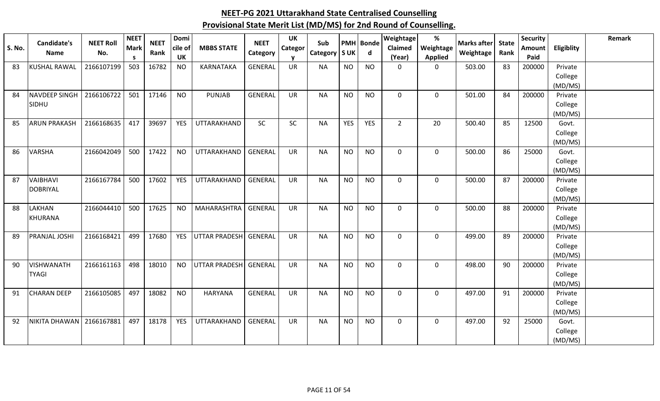| <b>S. No.</b> | Candidate's<br><b>Name</b> | <b>NEET Roll</b><br>No. | <b>NEET</b><br><b>Mark</b> | <b>NEET</b><br>Rank | Domi<br>cile of | <b>MBBS STATE</b>    | <b>NEET</b><br>Category | <b>UK</b><br>Categor | Sub<br>Category   S UK |            | <b>PMH</b> Bonde<br>$\mathbf d$ | Weightage<br>Claimed | $\%$<br>Weightage | <b>Marks after</b><br>Weightage | <b>State</b><br>Rank | <b>Security</b><br>Amount | Eligiblity         | Remark |
|---------------|----------------------------|-------------------------|----------------------------|---------------------|-----------------|----------------------|-------------------------|----------------------|------------------------|------------|---------------------------------|----------------------|-------------------|---------------------------------|----------------------|---------------------------|--------------------|--------|
|               |                            |                         | s.                         |                     | <b>UK</b>       |                      |                         | <b>V</b>             |                        |            |                                 | (Year)               | <b>Applied</b>    |                                 |                      | Paid                      |                    |        |
| 83            | <b>KUSHAL RAWAL</b>        | 2166107199              | 503                        | 16782               | <b>NO</b>       | <b>KARNATAKA</b>     | <b>GENERAL</b>          | <b>UR</b>            | <b>NA</b>              | <b>NO</b>  | <b>NO</b>                       | $\Omega$             | 0                 | 503.00                          | 83                   | 200000                    | Private            |        |
|               |                            |                         |                            |                     |                 |                      |                         |                      |                        |            |                                 |                      |                   |                                 |                      |                           | College            |        |
|               |                            |                         |                            |                     |                 |                      |                         |                      |                        |            |                                 |                      |                   |                                 |                      |                           | (MD/MS)            |        |
| 84            | <b>NAVDEEP SINGH</b>       | 2166106722              | 501                        | 17146               | <b>NO</b>       | <b>PUNJAB</b>        | <b>GENERAL</b>          | <b>UR</b>            | <b>NA</b>              | <b>NO</b>  | <b>NO</b>                       | $\mathbf 0$          | $\mathbf 0$       | 501.00                          | 84                   | 200000                    | Private            |        |
|               | SIDHU                      |                         |                            |                     |                 |                      |                         |                      |                        |            |                                 |                      |                   |                                 |                      |                           | College            |        |
|               |                            |                         |                            |                     |                 |                      |                         |                      |                        |            |                                 |                      |                   |                                 |                      |                           | (MD/MS)            |        |
| 85            | <b>ARUN PRAKASH</b>        | 2166168635              | 417                        | 39697               | <b>YES</b>      | UTTARAKHAND          | SC                      | SC                   | <b>NA</b>              | <b>YES</b> | <b>YES</b>                      | $\overline{2}$       | 20                | 500.40                          | 85                   | 12500                     | Govt.              |        |
|               |                            |                         |                            |                     |                 |                      |                         |                      |                        |            |                                 |                      |                   |                                 |                      |                           | College            |        |
|               |                            |                         |                            |                     |                 |                      |                         |                      |                        |            |                                 |                      |                   |                                 |                      |                           | (MD/MS)            |        |
| 86            | <b>VARSHA</b>              | 2166042049              | 500                        | 17422               | <b>NO</b>       | UTTARAKHAND          | <b>GENERAL</b>          | <b>UR</b>            | <b>NA</b>              | <b>NO</b>  | <b>NO</b>                       | 0                    | $\mathbf 0$       | 500.00                          | 86                   | 25000                     | Govt.              |        |
|               |                            |                         |                            |                     |                 |                      |                         |                      |                        |            |                                 |                      |                   |                                 |                      |                           | College            |        |
| 87            | VAIBHAVI                   | 2166167784              | 500                        | 17602               | <b>YES</b>      | UTTARAKHAND          | <b>GENERAL</b>          | <b>UR</b>            | <b>NA</b>              | <b>NO</b>  | <b>NO</b>                       | $\mathbf 0$          | $\mathbf 0$       | 500.00                          | 87                   | 200000                    | (MD/MS)<br>Private |        |
|               | <b>DOBRIYAL</b>            |                         |                            |                     |                 |                      |                         |                      |                        |            |                                 |                      |                   |                                 |                      |                           | College            |        |
|               |                            |                         |                            |                     |                 |                      |                         |                      |                        |            |                                 |                      |                   |                                 |                      |                           | (MD/MS)            |        |
| 88            | LAKHAN                     | 2166044410              | 500                        | 17625               | <b>NO</b>       | MAHARASHTRA          | <b>GENERAL</b>          | <b>UR</b>            | <b>NA</b>              | <b>NO</b>  | <b>NO</b>                       | $\mathbf 0$          | $\mathbf 0$       | 500.00                          | 88                   | 200000                    | Private            |        |
|               | <b>KHURANA</b>             |                         |                            |                     |                 |                      |                         |                      |                        |            |                                 |                      |                   |                                 |                      |                           | College            |        |
|               |                            |                         |                            |                     |                 |                      |                         |                      |                        |            |                                 |                      |                   |                                 |                      |                           | (MD/MS)            |        |
| 89            | <b>PRANJAL JOSHI</b>       | 2166168421              | 499                        | 17680               | <b>YES</b>      | <b>UTTAR PRADESH</b> | <b>GENERAL</b>          | <b>UR</b>            | <b>NA</b>              | <b>NO</b>  | <b>NO</b>                       | $\mathbf 0$          | $\mathbf 0$       | 499.00                          | 89                   | 200000                    | Private            |        |
|               |                            |                         |                            |                     |                 |                      |                         |                      |                        |            |                                 |                      |                   |                                 |                      |                           | College            |        |
|               |                            |                         |                            |                     |                 |                      |                         |                      |                        |            |                                 |                      |                   |                                 |                      |                           | (MD/MS)            |        |
| 90            | <b>VISHWANATH</b>          | 2166161163              | 498                        | 18010               | <b>NO</b>       | <b>UTTAR PRADESH</b> | <b>GENERAL</b>          | <b>UR</b>            | <b>NA</b>              | <b>NO</b>  | <b>NO</b>                       | 0                    | 0                 | 498.00                          | 90                   | 200000                    | Private            |        |
|               | <b>TYAGI</b>               |                         |                            |                     |                 |                      |                         |                      |                        |            |                                 |                      |                   |                                 |                      |                           | College            |        |
|               |                            |                         |                            |                     |                 |                      |                         |                      |                        |            |                                 |                      |                   |                                 |                      |                           | (MD/MS)            |        |
| 91            | <b>CHARAN DEEP</b>         | 2166105085              | 497                        | 18082               | <b>NO</b>       | <b>HARYANA</b>       | <b>GENERAL</b>          | <b>UR</b>            | <b>NA</b>              | <b>NO</b>  | <b>NO</b>                       | $\Omega$             | $\mathbf 0$       | 497.00                          | 91                   | 200000                    | Private            |        |
|               |                            |                         |                            |                     |                 |                      |                         |                      |                        |            |                                 |                      |                   |                                 |                      |                           | College            |        |
|               |                            |                         |                            |                     |                 |                      |                         |                      |                        |            |                                 |                      |                   |                                 |                      |                           | (MD/MS)            |        |
| 92            | NIKITA DHAWAN              | 2166167881              | 497                        | 18178               | <b>YES</b>      | UTTARAKHAND          | GENERAL                 | <b>UR</b>            | <b>NA</b>              | <b>NO</b>  | <b>NO</b>                       | $\mathbf 0$          | $\mathbf 0$       | 497.00                          | 92                   | 25000                     | Govt.              |        |
|               |                            |                         |                            |                     |                 |                      |                         |                      |                        |            |                                 |                      |                   |                                 |                      |                           | College            |        |
|               |                            |                         |                            |                     |                 |                      |                         |                      |                        |            |                                 |                      |                   |                                 |                      |                           | (MD/MS)            |        |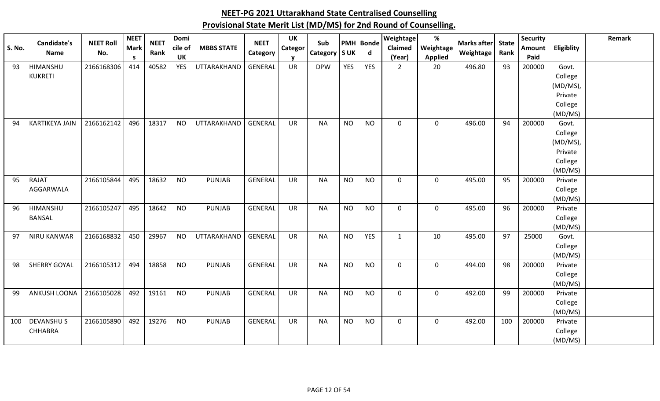| <b>S. No.</b> | <b>Candidate's</b><br><b>Name</b> | <b>NEET Roll</b><br>No. | <b>NEET</b><br><b>Mark</b> | <b>NEET</b><br>Rank | Domi<br>cile of | <b>MBBS STATE</b>  | <b>NEET</b><br>Category | <b>UK</b><br>Categor | Sub<br>Category | <b>PMH</b><br><b>SUK</b> | <b>Bonde</b><br>$\mathsf{d}$ | <b>Weightage</b><br>Claimed | $\%$<br>Weightage | <b>Marks after</b><br>Weightage | <b>State</b><br>Rank | <b>Security</b><br>Amount | Eligiblity          | Remark |
|---------------|-----------------------------------|-------------------------|----------------------------|---------------------|-----------------|--------------------|-------------------------|----------------------|-----------------|--------------------------|------------------------------|-----------------------------|-------------------|---------------------------------|----------------------|---------------------------|---------------------|--------|
|               |                                   |                         | -S                         |                     | <b>UK</b>       |                    |                         | v                    |                 |                          |                              | (Year)                      | <b>Applied</b>    |                                 |                      | Paid                      |                     |        |
| 93            | <b>HIMANSHU</b>                   | 2166168306              | 414                        | 40582               | <b>YES</b>      | UTTARAKHAND        | <b>GENERAL</b>          | <b>UR</b>            | <b>DPW</b>      | <b>YES</b>               | <b>YES</b>                   | $\overline{2}$              | 20                | 496.80                          | 93                   | 200000                    | Govt.               |        |
|               | <b>KUKRETI</b>                    |                         |                            |                     |                 |                    |                         |                      |                 |                          |                              |                             |                   |                                 |                      |                           | College             |        |
|               |                                   |                         |                            |                     |                 |                    |                         |                      |                 |                          |                              |                             |                   |                                 |                      |                           | (MD/MS),<br>Private |        |
|               |                                   |                         |                            |                     |                 |                    |                         |                      |                 |                          |                              |                             |                   |                                 |                      |                           | College             |        |
|               |                                   |                         |                            |                     |                 |                    |                         |                      |                 |                          |                              |                             |                   |                                 |                      |                           | (MD/MS)             |        |
| 94            | KARTIKEYA JAIN                    | 2166162142              | 496                        | 18317               | <b>NO</b>       | <b>UTTARAKHAND</b> | GENERAL                 | UR                   | <b>NA</b>       | <b>NO</b>                | <b>NO</b>                    | $\mathbf 0$                 | $\mathbf 0$       | 496.00                          | 94                   | 200000                    | Govt.               |        |
|               |                                   |                         |                            |                     |                 |                    |                         |                      |                 |                          |                              |                             |                   |                                 |                      |                           | College             |        |
|               |                                   |                         |                            |                     |                 |                    |                         |                      |                 |                          |                              |                             |                   |                                 |                      |                           | (MD/MS),            |        |
|               |                                   |                         |                            |                     |                 |                    |                         |                      |                 |                          |                              |                             |                   |                                 |                      |                           | Private             |        |
|               |                                   |                         |                            |                     |                 |                    |                         |                      |                 |                          |                              |                             |                   |                                 |                      |                           | College             |        |
|               |                                   |                         |                            |                     |                 |                    |                         |                      |                 |                          |                              |                             |                   |                                 |                      |                           | (MD/MS)             |        |
| 95            | RAJAT                             | 2166105844              | 495                        | 18632               | <b>NO</b>       | PUNJAB             | <b>GENERAL</b>          | UR                   | <b>NA</b>       | <b>NO</b>                | <b>NO</b>                    | $\mathbf 0$                 | $\mathbf 0$       | 495.00                          | 95                   | 200000                    | Private             |        |
|               | AGGARWALA                         |                         |                            |                     |                 |                    |                         |                      |                 |                          |                              |                             |                   |                                 |                      |                           | College             |        |
|               |                                   |                         |                            |                     |                 |                    |                         |                      |                 |                          |                              |                             |                   |                                 |                      |                           | (MD/MS)             |        |
| 96            | <b>HIMANSHU</b>                   | 2166105247              | 495                        | 18642               | <b>NO</b>       | <b>PUNJAB</b>      | GENERAL                 | <b>UR</b>            | <b>NA</b>       | <b>NO</b>                | <b>NO</b>                    | $\mathbf 0$                 | $\mathbf 0$       | 495.00                          | 96                   | 200000                    | Private             |        |
|               | <b>BANSAL</b>                     |                         |                            |                     |                 |                    |                         |                      |                 |                          |                              |                             |                   |                                 |                      |                           | College             |        |
| 97            | <b>NIRU KANWAR</b>                | 2166168832              | 450                        | 29967               | <b>NO</b>       | UTTARAKHAND        | <b>GENERAL</b>          | <b>UR</b>            | <b>NA</b>       | <b>NO</b>                | <b>YES</b>                   | $\mathbf{1}$                | 10                | 495.00                          | 97                   | 25000                     | (MD/MS)<br>Govt.    |        |
|               |                                   |                         |                            |                     |                 |                    |                         |                      |                 |                          |                              |                             |                   |                                 |                      |                           | College             |        |
|               |                                   |                         |                            |                     |                 |                    |                         |                      |                 |                          |                              |                             |                   |                                 |                      |                           | (MD/MS)             |        |
| 98            | <b>SHERRY GOYAL</b>               | 2166105312              | 494                        | 18858               | <b>NO</b>       | PUNJAB             | <b>GENERAL</b>          | <b>UR</b>            | <b>NA</b>       | <b>NO</b>                | <b>NO</b>                    | $\mathbf 0$                 | $\mathbf 0$       | 494.00                          | 98                   | 200000                    | Private             |        |
|               |                                   |                         |                            |                     |                 |                    |                         |                      |                 |                          |                              |                             |                   |                                 |                      |                           | College             |        |
|               |                                   |                         |                            |                     |                 |                    |                         |                      |                 |                          |                              |                             |                   |                                 |                      |                           | (MD/MS)             |        |
| 99            | <b>ANKUSH LOONA</b>               | 2166105028              | 492                        | 19161               | <b>NO</b>       | PUNJAB             | <b>GENERAL</b>          | <b>UR</b>            | <b>NA</b>       | <b>NO</b>                | <b>NO</b>                    | $\mathbf 0$                 | $\mathbf 0$       | 492.00                          | 99                   | 200000                    | Private             |        |
|               |                                   |                         |                            |                     |                 |                    |                         |                      |                 |                          |                              |                             |                   |                                 |                      |                           | College             |        |
|               |                                   |                         |                            |                     |                 |                    |                         |                      |                 |                          |                              |                             |                   |                                 |                      |                           | (MD/MS)             |        |
| 100           | <b>DEVANSHUS</b>                  | 2166105890              | 492                        | 19276               | <b>NO</b>       | PUNJAB             | <b>GENERAL</b>          | <b>UR</b>            | <b>NA</b>       | <b>NO</b>                | <b>NO</b>                    | $\mathbf 0$                 | $\mathbf 0$       | 492.00                          | 100                  | 200000                    | Private             |        |
|               | <b>CHHABRA</b>                    |                         |                            |                     |                 |                    |                         |                      |                 |                          |                              |                             |                   |                                 |                      |                           | College             |        |
|               |                                   |                         |                            |                     |                 |                    |                         |                      |                 |                          |                              |                             |                   |                                 |                      |                           | (MD/MS)             |        |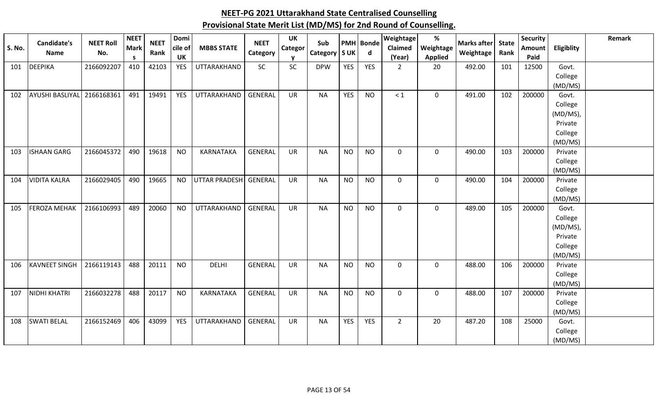| <b>S. No.</b> | <b>Candidate's</b><br><b>Name</b> | <b>NEET Roll</b><br>No. | <b>NEET</b><br><b>Mark</b> | <b>NEET</b><br>Rank | Domi<br>cile of | <b>MBBS STATE</b>    | <b>NEET</b><br>Category | <b>UK</b><br>Categor | Sub<br>Category   S UK |            | <b>PMH</b> Bonde<br>$\mathsf{d}$ | Weightage<br><b>Claimed</b> | $\%$<br>Weightage | <b>Marks after</b><br>Weightage | <b>State</b><br>Rank | <b>Security</b><br><b>Amount</b> | Eligiblity         | Remark |
|---------------|-----------------------------------|-------------------------|----------------------------|---------------------|-----------------|----------------------|-------------------------|----------------------|------------------------|------------|----------------------------------|-----------------------------|-------------------|---------------------------------|----------------------|----------------------------------|--------------------|--------|
|               |                                   |                         | -S                         |                     | <b>UK</b>       |                      |                         | <b>V</b>             |                        |            |                                  | (Year)                      | <b>Applied</b>    |                                 |                      | Paid                             |                    |        |
| 101           | <b>DEEPIKA</b>                    | 2166092207              | 410                        | 42103               | <b>YES</b>      | UTTARAKHAND          | <b>SC</b>               | SC                   | <b>DPW</b>             | <b>YES</b> | <b>YES</b>                       | $\overline{2}$              | 20                | 492.00                          | 101                  | 12500                            | Govt.              |        |
|               |                                   |                         |                            |                     |                 |                      |                         |                      |                        |            |                                  |                             |                   |                                 |                      |                                  | College            |        |
|               |                                   |                         |                            |                     |                 |                      |                         |                      |                        |            |                                  |                             |                   |                                 |                      |                                  | (MD/MS)            |        |
| 102           | AYUSHI BASLIYAL 2166168361        |                         | 491                        | 19491               | YES             | UTTARAKHAND          | <b>GENERAL</b>          | <b>UR</b>            | <b>NA</b>              | <b>YES</b> | <b>NO</b>                        | $< 1$                       | $\mathbf 0$       | 491.00                          | 102                  | 200000                           | Govt.              |        |
|               |                                   |                         |                            |                     |                 |                      |                         |                      |                        |            |                                  |                             |                   |                                 |                      |                                  | College            |        |
|               |                                   |                         |                            |                     |                 |                      |                         |                      |                        |            |                                  |                             |                   |                                 |                      |                                  | (MD/MS),           |        |
|               |                                   |                         |                            |                     |                 |                      |                         |                      |                        |            |                                  |                             |                   |                                 |                      |                                  | Private            |        |
|               |                                   |                         |                            |                     |                 |                      |                         |                      |                        |            |                                  |                             |                   |                                 |                      |                                  | College            |        |
| 103           | <b>ISHAAN GARG</b>                | 2166045372              | 490                        | 19618               | <b>NO</b>       | KARNATAKA            | GENERAL                 | <b>UR</b>            | <b>NA</b>              | <b>NO</b>  | <b>NO</b>                        | 0                           | $\mathbf 0$       | 490.00                          | 103                  | 200000                           | (MD/MS)<br>Private |        |
|               |                                   |                         |                            |                     |                 |                      |                         |                      |                        |            |                                  |                             |                   |                                 |                      |                                  | College            |        |
|               |                                   |                         |                            |                     |                 |                      |                         |                      |                        |            |                                  |                             |                   |                                 |                      |                                  | (MD/MS)            |        |
| 104           | <b>VIDITA KALRA</b>               | 2166029405              | 490                        | 19665               | <b>NO</b>       | <b>UTTAR PRADESH</b> | <b>GENERAL</b>          | <b>UR</b>            | <b>NA</b>              | <b>NO</b>  | <b>NO</b>                        | 0                           | $\mathbf 0$       | 490.00                          | 104                  | 200000                           | Private            |        |
|               |                                   |                         |                            |                     |                 |                      |                         |                      |                        |            |                                  |                             |                   |                                 |                      |                                  | College            |        |
|               |                                   |                         |                            |                     |                 |                      |                         |                      |                        |            |                                  |                             |                   |                                 |                      |                                  | (MD/MS)            |        |
| 105           | <b>FEROZA MEHAK</b>               | 2166106993              | 489                        | 20060               | <b>NO</b>       | UTTARAKHAND          | GENERAL                 | <b>UR</b>            | <b>NA</b>              | <b>NO</b>  | <b>NO</b>                        | $\mathbf 0$                 | $\mathbf 0$       | 489.00                          | 105                  | 200000                           | Govt.              |        |
|               |                                   |                         |                            |                     |                 |                      |                         |                      |                        |            |                                  |                             |                   |                                 |                      |                                  | College            |        |
|               |                                   |                         |                            |                     |                 |                      |                         |                      |                        |            |                                  |                             |                   |                                 |                      |                                  | (MD/MS),           |        |
|               |                                   |                         |                            |                     |                 |                      |                         |                      |                        |            |                                  |                             |                   |                                 |                      |                                  | Private            |        |
|               |                                   |                         |                            |                     |                 |                      |                         |                      |                        |            |                                  |                             |                   |                                 |                      |                                  | College            |        |
|               |                                   |                         |                            |                     |                 |                      |                         |                      |                        |            |                                  |                             |                   |                                 |                      |                                  | (MD/MS)            |        |
| 106           | <b>KAVNEET SINGH</b>              | 2166119143              | 488                        | 20111               | <b>NO</b>       | <b>DELHI</b>         | <b>GENERAL</b>          | <b>UR</b>            | <b>NA</b>              | <b>NO</b>  | <b>NO</b>                        | 0                           | $\mathbf 0$       | 488.00                          | 106                  | 200000                           | Private            |        |
|               |                                   |                         |                            |                     |                 |                      |                         |                      |                        |            |                                  |                             |                   |                                 |                      |                                  | College            |        |
|               |                                   |                         |                            |                     |                 |                      |                         |                      |                        |            |                                  |                             |                   |                                 |                      |                                  | (MD/MS)            |        |
| 107           | <b>NIDHI KHATRI</b>               | 2166032278              | 488                        | 20117               | <b>NO</b>       | KARNATAKA            | <b>GENERAL</b>          | <b>UR</b>            | <b>NA</b>              | <b>NO</b>  | <b>NO</b>                        | 0                           | $\mathbf 0$       | 488.00                          | 107                  | 200000                           | Private            |        |
|               |                                   |                         |                            |                     |                 |                      |                         |                      |                        |            |                                  |                             |                   |                                 |                      |                                  | College            |        |
|               |                                   |                         |                            |                     |                 |                      |                         |                      |                        |            |                                  |                             |                   |                                 |                      |                                  | (MD/MS)            |        |
| 108           | <b>SWATI BELAL</b>                | 2166152469              | 406                        | 43099               | <b>YES</b>      | UTTARAKHAND          | <b>GENERAL</b>          | <b>UR</b>            | <b>NA</b>              | <b>YES</b> | <b>YES</b>                       | $\overline{2}$              | 20                | 487.20                          | 108                  | 25000                            | Govt.              |        |
|               |                                   |                         |                            |                     |                 |                      |                         |                      |                        |            |                                  |                             |                   |                                 |                      |                                  | College            |        |
|               |                                   |                         |                            |                     |                 |                      |                         |                      |                        |            |                                  |                             |                   |                                 |                      |                                  | (MD/MS)            |        |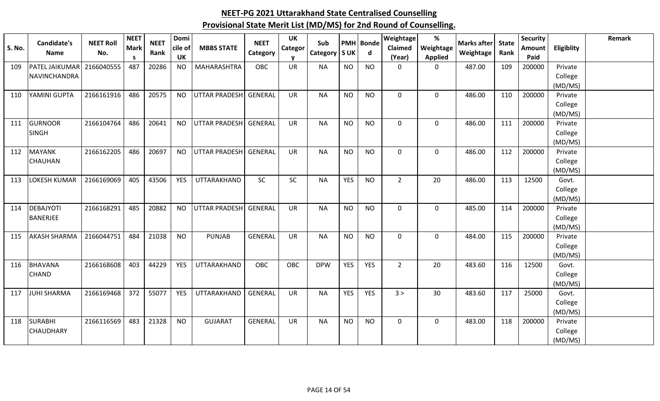| <b>S. No.</b> | Candidate's<br><b>Name</b>          | <b>NEET Roll</b><br>No. | <b>NEET</b><br><b>Mark</b><br>-S | <b>NEET</b><br>Rank | Domi<br>cile of<br><b>UK</b> | <b>MBBS STATE</b>    | <b>NEET</b><br>Category | <b>UK</b><br>Categor | Sub<br>Category | <b>SUK</b> | PMH Bonde<br>$\mathbf d$ | Weightage<br><b>Claimed</b><br>(Year) | $\%$<br>Weightage<br><b>Applied</b> | <b>Marks after</b><br>Weightage | <b>State</b><br>Rank | Security<br>Amount<br>Paid | Eligiblity                    | Remark |
|---------------|-------------------------------------|-------------------------|----------------------------------|---------------------|------------------------------|----------------------|-------------------------|----------------------|-----------------|------------|--------------------------|---------------------------------------|-------------------------------------|---------------------------------|----------------------|----------------------------|-------------------------------|--------|
| 109           | PATEL JAIKUMAR<br>NAVINCHANDRA      | 2166040555              | 487                              | 20286               | <b>NO</b>                    | MAHARASHTRA          | <b>OBC</b>              | <b>UR</b>            | <b>NA</b>       | <b>NO</b>  | <b>NO</b>                | $\mathbf{0}$                          | 0                                   | 487.00                          | 109                  | 200000                     | Private<br>College<br>(MD/MS) |        |
| 110           | YAMINI GUPTA                        | 2166161916              | 486                              | 20575               | <b>NO</b>                    | <b>UTTAR PRADESH</b> | <b>GENERAL</b>          | <b>UR</b>            | <b>NA</b>       | <b>NO</b>  | <b>NO</b>                | 0                                     | $\mathbf 0$                         | 486.00                          | 110                  | 200000                     | Private<br>College<br>(MD/MS) |        |
| 111           | <b>GURNOOR</b><br><b>SINGH</b>      | 2166104764              | 486                              | 20641               | <b>NO</b>                    | <b>UTTAR PRADESH</b> | <b>GENERAL</b>          | <b>UR</b>            | <b>NA</b>       | <b>NO</b>  | <b>NO</b>                | 0                                     | 0                                   | 486.00                          | 111                  | 200000                     | Private<br>College<br>(MD/MS) |        |
| 112           | <b>MAYANK</b><br><b>CHAUHAN</b>     | 2166162205              | 486                              | 20697               | <b>NO</b>                    | <b>UTTAR PRADESH</b> | <b>GENERAL</b>          | <b>UR</b>            | <b>NA</b>       | <b>NO</b>  | <b>NO</b>                | 0                                     | $\mathbf 0$                         | 486.00                          | 112                  | 200000                     | Private<br>College<br>(MD/MS) |        |
| 113           | LOKESH KUMAR                        | 2166169069              | 405                              | 43506               | YES                          | UTTARAKHAND          | SC                      | SC                   | <b>NA</b>       | <b>YES</b> | <b>NO</b>                | $\overline{2}$                        | 20                                  | 486.00                          | 113                  | 12500                      | Govt.<br>College<br>(MD/MS)   |        |
| 114           | <b>DEBAJYOTI</b><br><b>BANERJEE</b> | 2166168291              | 485                              | 20882               | <b>NO</b>                    | <b>UTTAR PRADESH</b> | <b>GENERAL</b>          | <b>UR</b>            | <b>NA</b>       | <b>NO</b>  | <b>NO</b>                | 0                                     | $\mathbf 0$                         | 485.00                          | 114                  | 200000                     | Private<br>College<br>(MD/MS) |        |
| 115           | <b>AKASH SHARMA</b>                 | 2166044751              | 484                              | 21038               | <b>NO</b>                    | <b>PUNJAB</b>        | <b>GENERAL</b>          | <b>UR</b>            | <b>NA</b>       | <b>NO</b>  | <b>NO</b>                | 0                                     | $\mathbf 0$                         | 484.00                          | 115                  | 200000                     | Private<br>College<br>(MD/MS) |        |
| 116           | <b>BHAVANA</b><br><b>CHAND</b>      | 2166168608              | 403                              | 44229               | <b>YES</b>                   | UTTARAKHAND          | <b>OBC</b>              | OBC                  | <b>DPW</b>      | <b>YES</b> | <b>YES</b>               | $\overline{2}$                        | 20                                  | 483.60                          | 116                  | 12500                      | Govt.<br>College<br>(MD/MS)   |        |
| 117           | <b>JUHI SHARMA</b>                  | 2166169468              | 372                              | 55077               | YES                          | UTTARAKHAND          | <b>GENERAL</b>          | <b>UR</b>            | <b>NA</b>       | <b>YES</b> | YES                      | 3 >                                   | 30                                  | 483.60                          | 117                  | 25000                      | Govt.<br>College<br>(MD/MS)   |        |
| 118           | <b>SURABHI</b><br><b>CHAUDHARY</b>  | 2166116569              | 483                              | 21328               | <b>NO</b>                    | <b>GUJARAT</b>       | <b>GENERAL</b>          | UR                   | <b>NA</b>       | <b>NO</b>  | <b>NO</b>                | 0                                     | $\mathbf 0$                         | 483.00                          | 118                  | 200000                     | Private<br>College<br>(MD/MS) |        |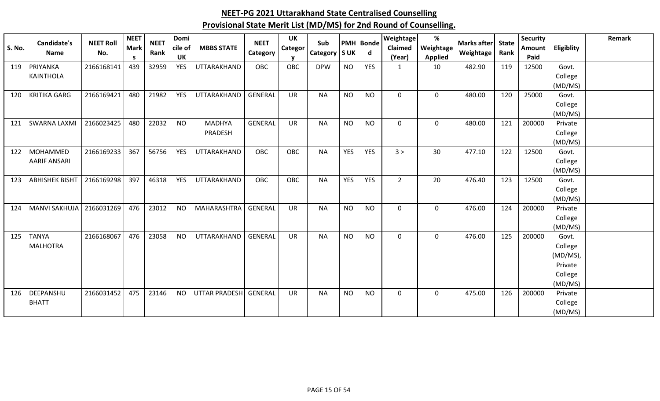|        | <b>Candidate's</b>    | <b>NEET Roll</b> | <b>NEET</b> | <b>NEET</b> | Domi       |                      | <b>NEET</b>    | <b>UK</b> | Sub             |            | PMH Bonde  | Weightage      | %              | Marks after State |      | <b>Security</b> |            | Remark |
|--------|-----------------------|------------------|-------------|-------------|------------|----------------------|----------------|-----------|-----------------|------------|------------|----------------|----------------|-------------------|------|-----------------|------------|--------|
| S. No. | <b>Name</b>           | No.              | <b>Mark</b> | Rank        | cile of    | <b>MBBS STATE</b>    | Category       | Categor   | Category   S UK |            | d          | Claimed        | Weightage      | Weightage         | Rank | <b>Amount</b>   | Eligiblity |        |
|        |                       |                  | S.          |             | <b>UK</b>  |                      |                | v         |                 |            |            | (Year)         | <b>Applied</b> |                   |      | Paid            |            |        |
| 119    | PRIYANKA              | 2166168141       | 439         | 32959       | <b>YES</b> | UTTARAKHAND          | <b>OBC</b>     | OBC       | <b>DPW</b>      | <b>NO</b>  | <b>YES</b> | $\mathbf{1}$   | 10             | 482.90            | 119  | 12500           | Govt.      |        |
|        | KAINTHOLA             |                  |             |             |            |                      |                |           |                 |            |            |                |                |                   |      |                 | College    |        |
|        |                       |                  |             |             |            |                      |                |           |                 |            |            |                |                |                   |      |                 | (MD/MS)    |        |
| 120    | <b>KRITIKA GARG</b>   | 2166169421       | 480         | 21982       | <b>YES</b> | UTTARAKHAND          | GENERAL        | <b>UR</b> | <b>NA</b>       | <b>NO</b>  | <b>NO</b>  | $\mathbf 0$    | 0              | 480.00            | 120  | 25000           | Govt.      |        |
|        |                       |                  |             |             |            |                      |                |           |                 |            |            |                |                |                   |      |                 | College    |        |
|        |                       |                  |             |             |            |                      |                |           |                 |            |            |                |                |                   |      |                 | (MD/MS)    |        |
| 121    | <b>SWARNA LAXMI</b>   | 2166023425       | 480         | 22032       | <b>NO</b>  | <b>MADHYA</b>        | <b>GENERAL</b> | <b>UR</b> | <b>NA</b>       | <b>NO</b>  | <b>NO</b>  | $\mathbf{0}$   | 0              | 480.00            | 121  | 200000          | Private    |        |
|        |                       |                  |             |             |            | PRADESH              |                |           |                 |            |            |                |                |                   |      |                 | College    |        |
|        |                       |                  |             |             |            |                      |                |           |                 |            |            |                |                |                   |      |                 | (MD/MS)    |        |
| 122    | <b>MOHAMMED</b>       | 2166169233       | 367         | 56756       | <b>YES</b> | UTTARAKHAND          | <b>OBC</b>     | OBC       | <b>NA</b>       | <b>YES</b> | <b>YES</b> | 3 >            | 30             | 477.10            | 122  | 12500           | Govt.      |        |
|        | <b>AARIF ANSARI</b>   |                  |             |             |            |                      |                |           |                 |            |            |                |                |                   |      |                 | College    |        |
|        |                       |                  |             |             |            |                      |                |           |                 |            |            |                |                |                   |      |                 | (MD/MS)    |        |
| 123    | <b>ABHISHEK BISHT</b> | 2166169298       | 397         | 46318       | <b>YES</b> | UTTARAKHAND          | <b>OBC</b>     | OBC       | <b>NA</b>       | <b>YES</b> | <b>YES</b> | $\overline{2}$ | 20             | 476.40            | 123  | 12500           | Govt.      |        |
|        |                       |                  |             |             |            |                      |                |           |                 |            |            |                |                |                   |      |                 | College    |        |
|        |                       |                  |             |             |            |                      |                |           |                 |            |            |                |                |                   |      |                 | (MD/MS)    |        |
| 124    | MANVI SAKHUJA         | 2166031269       | 476         | 23012       | <b>NO</b>  | MAHARASHTRA          | GENERAL        | <b>UR</b> | <b>NA</b>       | <b>NO</b>  | <b>NO</b>  | $\mathbf 0$    | $\mathbf 0$    | 476.00            | 124  | 200000          | Private    |        |
|        |                       |                  |             |             |            |                      |                |           |                 |            |            |                |                |                   |      |                 | College    |        |
|        |                       |                  |             |             |            |                      |                |           |                 |            |            |                |                |                   |      |                 | (MD/MS)    |        |
| 125    | <b>TANYA</b>          | 2166168067       | 476         | 23058       | <b>NO</b>  | UTTARAKHAND          | GENERAL        | <b>UR</b> | <b>NA</b>       | <b>NO</b>  | <b>NO</b>  | 0              | 0              | 476.00            | 125  | 200000          | Govt.      |        |
|        | MALHOTRA              |                  |             |             |            |                      |                |           |                 |            |            |                |                |                   |      |                 | College    |        |
|        |                       |                  |             |             |            |                      |                |           |                 |            |            |                |                |                   |      |                 | (MD/MS),   |        |
|        |                       |                  |             |             |            |                      |                |           |                 |            |            |                |                |                   |      |                 | Private    |        |
|        |                       |                  |             |             |            |                      |                |           |                 |            |            |                |                |                   |      |                 | College    |        |
|        |                       |                  |             |             |            |                      |                |           |                 |            |            |                |                |                   |      |                 | (MD/MS)    |        |
| 126    | DEEPANSHU             | 2166031452       | 475         | 23146       | <b>NO</b>  | <b>UTTAR PRADESH</b> | GENERAL        | <b>UR</b> | <b>NA</b>       | <b>NO</b>  | <b>NO</b>  | 0              | 0              | 475.00            | 126  | 200000          | Private    |        |
|        | <b>BHATT</b>          |                  |             |             |            |                      |                |           |                 |            |            |                |                |                   |      |                 | College    |        |
|        |                       |                  |             |             |            |                      |                |           |                 |            |            |                |                |                   |      |                 | (MD/MS)    |        |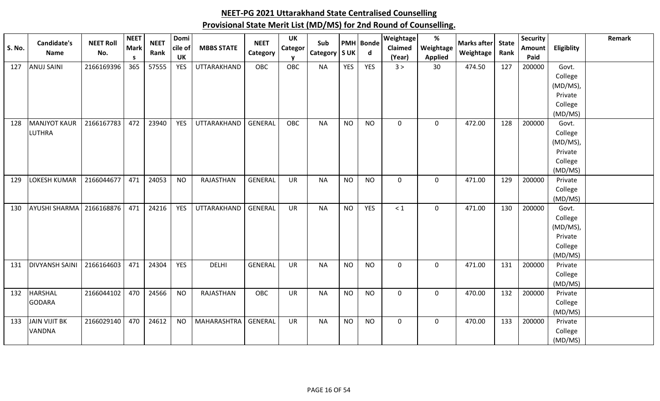| <b>S. No.</b> | <b>Candidate's</b><br><b>Name</b> | <b>NEET Roll</b><br>No. | <b>NEET</b><br><b>Mark</b> | <b>NEET</b><br>Rank | Domi<br>cile of | <b>MBBS STATE</b> | <b>NEET</b><br>Category | UK<br>Categor | Sub<br>Category | <b>SUK</b> | <b>PMH</b> Bonde<br>$\mathsf{d}$ | Weightage<br>Claimed | $\%$<br>Weightage | <b>Marks after</b><br>Weightage | <b>State</b><br>Rank | Security<br>Amount | Eligiblity         | Remark |
|---------------|-----------------------------------|-------------------------|----------------------------|---------------------|-----------------|-------------------|-------------------------|---------------|-----------------|------------|----------------------------------|----------------------|-------------------|---------------------------------|----------------------|--------------------|--------------------|--------|
|               |                                   |                         | <b>S</b>                   |                     | <b>UK</b>       |                   |                         |               |                 |            |                                  | (Year)               | <b>Applied</b>    |                                 |                      | Paid               |                    |        |
| 127           | <b>ANUJ SAINI</b>                 | 2166169396              | 365                        | 57555               | <b>YES</b>      | UTTARAKHAND       | <b>OBC</b>              | OBC           | <b>NA</b>       | <b>YES</b> | <b>YES</b>                       | 3 >                  | 30                | 474.50                          | 127                  | 200000             | Govt.              |        |
|               |                                   |                         |                            |                     |                 |                   |                         |               |                 |            |                                  |                      |                   |                                 |                      |                    | College            |        |
|               |                                   |                         |                            |                     |                 |                   |                         |               |                 |            |                                  |                      |                   |                                 |                      |                    | (MD/MS),           |        |
|               |                                   |                         |                            |                     |                 |                   |                         |               |                 |            |                                  |                      |                   |                                 |                      |                    | Private            |        |
|               |                                   |                         |                            |                     |                 |                   |                         |               |                 |            |                                  |                      |                   |                                 |                      |                    | College            |        |
|               |                                   |                         |                            |                     |                 |                   |                         |               |                 |            |                                  |                      |                   |                                 |                      |                    | (MD/MS)            |        |
| 128           | <b>MANJYOT KAUR</b>               | 2166167783              | 472                        | 23940               | <b>YES</b>      | UTTARAKHAND       | <b>GENERAL</b>          | OBC           | <b>NA</b>       | <b>NO</b>  | <b>NO</b>                        | 0                    | 0                 | 472.00                          | 128                  | 200000             | Govt.              |        |
|               | <b>LUTHRA</b>                     |                         |                            |                     |                 |                   |                         |               |                 |            |                                  |                      |                   |                                 |                      |                    | College            |        |
|               |                                   |                         |                            |                     |                 |                   |                         |               |                 |            |                                  |                      |                   |                                 |                      |                    | (MD/MS)            |        |
|               |                                   |                         |                            |                     |                 |                   |                         |               |                 |            |                                  |                      |                   |                                 |                      |                    | Private<br>College |        |
|               |                                   |                         |                            |                     |                 |                   |                         |               |                 |            |                                  |                      |                   |                                 |                      |                    | (MD/MS)            |        |
| 129           | LOKESH KUMAR                      | 2166044677              | 471                        | 24053               | <b>NO</b>       | RAJASTHAN         | <b>GENERAL</b>          | UR            | <b>NA</b>       | <b>NO</b>  | <b>NO</b>                        | 0                    | $\mathbf 0$       | 471.00                          | 129                  | 200000             | Private            |        |
|               |                                   |                         |                            |                     |                 |                   |                         |               |                 |            |                                  |                      |                   |                                 |                      |                    | College            |        |
|               |                                   |                         |                            |                     |                 |                   |                         |               |                 |            |                                  |                      |                   |                                 |                      |                    | (MD/MS)            |        |
| 130           | <b>AYUSHI SHARMA</b>              | 2166168876              | 471                        | 24216               | <b>YES</b>      | UTTARAKHAND       | <b>GENERAL</b>          | <b>UR</b>     | <b>NA</b>       | <b>NO</b>  | <b>YES</b>                       | $\leq 1$             | 0                 | 471.00                          | 130                  | 200000             | Govt.              |        |
|               |                                   |                         |                            |                     |                 |                   |                         |               |                 |            |                                  |                      |                   |                                 |                      |                    | College            |        |
|               |                                   |                         |                            |                     |                 |                   |                         |               |                 |            |                                  |                      |                   |                                 |                      |                    | (MD/MS)            |        |
|               |                                   |                         |                            |                     |                 |                   |                         |               |                 |            |                                  |                      |                   |                                 |                      |                    | Private            |        |
|               |                                   |                         |                            |                     |                 |                   |                         |               |                 |            |                                  |                      |                   |                                 |                      |                    | College            |        |
|               |                                   |                         |                            |                     |                 |                   |                         |               |                 |            |                                  |                      |                   |                                 |                      |                    | (MD/MS)            |        |
| 131           | <b>DIVYANSH SAINI</b>             | 2166164603              | 471                        | 24304               | YES             | <b>DELHI</b>      | GENERAL                 | UR            | <b>NA</b>       | <b>NO</b>  | <b>NO</b>                        | 0                    | $\mathbf 0$       | 471.00                          | 131                  | 200000             | Private            |        |
|               |                                   |                         |                            |                     |                 |                   |                         |               |                 |            |                                  |                      |                   |                                 |                      |                    | College            |        |
|               |                                   |                         |                            |                     |                 |                   |                         |               |                 |            |                                  |                      |                   |                                 |                      |                    | (MD/MS)            |        |
| 132           | <b>HARSHAL</b>                    | 2166044102              | 470                        | 24566               | <b>NO</b>       | RAJASTHAN         | OBC                     | <b>UR</b>     | <b>NA</b>       | <b>NO</b>  | <b>NO</b>                        | 0                    | $\mathbf 0$       | 470.00                          | 132                  | 200000             | Private            |        |
|               | <b>GODARA</b>                     |                         |                            |                     |                 |                   |                         |               |                 |            |                                  |                      |                   |                                 |                      |                    | College            |        |
|               |                                   |                         |                            |                     |                 |                   |                         |               |                 |            |                                  |                      |                   |                                 |                      |                    | (MD/MS)            |        |
| 133           | JAIN VIJIT BK                     | 2166029140              | 470                        | 24612               | <b>NO</b>       | MAHARASHTRA       | <b>GENERAL</b>          | <b>UR</b>     | <b>NA</b>       | <b>NO</b>  | <b>NO</b>                        | 0                    | $\mathbf 0$       | 470.00                          | 133                  | 200000             | Private            |        |
|               | <b>VANDNA</b>                     |                         |                            |                     |                 |                   |                         |               |                 |            |                                  |                      |                   |                                 |                      |                    | College            |        |
|               |                                   |                         |                            |                     |                 |                   |                         |               |                 |            |                                  |                      |                   |                                 |                      |                    | (MD/MS)            |        |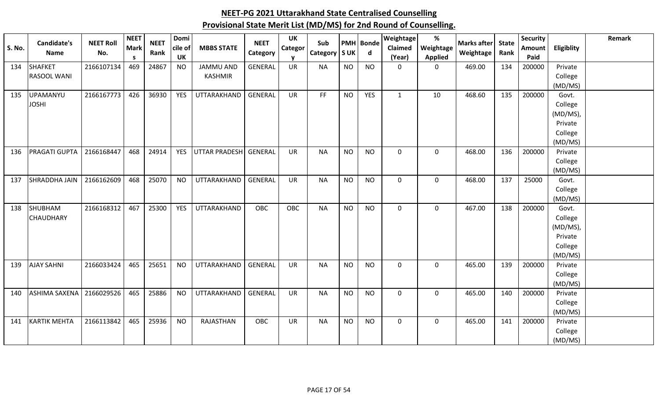| <b>S. No.</b> | Candidate's                 | <b>NEET Roll</b> | <b>NEET</b><br><b>Mark</b> | <b>NEET</b> | Domi<br>cile of | <b>MBBS STATE</b>    | <b>NEET</b>    | <b>UK</b><br>Categor | Sub             |           | <b>PMH</b> Bonde | Weightage<br>Claimed | $\%$<br>Weightage | <b>Marks after</b> | <b>State</b> | <b>Security</b><br><b>Amount</b> | Eligiblity          | Remark |
|---------------|-----------------------------|------------------|----------------------------|-------------|-----------------|----------------------|----------------|----------------------|-----------------|-----------|------------------|----------------------|-------------------|--------------------|--------------|----------------------------------|---------------------|--------|
|               | <b>Name</b>                 | No.              | -S                         | Rank        | UK              |                      | Category       |                      | Category   S UK |           | d                | (Year)               | <b>Applied</b>    | Weightage          | Rank         | Paid                             |                     |        |
| 134           | <b>SHAFKET</b>              | 2166107134       | 469                        | 24867       | <b>NO</b>       | <b>JAMMU AND</b>     | <b>GENERAL</b> | <b>UR</b>            | <b>NA</b>       | <b>NO</b> | <b>NO</b>        | 0                    | $\mathbf 0$       | 469.00             | 134          | 200000                           | Private             |        |
|               | <b>RASOOL WANI</b>          |                  |                            |             |                 | <b>KASHMIR</b>       |                |                      |                 |           |                  |                      |                   |                    |              |                                  | College             |        |
|               |                             |                  |                            |             |                 |                      |                |                      |                 |           |                  |                      |                   |                    |              |                                  | (MD/MS)             |        |
| 135           | UPAMANYU                    | 2166167773       | 426                        | 36930       | YES             | UTTARAKHAND          | <b>GENERAL</b> | <b>UR</b>            | <b>FF</b>       | <b>NO</b> | <b>YES</b>       | $\mathbf{1}$         | 10                | 468.60             | 135          | 200000                           | Govt.               |        |
|               | <b>JOSHI</b>                |                  |                            |             |                 |                      |                |                      |                 |           |                  |                      |                   |                    |              |                                  | College             |        |
|               |                             |                  |                            |             |                 |                      |                |                      |                 |           |                  |                      |                   |                    |              |                                  | (MD/MS),            |        |
|               |                             |                  |                            |             |                 |                      |                |                      |                 |           |                  |                      |                   |                    |              |                                  | Private             |        |
|               |                             |                  |                            |             |                 |                      |                |                      |                 |           |                  |                      |                   |                    |              |                                  | College             |        |
|               |                             |                  |                            |             |                 |                      |                |                      |                 |           |                  |                      |                   |                    |              |                                  | (MD/MS)             |        |
| 136           | PRAGATI GUPTA               | 2166168447       | 468                        | 24914       | YES             | <b>UTTAR PRADESH</b> | GENERAL        | <b>UR</b>            | <b>NA</b>       | <b>NO</b> | <b>NO</b>        | 0                    | $\mathbf 0$       | 468.00             | 136          | 200000                           | Private             |        |
|               |                             |                  |                            |             |                 |                      |                |                      |                 |           |                  |                      |                   |                    |              |                                  | College             |        |
|               |                             |                  |                            |             |                 |                      |                |                      |                 |           |                  |                      |                   |                    |              |                                  | (MD/MS)             |        |
| 137           | SHRADDHA JAIN               | 2166162609       | 468                        | 25070       | <b>NO</b>       | <b>UTTARAKHAND</b>   | <b>GENERAL</b> | <b>UR</b>            | <b>NA</b>       | <b>NO</b> | <b>NO</b>        | 0                    | $\mathbf 0$       | 468.00             | 137          | 25000                            | Govt.               |        |
|               |                             |                  |                            |             |                 |                      |                |                      |                 |           |                  |                      |                   |                    |              |                                  | College             |        |
|               |                             |                  |                            |             |                 |                      |                |                      |                 |           |                  |                      |                   |                    |              |                                  | (MD/MS)             |        |
| 138           | SHUBHAM<br><b>CHAUDHARY</b> | 2166168312       | 467                        | 25300       | YES             | UTTARAKHAND          | OBC            | OBC                  | <b>NA</b>       | <b>NO</b> | <b>NO</b>        | 0                    | $\mathbf 0$       | 467.00             | 138          | 200000                           | Govt.               |        |
|               |                             |                  |                            |             |                 |                      |                |                      |                 |           |                  |                      |                   |                    |              |                                  | College<br>(MD/MS), |        |
|               |                             |                  |                            |             |                 |                      |                |                      |                 |           |                  |                      |                   |                    |              |                                  | Private             |        |
|               |                             |                  |                            |             |                 |                      |                |                      |                 |           |                  |                      |                   |                    |              |                                  | College             |        |
|               |                             |                  |                            |             |                 |                      |                |                      |                 |           |                  |                      |                   |                    |              |                                  | (MD/MS)             |        |
| 139           | <b>AJAY SAHNI</b>           | 2166033424       | 465                        | 25651       | <b>NO</b>       | UTTARAKHAND          | GENERAL        | <b>UR</b>            | <b>NA</b>       | <b>NO</b> | <b>NO</b>        | 0                    | $\mathbf 0$       | 465.00             | 139          | 200000                           | Private             |        |
|               |                             |                  |                            |             |                 |                      |                |                      |                 |           |                  |                      |                   |                    |              |                                  | College             |        |
|               |                             |                  |                            |             |                 |                      |                |                      |                 |           |                  |                      |                   |                    |              |                                  | (MD/MS)             |        |
| 140           | ASHIMA SAXENA               | 2166029526       | 465                        | 25886       | <b>NO</b>       | UTTARAKHAND          | <b>GENERAL</b> | <b>UR</b>            | <b>NA</b>       | <b>NO</b> | <b>NO</b>        | 0                    | 0                 | 465.00             | 140          | 200000                           | Private             |        |
|               |                             |                  |                            |             |                 |                      |                |                      |                 |           |                  |                      |                   |                    |              |                                  | College             |        |
|               |                             |                  |                            |             |                 |                      |                |                      |                 |           |                  |                      |                   |                    |              |                                  | (MD/MS)             |        |
| 141           | <b>KARTIK MEHTA</b>         | 2166113842       | 465                        | 25936       | <b>NO</b>       | RAJASTHAN            | <b>OBC</b>     | <b>UR</b>            | <b>NA</b>       | <b>NO</b> | <b>NO</b>        | $\mathbf 0$          | $\mathbf 0$       | 465.00             | 141          | 200000                           | Private             |        |
|               |                             |                  |                            |             |                 |                      |                |                      |                 |           |                  |                      |                   |                    |              |                                  | College             |        |
|               |                             |                  |                            |             |                 |                      |                |                      |                 |           |                  |                      |                   |                    |              |                                  | (MD/MS)             |        |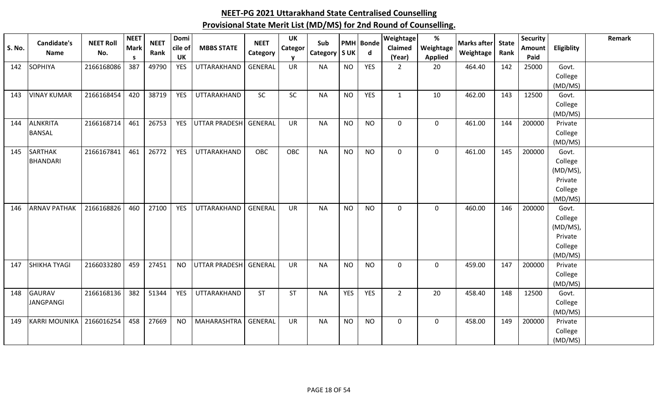| <b>S. No.</b> | <b>Candidate's</b><br><b>Name</b> | <b>NEET Roll</b><br>No. | <b>NEET</b><br><b>Mark</b><br>-S | <b>NEET</b><br>Rank | Domi<br>cile of<br>UK | <b>MBBS STATE</b>    | <b>NEET</b><br>Category | <b>UK</b><br><b>Categor</b><br>V | Sub<br>Category   S UK |            | PMH Bonde<br>d | <b>Weightage</b><br>Claimed<br>(Year) | $\%$<br>Weightage<br><b>Applied</b> | <b>Marks after</b><br>Weightage | <b>State</b><br>Rank | <b>Security</b><br>Amount<br>Paid | Eligiblity          | Remark |
|---------------|-----------------------------------|-------------------------|----------------------------------|---------------------|-----------------------|----------------------|-------------------------|----------------------------------|------------------------|------------|----------------|---------------------------------------|-------------------------------------|---------------------------------|----------------------|-----------------------------------|---------------------|--------|
| 142           | <b>SOPHIYA</b>                    | 2166168086              | 387                              | 49790               | <b>YES</b>            | UTTARAKHAND          | <b>GENERAL</b>          | <b>UR</b>                        | <b>NA</b>              | <b>NO</b>  | <b>YES</b>     | $\overline{2}$                        | 20                                  | 464.40                          | 142                  | 25000                             | Govt.               |        |
|               |                                   |                         |                                  |                     |                       |                      |                         |                                  |                        |            |                |                                       |                                     |                                 |                      |                                   | College<br>(MD/MS)  |        |
| 143           | <b>VINAY KUMAR</b>                | 2166168454              | 420                              | 38719               | <b>YES</b>            | UTTARAKHAND          | SC                      | <b>SC</b>                        | <b>NA</b>              | <b>NO</b>  | <b>YES</b>     | $\mathbf{1}$                          | 10                                  | 462.00                          | 143                  | 12500                             | Govt.               |        |
|               |                                   |                         |                                  |                     |                       |                      |                         |                                  |                        |            |                |                                       |                                     |                                 |                      |                                   | College<br>(MD/MS)  |        |
| 144           | <b>ALNKRITA</b>                   | 2166168714              | 461                              | 26753               | <b>YES</b>            | <b>UTTAR PRADESH</b> | <b>GENERAL</b>          | UR                               | <b>NA</b>              | <b>NO</b>  | <b>NO</b>      | $\mathbf 0$                           | $\mathbf 0$                         | 461.00                          | 144                  | 200000                            | Private             |        |
|               | <b>BANSAL</b>                     |                         |                                  |                     |                       |                      |                         |                                  |                        |            |                |                                       |                                     |                                 |                      |                                   | College             |        |
|               |                                   |                         |                                  |                     |                       |                      |                         |                                  |                        |            |                |                                       |                                     |                                 |                      |                                   | (MD/MS)             |        |
| 145           | <b>SARTHAK</b>                    | 2166167841              | 461                              | 26772               | <b>YES</b>            | UTTARAKHAND          | <b>OBC</b>              | OBC                              | <b>NA</b>              | <b>NO</b>  | <b>NO</b>      | $\mathbf 0$                           | $\mathbf 0$                         | 461.00                          | 145                  | 200000                            | Govt.               |        |
|               | <b>BHANDARI</b>                   |                         |                                  |                     |                       |                      |                         |                                  |                        |            |                |                                       |                                     |                                 |                      |                                   | College             |        |
|               |                                   |                         |                                  |                     |                       |                      |                         |                                  |                        |            |                |                                       |                                     |                                 |                      |                                   | (MD/MS),<br>Private |        |
|               |                                   |                         |                                  |                     |                       |                      |                         |                                  |                        |            |                |                                       |                                     |                                 |                      |                                   | College             |        |
|               |                                   |                         |                                  |                     |                       |                      |                         |                                  |                        |            |                |                                       |                                     |                                 |                      |                                   | (MD/MS)             |        |
| 146           | <b>ARNAV PATHAK</b>               | 2166168826              | 460                              | 27100               | <b>YES</b>            | UTTARAKHAND          | GENERAL                 | UR                               | <b>NA</b>              | <b>NO</b>  | <b>NO</b>      | $\mathbf 0$                           | $\mathbf 0$                         | 460.00                          | 146                  | 200000                            | Govt.               |        |
|               |                                   |                         |                                  |                     |                       |                      |                         |                                  |                        |            |                |                                       |                                     |                                 |                      |                                   | College             |        |
|               |                                   |                         |                                  |                     |                       |                      |                         |                                  |                        |            |                |                                       |                                     |                                 |                      |                                   | (MD/MS),            |        |
|               |                                   |                         |                                  |                     |                       |                      |                         |                                  |                        |            |                |                                       |                                     |                                 |                      |                                   | Private             |        |
|               |                                   |                         |                                  |                     |                       |                      |                         |                                  |                        |            |                |                                       |                                     |                                 |                      |                                   | College             |        |
|               |                                   |                         |                                  |                     |                       |                      |                         |                                  |                        |            |                |                                       |                                     |                                 |                      |                                   | (MD/MS)             |        |
| 147           | <b>SHIKHA TYAGI</b>               | 2166033280              | 459                              | 27451               | <b>NO</b>             | <b>UTTAR PRADESH</b> | <b>GENERAL</b>          | UR                               | <b>NA</b>              | <b>NO</b>  | <b>NO</b>      | $\mathbf 0$                           | 0                                   | 459.00                          | 147                  | 200000                            | Private             |        |
|               |                                   |                         |                                  |                     |                       |                      |                         |                                  |                        |            |                |                                       |                                     |                                 |                      |                                   | College             |        |
|               |                                   |                         |                                  |                     |                       |                      |                         |                                  |                        |            |                |                                       |                                     |                                 |                      |                                   | (MD/MS)             |        |
| 148           | <b>GAURAV</b><br><b>JANGPANGI</b> | 2166168136              | 382                              | 51344               | <b>YES</b>            | UTTARAKHAND          | <b>ST</b>               | <b>ST</b>                        | <b>NA</b>              | <b>YES</b> | <b>YES</b>     | $\overline{2}$                        | 20                                  | 458.40                          | 148                  | 12500                             | Govt.               |        |
|               |                                   |                         |                                  |                     |                       |                      |                         |                                  |                        |            |                |                                       |                                     |                                 |                      |                                   | College<br>(MD/MS)  |        |
| 149           | <b>KARRI MOUNIKA</b>              | 2166016254              | 458                              | 27669               | <b>NO</b>             | MAHARASHTRA          | <b>GENERAL</b>          | <b>UR</b>                        | <b>NA</b>              | <b>NO</b>  | <b>NO</b>      | $\mathbf 0$                           | $\mathbf 0$                         | 458.00                          | 149                  | 200000                            | Private             |        |
|               |                                   |                         |                                  |                     |                       |                      |                         |                                  |                        |            |                |                                       |                                     |                                 |                      |                                   | College             |        |
|               |                                   |                         |                                  |                     |                       |                      |                         |                                  |                        |            |                |                                       |                                     |                                 |                      |                                   | (MD/MS)             |        |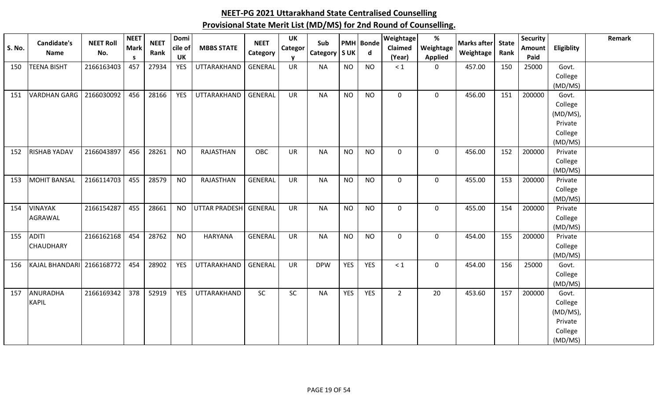| <b>S. No.</b> | Candidate's<br><b>Name</b> | <b>NEET Roll</b><br>No. | <b>NEET</b><br><b>Mark</b> | <b>NEET</b><br>Rank | Domi<br>cile of  | <b>MBBS STATE</b> | <b>NEET</b><br>Category | UK<br>Categor | Sub<br>Category   S UK |            | <b>PMH</b> Bonde<br>d | Weightage<br>Claimed | %<br>Weightage                | Marks after<br>Weightage | <b>State</b><br>Rank | <b>Security</b><br>Amount | Eligiblity         | Remark |
|---------------|----------------------------|-------------------------|----------------------------|---------------------|------------------|-------------------|-------------------------|---------------|------------------------|------------|-----------------------|----------------------|-------------------------------|--------------------------|----------------------|---------------------------|--------------------|--------|
| 150           | <b>TEENA BISHT</b>         | 2166163403              | <b>S</b><br>457            | 27934               | UK<br><b>YES</b> | UTTARAKHAND       | GENERAL                 | <b>UR</b>     | <b>NA</b>              | <b>NO</b>  | <b>NO</b>             | (Year)<br>$\leq 1$   | <b>Applied</b><br>$\mathbf 0$ | 457.00                   | 150                  | Paid<br>25000             | Govt.              |        |
|               |                            |                         |                            |                     |                  |                   |                         |               |                        |            |                       |                      |                               |                          |                      |                           | College            |        |
|               |                            |                         |                            |                     |                  |                   |                         |               |                        |            |                       |                      |                               |                          |                      |                           | (MD/MS)            |        |
| 151           | <b>VARDHAN GARG</b>        | 2166030092              | 456                        | 28166               | <b>YES</b>       | UTTARAKHAND       | <b>GENERAL</b>          | <b>UR</b>     | <b>NA</b>              | <b>NO</b>  | <b>NO</b>             | $\mathbf 0$          | $\mathbf 0$                   | 456.00                   | 151                  | 200000                    | Govt.              |        |
|               |                            |                         |                            |                     |                  |                   |                         |               |                        |            |                       |                      |                               |                          |                      |                           | College            |        |
|               |                            |                         |                            |                     |                  |                   |                         |               |                        |            |                       |                      |                               |                          |                      |                           | (MD/MS)            |        |
|               |                            |                         |                            |                     |                  |                   |                         |               |                        |            |                       |                      |                               |                          |                      |                           | Private            |        |
|               |                            |                         |                            |                     |                  |                   |                         |               |                        |            |                       |                      |                               |                          |                      |                           | College            |        |
|               |                            |                         |                            |                     |                  |                   |                         |               |                        |            |                       |                      |                               |                          |                      |                           | (MD/MS)            |        |
| 152           | <b>RISHAB YADAV</b>        | 2166043897              | 456                        | 28261               | <b>NO</b>        | RAJASTHAN         | OBC                     | UR            | <b>NA</b>              | <b>NO</b>  | <b>NO</b>             | $\mathbf 0$          | $\mathbf 0$                   | 456.00                   | 152                  | 200000                    | Private            |        |
|               |                            |                         |                            |                     |                  |                   |                         |               |                        |            |                       |                      |                               |                          |                      |                           | College            |        |
|               |                            |                         |                            |                     |                  |                   |                         |               |                        |            |                       |                      |                               |                          |                      |                           | (MD/MS)            |        |
| 153           | <b>MOHIT BANSAL</b>        | 2166114703              | 455                        | 28579               | <b>NO</b>        | RAJASTHAN         | <b>GENERAL</b>          | <b>UR</b>     | <b>NA</b>              | <b>NO</b>  | <b>NO</b>             | $\Omega$             | 0                             | 455.00                   | 153                  | 200000                    | Private            |        |
|               |                            |                         |                            |                     |                  |                   |                         |               |                        |            |                       |                      |                               |                          |                      |                           | College            |        |
| 154           | <b>VINAYAK</b>             | 2166154287              | 455                        | 28661               | <b>NO</b>        | UTTAR PRADESH     | <b>GENERAL</b>          | <b>UR</b>     | <b>NA</b>              | <b>NO</b>  | <b>NO</b>             | $\Omega$             | $\mathbf 0$                   | 455.00                   | 154                  | 200000                    | (MD/MS)<br>Private |        |
|               | AGRAWAL                    |                         |                            |                     |                  |                   |                         |               |                        |            |                       |                      |                               |                          |                      |                           | College            |        |
|               |                            |                         |                            |                     |                  |                   |                         |               |                        |            |                       |                      |                               |                          |                      |                           | (MD/MS)            |        |
| 155           | <b>ADITI</b>               | 2166162168              | 454                        | 28762               | <b>NO</b>        | HARYANA           | <b>GENERAL</b>          | <b>UR</b>     | <b>NA</b>              | <b>NO</b>  | <b>NO</b>             | $\mathbf 0$          | $\mathbf 0$                   | 454.00                   | 155                  | 200000                    | Private            |        |
|               | <b>CHAUDHARY</b>           |                         |                            |                     |                  |                   |                         |               |                        |            |                       |                      |                               |                          |                      |                           | College            |        |
|               |                            |                         |                            |                     |                  |                   |                         |               |                        |            |                       |                      |                               |                          |                      |                           | (MD/MS)            |        |
| 156           | KAJAL BHANDARI 2166168772  |                         | 454                        | 28902               | <b>YES</b>       | UTTARAKHAND       | <b>GENERAL</b>          | <b>UR</b>     | <b>DPW</b>             | <b>YES</b> | <b>YES</b>            | $\leq 1$             | $\mathbf 0$                   | 454.00                   | 156                  | 25000                     | Govt.              |        |
|               |                            |                         |                            |                     |                  |                   |                         |               |                        |            |                       |                      |                               |                          |                      |                           | College            |        |
|               |                            |                         |                            |                     |                  |                   |                         |               |                        |            |                       |                      |                               |                          |                      |                           | (MD/MS)            |        |
| 157           | ANURADHA                   | 2166169342              | 378                        | 52919               | <b>YES</b>       | UTTARAKHAND       | SC                      | SC            | <b>NA</b>              | <b>YES</b> | YES                   | $\overline{2}$       | 20                            | 453.60                   | 157                  | 200000                    | Govt.              |        |
|               | <b>KAPIL</b>               |                         |                            |                     |                  |                   |                         |               |                        |            |                       |                      |                               |                          |                      |                           | College            |        |
|               |                            |                         |                            |                     |                  |                   |                         |               |                        |            |                       |                      |                               |                          |                      |                           | (MD/MS),           |        |
|               |                            |                         |                            |                     |                  |                   |                         |               |                        |            |                       |                      |                               |                          |                      |                           | Private            |        |
|               |                            |                         |                            |                     |                  |                   |                         |               |                        |            |                       |                      |                               |                          |                      |                           | College            |        |
|               |                            |                         |                            |                     |                  |                   |                         |               |                        |            |                       |                      |                               |                          |                      |                           | (MD/MS)            |        |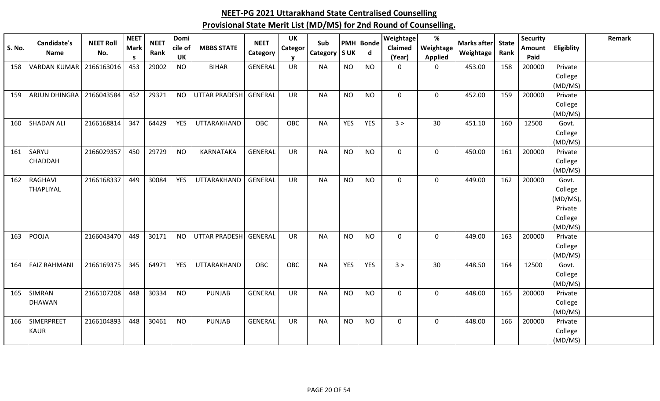| S. No. | <b>Candidate's</b><br><b>Name</b> | <b>NEET Roll</b><br>No. | <b>NEET</b><br><b>Mark</b> | <b>NEET</b><br>Rank | Domi<br>cile of        | <b>MBBS STATE</b>    | <b>NEET</b><br>Category | <b>UK</b><br>Categor  | Sub<br>Category   S UK |            | <b>PMH</b> Bonde<br>$\mathbf d$ | Weightage<br>Claimed   | $\%$<br>Weightage             | <b>Marks after</b><br>Weightage | <b>State</b><br>Rank | <b>Security</b><br>Amount | Eligiblity          | Remark |
|--------|-----------------------------------|-------------------------|----------------------------|---------------------|------------------------|----------------------|-------------------------|-----------------------|------------------------|------------|---------------------------------|------------------------|-------------------------------|---------------------------------|----------------------|---------------------------|---------------------|--------|
| 158    | <b>VARDAN KUMAR</b>               | 2166163016              | -S<br>453                  | 29002               | <b>UK</b><br><b>NO</b> | <b>BIHAR</b>         | <b>GENERAL</b>          | <b>V</b><br><b>UR</b> | <b>NA</b>              | <b>NO</b>  | <b>NO</b>                       | (Year)<br>$\mathbf{0}$ | <b>Applied</b><br>$\mathbf 0$ | 453.00                          | 158                  | Paid<br>200000            | Private             |        |
|        |                                   |                         |                            |                     |                        |                      |                         |                       |                        |            |                                 |                        |                               |                                 |                      |                           | College             |        |
|        |                                   |                         |                            |                     |                        |                      |                         |                       |                        |            |                                 |                        |                               |                                 |                      |                           | (MD/MS)             |        |
| 159    | ARJUN DHINGRA                     | 2166043584              | 452                        | 29321               | <b>NO</b>              | <b>UTTAR PRADESH</b> | GENERAL                 | <b>UR</b>             | <b>NA</b>              | <b>NO</b>  | <b>NO</b>                       | $\mathbf 0$            | $\mathbf 0$                   | 452.00                          | 159                  | 200000                    | Private             |        |
|        |                                   |                         |                            |                     |                        |                      |                         |                       |                        |            |                                 |                        |                               |                                 |                      |                           | College             |        |
|        |                                   |                         |                            |                     |                        |                      |                         |                       |                        |            |                                 |                        |                               |                                 |                      |                           | (MD/MS)             |        |
| 160    | <b>SHADAN ALI</b>                 | 2166168814              | 347                        | 64429               | <b>YES</b>             | <b>UTTARAKHAND</b>   | <b>OBC</b>              | <b>OBC</b>            | <b>NA</b>              | <b>YES</b> | YES                             | 3 >                    | 30                            | 451.10                          | 160                  | 12500                     | Govt.               |        |
|        |                                   |                         |                            |                     |                        |                      |                         |                       |                        |            |                                 |                        |                               |                                 |                      |                           | College             |        |
|        |                                   |                         |                            |                     |                        |                      |                         |                       |                        |            |                                 |                        |                               |                                 |                      |                           | (MD/MS)             |        |
| 161    | SARYU                             | 2166029357              | 450                        | 29729               | <b>NO</b>              | KARNATAKA            | <b>GENERAL</b>          | <b>UR</b>             | <b>NA</b>              | <b>NO</b>  | <b>NO</b>                       | 0                      | $\mathbf 0$                   | 450.00                          | 161                  | 200000                    | Private             |        |
|        | <b>CHADDAH</b>                    |                         |                            |                     |                        |                      |                         |                       |                        |            |                                 |                        |                               |                                 |                      |                           | College             |        |
|        |                                   |                         |                            |                     |                        |                      |                         |                       |                        |            |                                 |                        |                               |                                 |                      |                           | (MD/MS)             |        |
| 162    | RAGHAVI                           | 2166168337              | 449                        | 30084               | YES                    | UTTARAKHAND          | <b>GENERAL</b>          | <b>UR</b>             | <b>NA</b>              | <b>NO</b>  | <b>NO</b>                       | $\mathbf 0$            | $\mathbf 0$                   | 449.00                          | 162                  | 200000                    | Govt.               |        |
|        | <b>THAPLIYAL</b>                  |                         |                            |                     |                        |                      |                         |                       |                        |            |                                 |                        |                               |                                 |                      |                           | College             |        |
|        |                                   |                         |                            |                     |                        |                      |                         |                       |                        |            |                                 |                        |                               |                                 |                      |                           | (MD/MS),<br>Private |        |
|        |                                   |                         |                            |                     |                        |                      |                         |                       |                        |            |                                 |                        |                               |                                 |                      |                           | College             |        |
|        |                                   |                         |                            |                     |                        |                      |                         |                       |                        |            |                                 |                        |                               |                                 |                      |                           | (MD/MS)             |        |
| 163    | POOJA                             | 2166043470              | 449                        | 30171               | <b>NO</b>              | <b>UTTAR PRADESH</b> | <b>GENERAL</b>          | <b>UR</b>             | <b>NA</b>              | <b>NO</b>  | <b>NO</b>                       | $\mathbf 0$            | $\mathbf 0$                   | 449.00                          | 163                  | 200000                    | Private             |        |
|        |                                   |                         |                            |                     |                        |                      |                         |                       |                        |            |                                 |                        |                               |                                 |                      |                           | College             |        |
|        |                                   |                         |                            |                     |                        |                      |                         |                       |                        |            |                                 |                        |                               |                                 |                      |                           | (MD/MS)             |        |
| 164    | <b>FAIZ RAHMANI</b>               | 2166169375              | 345                        | 64971               | <b>YES</b>             | UTTARAKHAND          | OBC                     | OBC                   | <b>NA</b>              | <b>YES</b> | <b>YES</b>                      | 3 >                    | 30                            | 448.50                          | 164                  | 12500                     | Govt.               |        |
|        |                                   |                         |                            |                     |                        |                      |                         |                       |                        |            |                                 |                        |                               |                                 |                      |                           | College             |        |
|        |                                   |                         |                            |                     |                        |                      |                         |                       |                        |            |                                 |                        |                               |                                 |                      |                           | (MD/MS)             |        |
| 165    | <b>SIMRAN</b>                     | 2166107208              | 448                        | 30334               | <b>NO</b>              | <b>PUNJAB</b>        | <b>GENERAL</b>          | <b>UR</b>             | <b>NA</b>              | <b>NO</b>  | <b>NO</b>                       | $\mathbf 0$            | $\mathbf 0$                   | 448.00                          | 165                  | 200000                    | Private             |        |
|        | <b>DHAWAN</b>                     |                         |                            |                     |                        |                      |                         |                       |                        |            |                                 |                        |                               |                                 |                      |                           | College             |        |
|        |                                   |                         |                            |                     |                        |                      |                         |                       |                        |            |                                 |                        |                               |                                 |                      |                           | (MD/MS)             |        |
| 166    | SIMERPREET                        | 2166104893              | 448                        | 30461               | <b>NO</b>              | PUNJAB               | GENERAL                 | <b>UR</b>             | <b>NA</b>              | <b>NO</b>  | <b>NO</b>                       | $\mathbf 0$            | $\mathbf 0$                   | 448.00                          | 166                  | 200000                    | Private             |        |
|        | <b>KAUR</b>                       |                         |                            |                     |                        |                      |                         |                       |                        |            |                                 |                        |                               |                                 |                      |                           | College             |        |
|        |                                   |                         |                            |                     |                        |                      |                         |                       |                        |            |                                 |                        |                               |                                 |                      |                           | (MD/MS)             |        |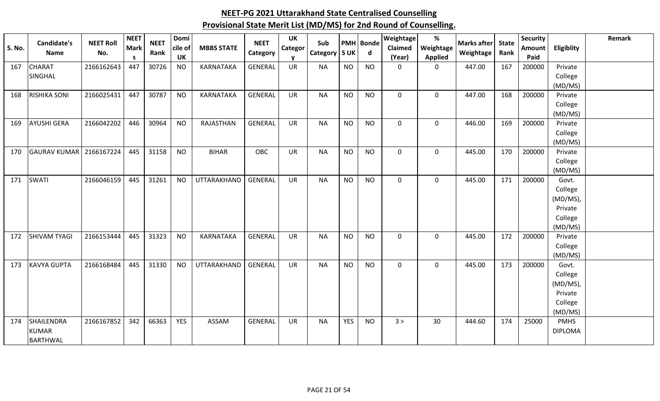| S. No. | Candidate's<br>Name | <b>NEET Roll</b><br>No. | <b>NEET</b><br><b>Mark</b> | <b>NEET</b><br>Rank | Domi<br>cile of | <b>MBBS STATE</b> | <b>NEET</b><br>Category | <b>UK</b><br>Categor | Sub<br>Category   S UK | <b>PMH</b> | <b>Bonde</b><br>d | Weightage<br>Claimed | %<br>Weightage | Marks after<br>Weightage | <b>State</b><br>Rank | <b>Security</b><br>Amount | Eligiblity         | Remark |
|--------|---------------------|-------------------------|----------------------------|---------------------|-----------------|-------------------|-------------------------|----------------------|------------------------|------------|-------------------|----------------------|----------------|--------------------------|----------------------|---------------------------|--------------------|--------|
|        |                     |                         | <b>S</b>                   |                     | <b>UK</b>       |                   |                         |                      |                        |            |                   | (Year)               | <b>Applied</b> |                          |                      | Paid                      |                    |        |
| 167    | <b>CHARAT</b>       | 2166162643              | 447                        | 30726               | <b>NO</b>       | KARNATAKA         | <b>GENERAL</b>          | <b>UR</b>            | <b>NA</b>              | <b>NO</b>  | <b>NO</b>         | $\mathbf{0}$         | $\mathbf{0}$   | 447.00                   | 167                  | 200000                    | Private            |        |
|        | SINGHAL             |                         |                            |                     |                 |                   |                         |                      |                        |            |                   |                      |                |                          |                      |                           | College            |        |
|        |                     |                         |                            |                     |                 |                   |                         |                      |                        |            |                   |                      |                |                          |                      |                           | (MD/MS)            |        |
| 168    | <b>RISHIKA SONI</b> | 2166025431              | 447                        | 30787               | <b>NO</b>       | KARNATAKA         | <b>GENERAL</b>          | <b>UR</b>            | <b>NA</b>              | <b>NO</b>  | <b>NO</b>         | $\mathbf 0$          | $\mathbf 0$    | 447.00                   | 168                  | 200000                    | Private            |        |
|        |                     |                         |                            |                     |                 |                   |                         |                      |                        |            |                   |                      |                |                          |                      |                           | College            |        |
|        |                     |                         |                            |                     |                 |                   |                         |                      |                        |            |                   |                      |                |                          |                      |                           | (MD/MS)            |        |
| 169    | <b>AYUSHI GERA</b>  | 2166042202              | 446                        | 30964               | <b>NO</b>       | RAJASTHAN         | <b>GENERAL</b>          | <b>UR</b>            | <b>NA</b>              | <b>NO</b>  | <b>NO</b>         | $\mathbf 0$          | $\mathbf 0$    | 446.00                   | 169                  | 200000                    | Private            |        |
|        |                     |                         |                            |                     |                 |                   |                         |                      |                        |            |                   |                      |                |                          |                      |                           | College            |        |
| 170    | <b>GAURAV KUMAR</b> | 2166167224              | 445                        | 31158               | <b>NO</b>       | <b>BIHAR</b>      | OBC                     | <b>UR</b>            | <b>NA</b>              | <b>NO</b>  | <b>NO</b>         | $\mathbf 0$          | $\mathbf 0$    | 445.00                   | 170                  | 200000                    | (MD/MS)<br>Private |        |
|        |                     |                         |                            |                     |                 |                   |                         |                      |                        |            |                   |                      |                |                          |                      |                           | College            |        |
|        |                     |                         |                            |                     |                 |                   |                         |                      |                        |            |                   |                      |                |                          |                      |                           | (MD/MS)            |        |
| 171    | <b>SWATI</b>        | 2166046159              | 445                        | 31261               | <b>NO</b>       | UTTARAKHAND       | <b>GENERAL</b>          | <b>UR</b>            | <b>NA</b>              | <b>NO</b>  | <b>NO</b>         | $\mathbf{0}$         | 0              | 445.00                   | 171                  | 200000                    | Govt.              |        |
|        |                     |                         |                            |                     |                 |                   |                         |                      |                        |            |                   |                      |                |                          |                      |                           | College            |        |
|        |                     |                         |                            |                     |                 |                   |                         |                      |                        |            |                   |                      |                |                          |                      |                           | (MD/MS),           |        |
|        |                     |                         |                            |                     |                 |                   |                         |                      |                        |            |                   |                      |                |                          |                      |                           | Private            |        |
|        |                     |                         |                            |                     |                 |                   |                         |                      |                        |            |                   |                      |                |                          |                      |                           | College            |        |
|        |                     |                         |                            |                     |                 |                   |                         |                      |                        |            |                   |                      |                |                          |                      |                           | (MD/MS)            |        |
| 172    | <b>SHIVAM TYAGI</b> | 2166153444              | 445                        | 31323               | <b>NO</b>       | KARNATAKA         | <b>GENERAL</b>          | <b>UR</b>            | <b>NA</b>              | <b>NO</b>  | <b>NO</b>         | $\mathbf 0$          | $\mathbf 0$    | 445.00                   | 172                  | 200000                    | Private            |        |
|        |                     |                         |                            |                     |                 |                   |                         |                      |                        |            |                   |                      |                |                          |                      |                           | College            |        |
|        |                     |                         |                            |                     |                 |                   |                         |                      |                        |            |                   |                      |                |                          |                      |                           | (MD/MS)            |        |
| 173    | <b>KAVYA GUPTA</b>  | 2166168484              | 445                        | 31330               | <b>NO</b>       | UTTARAKHAND       | GENERAL                 | <b>UR</b>            | <b>NA</b>              | <b>NO</b>  | <b>NO</b>         | $\mathbf 0$          | $\mathbf 0$    | 445.00                   | 173                  | 200000                    | Govt.              |        |
|        |                     |                         |                            |                     |                 |                   |                         |                      |                        |            |                   |                      |                |                          |                      |                           | College            |        |
|        |                     |                         |                            |                     |                 |                   |                         |                      |                        |            |                   |                      |                |                          |                      |                           | (MD/MS),           |        |
|        |                     |                         |                            |                     |                 |                   |                         |                      |                        |            |                   |                      |                |                          |                      |                           | Private            |        |
|        |                     |                         |                            |                     |                 |                   |                         |                      |                        |            |                   |                      |                |                          |                      |                           | College            |        |
|        |                     |                         |                            |                     |                 |                   |                         |                      |                        |            |                   |                      |                |                          |                      |                           | (MD/MS)            |        |
| 174    | SHAILENDRA          | 2166167852              | 342                        | 66363               | <b>YES</b>      | ASSAM             | <b>GENERAL</b>          | UR                   | <b>NA</b>              | <b>YES</b> | <b>NO</b>         | 3 >                  | 30             | 444.60                   | 174                  | 25000                     | <b>PMHS</b>        |        |
|        | <b>KUMAR</b>        |                         |                            |                     |                 |                   |                         |                      |                        |            |                   |                      |                |                          |                      |                           | <b>DIPLOMA</b>     |        |
|        | <b>BARTHWAL</b>     |                         |                            |                     |                 |                   |                         |                      |                        |            |                   |                      |                |                          |                      |                           |                    |        |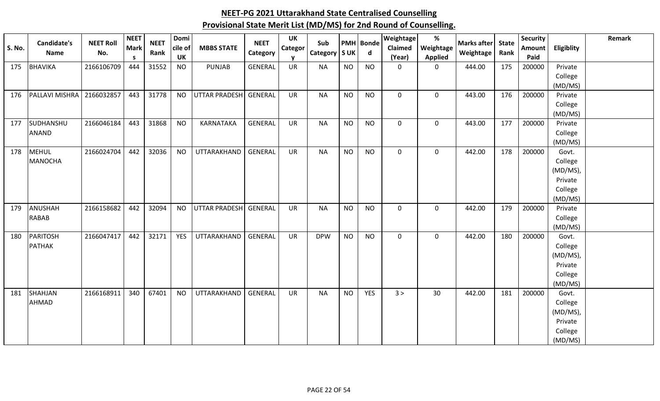|               | <b>Candidate's</b>          | <b>NEET Roll</b> | <b>NEET</b>             | <b>NEET</b> | Domi                 |                      | <b>NEET</b>    | <b>UK</b>    | Sub             |           | <b>PMH</b> Bonde | Weightage                | $\%$                        | <b>Marks after</b> | <b>State</b> | <b>Security</b> |                     | Remark |
|---------------|-----------------------------|------------------|-------------------------|-------------|----------------------|----------------------|----------------|--------------|-----------------|-----------|------------------|--------------------------|-----------------------------|--------------------|--------------|-----------------|---------------------|--------|
| <b>S. No.</b> | <b>Name</b>                 | No.              | <b>Mark</b><br><b>S</b> | Rank        | cile of<br><b>UK</b> | <b>MBBS STATE</b>    | Category       | Categor<br>v | Category   S UK |           | $\mathbf d$      | <b>Claimed</b><br>(Year) | Weightage<br><b>Applied</b> | Weightage          | Rank         | Amount<br>Paid  | Eligiblity          |        |
| 175           | <b>BHAVIKA</b>              | 2166106709       | 444                     | 31552       | <b>NO</b>            | <b>PUNJAB</b>        | <b>GENERAL</b> | <b>UR</b>    | <b>NA</b>       | <b>NO</b> | <b>NO</b>        | $\Omega$                 | 0                           | 444.00             | 175          | 200000          | Private             |        |
|               |                             |                  |                         |             |                      |                      |                |              |                 |           |                  |                          |                             |                    |              |                 | College             |        |
|               |                             |                  |                         |             |                      |                      |                |              |                 |           |                  |                          |                             |                    |              |                 | (MD/MS)             |        |
| 176           | PALLAVI MISHRA   2166032857 |                  | 443                     | 31778       | <b>NO</b>            | <b>UTTAR PRADESH</b> | GENERAL        | <b>UR</b>    | <b>NA</b>       | <b>NO</b> | <b>NO</b>        | $\mathbf 0$              | $\mathbf 0$                 | 443.00             | 176          | 200000          | Private             |        |
|               |                             |                  |                         |             |                      |                      |                |              |                 |           |                  |                          |                             |                    |              |                 | College             |        |
|               |                             |                  |                         |             |                      |                      |                |              |                 |           |                  |                          |                             |                    |              |                 | (MD/MS)             |        |
| 177           | SUDHANSHU                   | 2166046184       | 443                     | 31868       | <b>NO</b>            | <b>KARNATAKA</b>     | <b>GENERAL</b> | <b>UR</b>    | <b>NA</b>       | <b>NO</b> | <b>NO</b>        | $\mathbf 0$              | $\mathbf 0$                 | 443.00             | 177          | 200000          | Private             |        |
|               | <b>ANAND</b>                |                  |                         |             |                      |                      |                |              |                 |           |                  |                          |                             |                    |              |                 | College             |        |
| 178           | <b>MEHUL</b>                | 2166024704       | 442                     | 32036       | <b>NO</b>            | UTTARAKHAND          | GENERAL        | <b>UR</b>    | <b>NA</b>       | <b>NO</b> | <b>NO</b>        | $\mathbf 0$              | $\mathbf 0$                 | 442.00             | 178          | 200000          | (MD/MS)<br>Govt.    |        |
|               | <b>MANOCHA</b>              |                  |                         |             |                      |                      |                |              |                 |           |                  |                          |                             |                    |              |                 | College             |        |
|               |                             |                  |                         |             |                      |                      |                |              |                 |           |                  |                          |                             |                    |              |                 | (MD/MS),            |        |
|               |                             |                  |                         |             |                      |                      |                |              |                 |           |                  |                          |                             |                    |              |                 | Private             |        |
|               |                             |                  |                         |             |                      |                      |                |              |                 |           |                  |                          |                             |                    |              |                 | College             |        |
|               |                             |                  |                         |             |                      |                      |                |              |                 |           |                  |                          |                             |                    |              |                 | (MD/MS)             |        |
| 179           | <b>ANUSHAH</b>              | 2166158682       | 442                     | 32094       | <b>NO</b>            | <b>UTTAR PRADESH</b> | GENERAL        | <b>UR</b>    | <b>NA</b>       | <b>NO</b> | <b>NO</b>        | $\mathbf 0$              | $\mathbf 0$                 | 442.00             | 179          | 200000          | Private             |        |
|               | <b>RABAB</b>                |                  |                         |             |                      |                      |                |              |                 |           |                  |                          |                             |                    |              |                 | College             |        |
|               |                             |                  |                         |             |                      |                      |                |              |                 |           |                  |                          |                             |                    |              |                 | (MD/MS)             |        |
| 180           | PARITOSH                    | 2166047417       | 442                     | 32171       | <b>YES</b>           | UTTARAKHAND          | <b>GENERAL</b> | <b>UR</b>    | <b>DPW</b>      | <b>NO</b> | <b>NO</b>        | $\mathbf 0$              | $\mathbf 0$                 | 442.00             | 180          | 200000          | Govt.               |        |
|               | <b>PATHAK</b>               |                  |                         |             |                      |                      |                |              |                 |           |                  |                          |                             |                    |              |                 | College             |        |
|               |                             |                  |                         |             |                      |                      |                |              |                 |           |                  |                          |                             |                    |              |                 | (MD/MS),<br>Private |        |
|               |                             |                  |                         |             |                      |                      |                |              |                 |           |                  |                          |                             |                    |              |                 | College             |        |
|               |                             |                  |                         |             |                      |                      |                |              |                 |           |                  |                          |                             |                    |              |                 | (MD/MS)             |        |
| 181           | SHAHJAN                     | 2166168911       | 340                     | 67401       | <b>NO</b>            | UTTARAKHAND          | <b>GENERAL</b> | <b>UR</b>    | <b>NA</b>       | <b>NO</b> | <b>YES</b>       | 3 >                      | 30                          | 442.00             | 181          | 200000          | Govt.               |        |
|               | AHMAD                       |                  |                         |             |                      |                      |                |              |                 |           |                  |                          |                             |                    |              |                 | College             |        |
|               |                             |                  |                         |             |                      |                      |                |              |                 |           |                  |                          |                             |                    |              |                 | (MD/MS),            |        |
|               |                             |                  |                         |             |                      |                      |                |              |                 |           |                  |                          |                             |                    |              |                 | Private             |        |
|               |                             |                  |                         |             |                      |                      |                |              |                 |           |                  |                          |                             |                    |              |                 | College             |        |
|               |                             |                  |                         |             |                      |                      |                |              |                 |           |                  |                          |                             |                    |              |                 | (MD/MS)             |        |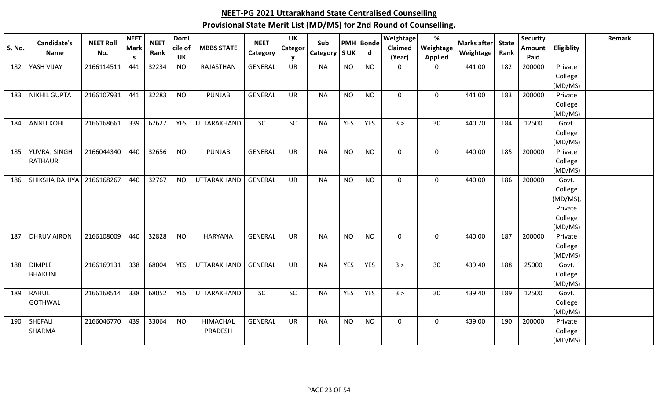| S. No. | Candidate's<br><b>Name</b> | <b>NEET Roll</b><br>No. | <b>NEET</b><br><b>Mark</b><br>-S | <b>NEET</b><br>Rank | Domi<br>cile of<br><b>UK</b> | <b>MBBS STATE</b> | <b>NEET</b><br>Category | <b>UK</b><br>Categor<br><b>V</b> | Sub<br>Category   S UK |            | <b>PMH</b> Bonde<br>$\mathbf d$ | Weightage<br>Claimed<br>(Year) | $\%$<br>Weightage<br><b>Applied</b> | <b>Marks after</b><br>Weightage | <b>State</b><br>Rank | <b>Security</b><br><b>Amount</b><br>Paid | Eligiblity         | Remark |
|--------|----------------------------|-------------------------|----------------------------------|---------------------|------------------------------|-------------------|-------------------------|----------------------------------|------------------------|------------|---------------------------------|--------------------------------|-------------------------------------|---------------------------------|----------------------|------------------------------------------|--------------------|--------|
| 182    | YASH VIJAY                 | 2166114511              | 441                              | 32234               | <b>NO</b>                    | RAJASTHAN         | <b>GENERAL</b>          | <b>UR</b>                        | <b>NA</b>              | <b>NO</b>  | <b>NO</b>                       | $\mathbf{0}$                   | 0                                   | 441.00                          | 182                  | 200000                                   | Private            |        |
|        |                            |                         |                                  |                     |                              |                   |                         |                                  |                        |            |                                 |                                |                                     |                                 |                      |                                          | College            |        |
|        |                            |                         |                                  |                     |                              |                   |                         |                                  |                        |            |                                 |                                |                                     |                                 |                      |                                          | (MD/MS)            |        |
| 183    | <b>NIKHIL GUPTA</b>        | 2166107931              | 441                              | 32283               | <b>NO</b>                    | <b>PUNJAB</b>     | <b>GENERAL</b>          | <b>UR</b>                        | <b>NA</b>              | <b>NO</b>  | <b>NO</b>                       | $\mathbf 0$                    | $\mathbf 0$                         | 441.00                          | 183                  | 200000                                   | Private            |        |
|        |                            |                         |                                  |                     |                              |                   |                         |                                  |                        |            |                                 |                                |                                     |                                 |                      |                                          | College            |        |
|        |                            |                         |                                  |                     |                              |                   |                         |                                  |                        |            |                                 |                                |                                     |                                 |                      |                                          | (MD/MS)            |        |
| 184    | <b>ANNU KOHLI</b>          | 2166168661              | 339                              | 67627               | <b>YES</b>                   | UTTARAKHAND       | SC                      | SC                               | <b>NA</b>              | <b>YES</b> | YES                             | 3 >                            | 30                                  | 440.70                          | 184                  | 12500                                    | Govt.              |        |
|        |                            |                         |                                  |                     |                              |                   |                         |                                  |                        |            |                                 |                                |                                     |                                 |                      |                                          | College            |        |
|        |                            |                         |                                  |                     |                              |                   |                         |                                  |                        |            |                                 |                                |                                     |                                 |                      |                                          | (MD/MS)            |        |
| 185    | YUVRAJ SINGH               | 2166044340              | 440                              | 32656               | <b>NO</b>                    | <b>PUNJAB</b>     | <b>GENERAL</b>          | <b>UR</b>                        | <b>NA</b>              | <b>NO</b>  | <b>NO</b>                       | 0                              | $\mathbf 0$                         | 440.00                          | 185                  | 200000                                   | Private            |        |
|        | <b>RATHAUR</b>             |                         |                                  |                     |                              |                   |                         |                                  |                        |            |                                 |                                |                                     |                                 |                      |                                          | College<br>(MD/MS) |        |
| 186    | <b>SHIKSHA DAHIYA</b>      | 2166168267              | 440                              | 32767               | <b>NO</b>                    | UTTARAKHAND       | <b>GENERAL</b>          | <b>UR</b>                        | <b>NA</b>              | <b>NO</b>  | <b>NO</b>                       | $\mathbf 0$                    | $\mathbf 0$                         | 440.00                          | 186                  | 200000                                   | Govt.              |        |
|        |                            |                         |                                  |                     |                              |                   |                         |                                  |                        |            |                                 |                                |                                     |                                 |                      |                                          | College            |        |
|        |                            |                         |                                  |                     |                              |                   |                         |                                  |                        |            |                                 |                                |                                     |                                 |                      |                                          | (MD/MS),           |        |
|        |                            |                         |                                  |                     |                              |                   |                         |                                  |                        |            |                                 |                                |                                     |                                 |                      |                                          | Private            |        |
|        |                            |                         |                                  |                     |                              |                   |                         |                                  |                        |            |                                 |                                |                                     |                                 |                      |                                          | College            |        |
|        |                            |                         |                                  |                     |                              |                   |                         |                                  |                        |            |                                 |                                |                                     |                                 |                      |                                          | (MD/MS)            |        |
| 187    | <b>DHRUV AIRON</b>         | 2166108009              | 440                              | 32828               | <b>NO</b>                    | <b>HARYANA</b>    | <b>GENERAL</b>          | <b>UR</b>                        | <b>NA</b>              | <b>NO</b>  | <b>NO</b>                       | $\mathbf 0$                    | $\mathbf 0$                         | 440.00                          | 187                  | 200000                                   | Private            |        |
|        |                            |                         |                                  |                     |                              |                   |                         |                                  |                        |            |                                 |                                |                                     |                                 |                      |                                          | College            |        |
|        |                            |                         |                                  |                     |                              |                   |                         |                                  |                        |            |                                 |                                |                                     |                                 |                      |                                          | (MD/MS)            |        |
| 188    | <b>DIMPLE</b>              | 2166169131              | 338                              | 68004               | <b>YES</b>                   | UTTARAKHAND       | <b>GENERAL</b>          | <b>UR</b>                        | <b>NA</b>              | <b>YES</b> | <b>YES</b>                      | 3 >                            | 30                                  | 439.40                          | 188                  | 25000                                    | Govt.              |        |
|        | <b>BHAKUNI</b>             |                         |                                  |                     |                              |                   |                         |                                  |                        |            |                                 |                                |                                     |                                 |                      |                                          | College            |        |
|        |                            |                         |                                  |                     |                              |                   |                         |                                  |                        |            |                                 |                                |                                     |                                 |                      |                                          | (MD/MS)            |        |
| 189    | <b>RAHUL</b>               | 2166168514              | 338                              | 68052               | <b>YES</b>                   | UTTARAKHAND       | <b>SC</b>               | SC                               | <b>NA</b>              | <b>YES</b> | <b>YES</b>                      | 3 >                            | 30                                  | 439.40                          | 189                  | 12500                                    | Govt.              |        |
|        | <b>GOTHWAL</b>             |                         |                                  |                     |                              |                   |                         |                                  |                        |            |                                 |                                |                                     |                                 |                      |                                          | College            |        |
|        |                            |                         |                                  |                     |                              |                   |                         |                                  |                        |            |                                 |                                |                                     |                                 |                      |                                          | (MD/MS)            |        |
| 190    | <b>SHEFALI</b>             | 2166046770              | 439                              | 33064               | <b>NO</b>                    | <b>HIMACHAL</b>   | GENERAL                 | <b>UR</b>                        | <b>NA</b>              | <b>NO</b>  | <b>NO</b>                       | $\mathbf 0$                    | $\mathbf 0$                         | 439.00                          | 190                  | 200000                                   | Private            |        |
|        | <b>SHARMA</b>              |                         |                                  |                     |                              | PRADESH           |                         |                                  |                        |            |                                 |                                |                                     |                                 |                      |                                          | College            |        |
|        |                            |                         |                                  |                     |                              |                   |                         |                                  |                        |            |                                 |                                |                                     |                                 |                      |                                          | (MD/MS)            |        |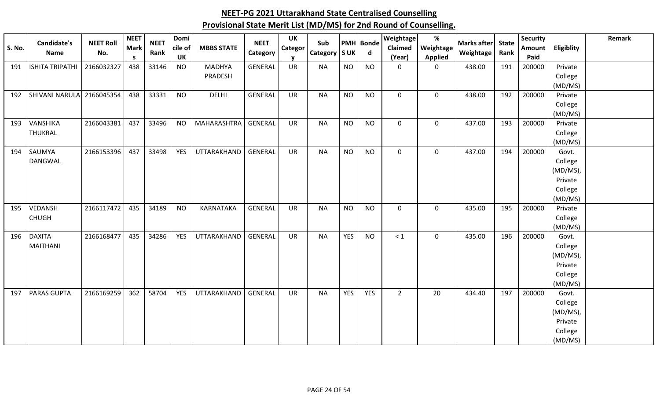| <b>S. No.</b> | Candidate's<br><b>Name</b> | <b>NEET Roll</b><br>No. | <b>NEET</b><br><b>Mark</b><br><b>S</b> | <b>NEET</b><br>Rank | Domi<br>cile of<br>UK | <b>MBBS STATE</b>        | <b>NEET</b><br>Category | UK<br><b>Categor</b><br>v | Sub<br>Category   S UK |            | PMH Bonde<br>$\mathsf{d}$ | <b>Weightage</b><br>Claimed<br>(Year) | $\%$<br>Weightage<br><b>Applied</b> | <b>Marks after</b><br>Weightage | <b>State</b><br>Rank | <b>Security</b><br>Amount<br>Paid | Eligiblity         | Remark |
|---------------|----------------------------|-------------------------|----------------------------------------|---------------------|-----------------------|--------------------------|-------------------------|---------------------------|------------------------|------------|---------------------------|---------------------------------------|-------------------------------------|---------------------------------|----------------------|-----------------------------------|--------------------|--------|
| 191           | <b>ISHITA TRIPATHI</b>     | 2166032327              | 438                                    | 33146               | <b>NO</b>             | <b>MADHYA</b><br>PRADESH | <b>GENERAL</b>          | <b>UR</b>                 | <b>NA</b>              | <b>NO</b>  | <b>NO</b>                 | $\mathbf 0$                           | $\mathbf{0}$                        | 438.00                          | 191                  | 200000                            | Private<br>College |        |
|               |                            |                         |                                        |                     |                       |                          |                         |                           |                        |            |                           |                                       |                                     |                                 |                      |                                   | (MD/MS)            |        |
| 192           | SHIVANI NARULA             | 2166045354              | 438                                    | 33331               | <b>NO</b>             | <b>DELHI</b>             | <b>GENERAL</b>          | UR                        | <b>NA</b>              | <b>NO</b>  | <b>NO</b>                 | $\mathbf 0$                           | $\mathbf 0$                         | 438.00                          | 192                  | 200000                            | Private            |        |
|               |                            |                         |                                        |                     |                       |                          |                         |                           |                        |            |                           |                                       |                                     |                                 |                      |                                   | College            |        |
| 193           | <b>VANSHIKA</b>            | 2166043381              | 437                                    | 33496               | <b>NO</b>             | MAHARASHTRA              | GENERAL                 | <b>UR</b>                 | <b>NA</b>              | <b>NO</b>  | <b>NO</b>                 | $\mathbf 0$                           | $\mathbf 0$                         | 437.00                          | 193                  | 200000                            | (MD/MS)<br>Private |        |
|               | <b>THUKRAL</b>             |                         |                                        |                     |                       |                          |                         |                           |                        |            |                           |                                       |                                     |                                 |                      |                                   | College            |        |
|               |                            |                         |                                        |                     |                       |                          |                         |                           |                        |            |                           |                                       |                                     |                                 |                      |                                   | (MD/MS)            |        |
| 194           | <b>SAUMYA</b>              | 2166153396              | 437                                    | 33498               | <b>YES</b>            | UTTARAKHAND              | GENERAL                 | <b>UR</b>                 | <b>NA</b>              | <b>NO</b>  | <b>NO</b>                 | $\mathbf 0$                           | $\mathbf 0$                         | 437.00                          | 194                  | 200000                            | Govt.              |        |
|               | <b>DANGWAL</b>             |                         |                                        |                     |                       |                          |                         |                           |                        |            |                           |                                       |                                     |                                 |                      |                                   | College            |        |
|               |                            |                         |                                        |                     |                       |                          |                         |                           |                        |            |                           |                                       |                                     |                                 |                      |                                   | (MD/MS),           |        |
|               |                            |                         |                                        |                     |                       |                          |                         |                           |                        |            |                           |                                       |                                     |                                 |                      |                                   | Private            |        |
|               |                            |                         |                                        |                     |                       |                          |                         |                           |                        |            |                           |                                       |                                     |                                 |                      |                                   | College            |        |
|               |                            |                         |                                        |                     |                       |                          |                         |                           |                        |            |                           |                                       |                                     |                                 |                      |                                   | (MD/MS)            |        |
| 195           | <b>VEDANSH</b>             | 2166117472              | 435                                    | 34189               | <b>NO</b>             | KARNATAKA                | <b>GENERAL</b>          | UR                        | <b>NA</b>              | <b>NO</b>  | <b>NO</b>                 | $\mathbf 0$                           | $\mathbf 0$                         | 435.00                          | 195                  | 200000                            | Private            |        |
|               | <b>CHUGH</b>               |                         |                                        |                     |                       |                          |                         |                           |                        |            |                           |                                       |                                     |                                 |                      |                                   | College<br>(MD/MS) |        |
| 196           | <b>DAXITA</b>              | 2166168477              | 435                                    | 34286               | <b>YES</b>            | UTTARAKHAND              | <b>GENERAL</b>          | <b>UR</b>                 | <b>NA</b>              | <b>YES</b> | <b>NO</b>                 | $\leq 1$                              | $\mathbf 0$                         | 435.00                          | 196                  | 200000                            | Govt.              |        |
|               | <b>MAITHANI</b>            |                         |                                        |                     |                       |                          |                         |                           |                        |            |                           |                                       |                                     |                                 |                      |                                   | College            |        |
|               |                            |                         |                                        |                     |                       |                          |                         |                           |                        |            |                           |                                       |                                     |                                 |                      |                                   | (MD/MS),           |        |
|               |                            |                         |                                        |                     |                       |                          |                         |                           |                        |            |                           |                                       |                                     |                                 |                      |                                   | Private            |        |
|               |                            |                         |                                        |                     |                       |                          |                         |                           |                        |            |                           |                                       |                                     |                                 |                      |                                   | College            |        |
|               |                            |                         |                                        |                     |                       |                          |                         |                           |                        |            |                           |                                       |                                     |                                 |                      |                                   | (MD/MS)            |        |
| 197           | <b>PARAS GUPTA</b>         | 2166169259              | 362                                    | 58704               | <b>YES</b>            | UTTARAKHAND              | GENERAL                 | <b>UR</b>                 | <b>NA</b>              | <b>YES</b> | <b>YES</b>                | $\overline{2}$                        | 20                                  | 434.40                          | 197                  | 200000                            | Govt.              |        |
|               |                            |                         |                                        |                     |                       |                          |                         |                           |                        |            |                           |                                       |                                     |                                 |                      |                                   | College            |        |
|               |                            |                         |                                        |                     |                       |                          |                         |                           |                        |            |                           |                                       |                                     |                                 |                      |                                   | (MD/MS),           |        |
|               |                            |                         |                                        |                     |                       |                          |                         |                           |                        |            |                           |                                       |                                     |                                 |                      |                                   | Private            |        |
|               |                            |                         |                                        |                     |                       |                          |                         |                           |                        |            |                           |                                       |                                     |                                 |                      |                                   | College            |        |
|               |                            |                         |                                        |                     |                       |                          |                         |                           |                        |            |                           |                                       |                                     |                                 |                      |                                   | (MD/MS)            |        |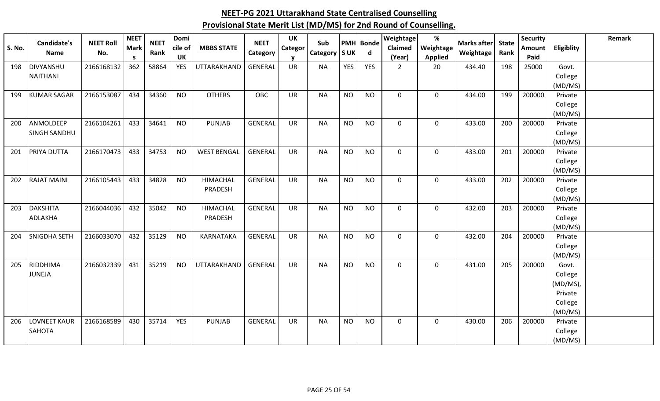| <b>S. No.</b> | Candidate's<br><b>Name</b>          | <b>NEET Roll</b><br>No. | <b>NEET</b><br><b>Mark</b> | <b>NEET</b><br>Rank | Domi<br>cile of | <b>MBBS STATE</b>  | <b>NEET</b><br>Category | <b>UK</b><br><b>Categor</b> | Sub<br>Category | <b>SUK</b> | PMH Bonde<br>$\mathbf d$ | Weightage<br><b>Claimed</b> | $\%$<br>Weightage | <b>Marks after</b><br>Weightage | <b>State</b><br>Rank | Security<br>Amount | Eligiblity         | Remark |
|---------------|-------------------------------------|-------------------------|----------------------------|---------------------|-----------------|--------------------|-------------------------|-----------------------------|-----------------|------------|--------------------------|-----------------------------|-------------------|---------------------------------|----------------------|--------------------|--------------------|--------|
|               |                                     |                         | -S                         |                     | <b>UK</b>       |                    |                         |                             |                 |            |                          | (Year)                      | <b>Applied</b>    |                                 |                      | Paid               |                    |        |
| 198           | <b>DIVYANSHU</b><br><b>NAITHANI</b> | 2166168132              | 362                        | 58864               | <b>YES</b>      | UTTARAKHAND        | <b>GENERAL</b>          | UR                          | <b>NA</b>       | <b>YES</b> | YES                      | $\overline{2}$              | 20                | 434.40                          | 198                  | 25000              | Govt.              |        |
|               |                                     |                         |                            |                     |                 |                    |                         |                             |                 |            |                          |                             |                   |                                 |                      |                    | College<br>(MD/MS) |        |
| 199           | <b>KUMAR SAGAR</b>                  | 2166153087              | 434                        | 34360               | <b>NO</b>       | <b>OTHERS</b>      | <b>OBC</b>              | <b>UR</b>                   | <b>NA</b>       | <b>NO</b>  | <b>NO</b>                | 0                           | $\mathbf 0$       | 434.00                          | 199                  | 200000             | Private            |        |
|               |                                     |                         |                            |                     |                 |                    |                         |                             |                 |            |                          |                             |                   |                                 |                      |                    | College            |        |
|               |                                     |                         |                            |                     |                 |                    |                         |                             |                 |            |                          |                             |                   |                                 |                      |                    | (MD/MS)            |        |
| 200           | ANMOLDEEP                           | 2166104261              | 433                        | 34641               | <b>NO</b>       | <b>PUNJAB</b>      | <b>GENERAL</b>          | <b>UR</b>                   | <b>NA</b>       | <b>NO</b>  | <b>NO</b>                | $\mathbf{0}$                | 0                 | 433.00                          | 200                  | 200000             | Private            |        |
|               | <b>SINGH SANDHU</b>                 |                         |                            |                     |                 |                    |                         |                             |                 |            |                          |                             |                   |                                 |                      |                    | College            |        |
|               |                                     |                         |                            |                     |                 |                    |                         |                             |                 |            |                          |                             |                   |                                 |                      |                    | (MD/MS)            |        |
| 201           | PRIYA DUTTA                         | 2166170473              | 433                        | 34753               | <b>NO</b>       | <b>WEST BENGAL</b> | <b>GENERAL</b>          | <b>UR</b>                   | <b>NA</b>       | <b>NO</b>  | <b>NO</b>                | 0                           | $\mathbf 0$       | 433.00                          | 201                  | 200000             | Private            |        |
|               |                                     |                         |                            |                     |                 |                    |                         |                             |                 |            |                          |                             |                   |                                 |                      |                    | College            |        |
|               |                                     |                         |                            |                     |                 |                    |                         |                             |                 |            |                          |                             |                   |                                 |                      |                    | (MD/MS)            |        |
| 202           | <b>RAJAT MAINI</b>                  | 2166105443              | 433                        | 34828               | <b>NO</b>       | <b>HIMACHAL</b>    | <b>GENERAL</b>          | UR                          | <b>NA</b>       | <b>NO</b>  | <b>NO</b>                | 0                           | $\mathbf 0$       | 433.00                          | 202                  | 200000             | Private            |        |
|               |                                     |                         |                            |                     |                 | PRADESH            |                         |                             |                 |            |                          |                             |                   |                                 |                      |                    | College<br>(MD/MS) |        |
| 203           | <b>DAKSHITA</b>                     | 2166044036              | 432                        | 35042               | <b>NO</b>       | <b>HIMACHAL</b>    | <b>GENERAL</b>          | <b>UR</b>                   | <b>NA</b>       | <b>NO</b>  | <b>NO</b>                | 0                           | $\mathbf 0$       | 432.00                          | 203                  | 200000             | Private            |        |
|               | <b>ADLAKHA</b>                      |                         |                            |                     |                 | PRADESH            |                         |                             |                 |            |                          |                             |                   |                                 |                      |                    | College            |        |
|               |                                     |                         |                            |                     |                 |                    |                         |                             |                 |            |                          |                             |                   |                                 |                      |                    | (MD/MS)            |        |
| 204           | <b>SNIGDHA SETH</b>                 | 2166033070              | 432                        | 35129               | <b>NO</b>       | KARNATAKA          | <b>GENERAL</b>          | UR                          | <b>NA</b>       | <b>NO</b>  | <b>NO</b>                | 0                           | $\mathbf 0$       | 432.00                          | 204                  | 200000             | Private            |        |
|               |                                     |                         |                            |                     |                 |                    |                         |                             |                 |            |                          |                             |                   |                                 |                      |                    | College            |        |
|               |                                     |                         |                            |                     |                 |                    |                         |                             |                 |            |                          |                             |                   |                                 |                      |                    | (MD/MS)            |        |
| 205           | RIDDHIMA                            | 2166032339              | 431                        | 35219               | <b>NO</b>       | UTTARAKHAND        | GENERAL                 | <b>UR</b>                   | <b>NA</b>       | <b>NO</b>  | <b>NO</b>                | 0                           | $\mathbf 0$       | 431.00                          | 205                  | 200000             | Govt.              |        |
|               | JUNEJA                              |                         |                            |                     |                 |                    |                         |                             |                 |            |                          |                             |                   |                                 |                      |                    | College            |        |
|               |                                     |                         |                            |                     |                 |                    |                         |                             |                 |            |                          |                             |                   |                                 |                      |                    | (MD/MS),           |        |
|               |                                     |                         |                            |                     |                 |                    |                         |                             |                 |            |                          |                             |                   |                                 |                      |                    | Private            |        |
|               |                                     |                         |                            |                     |                 |                    |                         |                             |                 |            |                          |                             |                   |                                 |                      |                    | College            |        |
|               |                                     |                         |                            |                     |                 |                    |                         |                             |                 |            |                          |                             |                   |                                 |                      |                    | (MD/MS)            |        |
| 206           | <b>LOVNEET KAUR</b>                 | 2166168589              | 430                        | 35714               | YES             | <b>PUNJAB</b>      | <b>GENERAL</b>          | UR                          | <b>NA</b>       | <b>NO</b>  | <b>NO</b>                | 0                           | $\mathbf 0$       | 430.00                          | 206                  | 200000             | Private            |        |
|               | <b>SAHOTA</b>                       |                         |                            |                     |                 |                    |                         |                             |                 |            |                          |                             |                   |                                 |                      |                    | College            |        |
|               |                                     |                         |                            |                     |                 |                    |                         |                             |                 |            |                          |                             |                   |                                 |                      |                    | (MD/MS)            |        |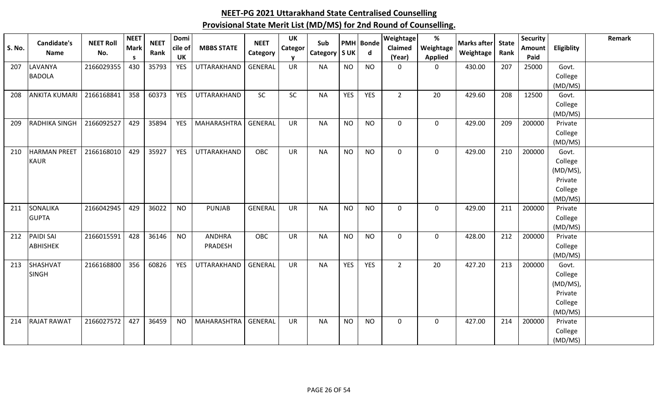| <b>S. No.</b> | Candidate's<br><b>Name</b> | <b>NEET Roll</b><br>No. | <b>NEET</b><br><b>Mark</b> | <b>NEET</b><br>Rank | Domi<br>cile of | <b>MBBS STATE</b> | <b>NEET</b><br>Category | <b>UK</b><br>Categor | Sub<br>Category   S UK |            | <b>PMH</b> Bonde<br>d | Weightage<br>Claimed | $\%$<br>Weightage | <b>Marks after</b><br>Weightage | <b>State</b><br>Rank | <b>Security</b><br>Amount | Eligiblity          | Remark |
|---------------|----------------------------|-------------------------|----------------------------|---------------------|-----------------|-------------------|-------------------------|----------------------|------------------------|------------|-----------------------|----------------------|-------------------|---------------------------------|----------------------|---------------------------|---------------------|--------|
|               |                            |                         | s.                         |                     | <b>UK</b>       |                   |                         | <b>Y</b>             |                        |            |                       | (Year)               | <b>Applied</b>    |                                 |                      | Paid                      |                     |        |
| 207           | LAVANYA                    | 2166029355              | 430                        | 35793               | <b>YES</b>      | UTTARAKHAND       | <b>GENERAL</b>          | <b>UR</b>            | <b>NA</b>              | <b>NO</b>  | <b>NO</b>             | $\Omega$             | 0                 | 430.00                          | 207                  | 25000                     | Govt.               |        |
|               | <b>BADOLA</b>              |                         |                            |                     |                 |                   |                         |                      |                        |            |                       |                      |                   |                                 |                      |                           | College             |        |
|               |                            |                         |                            |                     |                 |                   |                         |                      |                        |            |                       |                      |                   |                                 |                      |                           | (MD/MS)             |        |
| 208           | <b>ANKITA KUMARI</b>       | 2166168841              | 358                        | 60373               | <b>YES</b>      | UTTARAKHAND       | SC                      | SC                   | <b>NA</b>              | <b>YES</b> | YES                   | $\overline{2}$       | 20                | 429.60                          | 208                  | 12500                     | Govt.               |        |
|               |                            |                         |                            |                     |                 |                   |                         |                      |                        |            |                       |                      |                   |                                 |                      |                           | College             |        |
| 209           | <b>RADHIKA SINGH</b>       | 2166092527              | 429                        | 35894               | <b>YES</b>      | MAHARASHTRA       | <b>GENERAL</b>          | <b>UR</b>            | <b>NA</b>              | <b>NO</b>  | <b>NO</b>             | $\mathbf 0$          | $\mathbf 0$       | 429.00                          | 209                  | 200000                    | (MD/MS)<br>Private  |        |
|               |                            |                         |                            |                     |                 |                   |                         |                      |                        |            |                       |                      |                   |                                 |                      |                           | College             |        |
|               |                            |                         |                            |                     |                 |                   |                         |                      |                        |            |                       |                      |                   |                                 |                      |                           | (MD/MS)             |        |
| 210           | <b>HARMAN PREET</b>        | 2166168010              | 429                        | 35927               | <b>YES</b>      | UTTARAKHAND       | OBC                     | <b>UR</b>            | <b>NA</b>              | <b>NO</b>  | <b>NO</b>             | 0                    | 0                 | 429.00                          | 210                  | 200000                    | Govt.               |        |
|               | <b>KAUR</b>                |                         |                            |                     |                 |                   |                         |                      |                        |            |                       |                      |                   |                                 |                      |                           | College             |        |
|               |                            |                         |                            |                     |                 |                   |                         |                      |                        |            |                       |                      |                   |                                 |                      |                           | (MD/MS),            |        |
|               |                            |                         |                            |                     |                 |                   |                         |                      |                        |            |                       |                      |                   |                                 |                      |                           | Private             |        |
|               |                            |                         |                            |                     |                 |                   |                         |                      |                        |            |                       |                      |                   |                                 |                      |                           | College             |        |
|               |                            |                         |                            |                     |                 |                   |                         |                      |                        |            |                       |                      |                   |                                 |                      |                           | (MD/MS)             |        |
| 211           | <b>SONALIKA</b>            | 2166042945              | 429                        | 36022               | <b>NO</b>       | <b>PUNJAB</b>     | <b>GENERAL</b>          | <b>UR</b>            | <b>NA</b>              | <b>NO</b>  | <b>NO</b>             | $\mathbf 0$          | $\mathbf 0$       | 429.00                          | 211                  | 200000                    | Private             |        |
|               | <b>GUPTA</b>               |                         |                            |                     |                 |                   |                         |                      |                        |            |                       |                      |                   |                                 |                      |                           | College             |        |
|               |                            |                         |                            |                     |                 |                   |                         |                      |                        |            |                       |                      |                   |                                 |                      |                           | (MD/MS)             |        |
| 212           | <b>PAIDI SAI</b>           | 2166015591              | 428                        | 36146               | <b>NO</b>       | <b>ANDHRA</b>     | <b>OBC</b>              | <b>UR</b>            | <b>NA</b>              | <b>NO</b>  | <b>NO</b>             | $\mathbf 0$          | $\mathbf 0$       | 428.00                          | 212                  | 200000                    | Private             |        |
|               | <b>ABHISHEK</b>            |                         |                            |                     |                 | PRADESH           |                         |                      |                        |            |                       |                      |                   |                                 |                      |                           | College             |        |
|               |                            |                         |                            |                     |                 |                   |                         |                      |                        |            |                       |                      |                   |                                 |                      |                           | (MD/MS)             |        |
| 213           | SHASHVAT                   | 2166168800              | 356                        | 60826               | <b>YES</b>      | UTTARAKHAND       | <b>GENERAL</b>          | <b>UR</b>            | <b>NA</b>              | <b>YES</b> | <b>YES</b>            | $\overline{2}$       | 20                | 427.20                          | 213                  | 200000                    | Govt.               |        |
|               | <b>SINGH</b>               |                         |                            |                     |                 |                   |                         |                      |                        |            |                       |                      |                   |                                 |                      |                           | College             |        |
|               |                            |                         |                            |                     |                 |                   |                         |                      |                        |            |                       |                      |                   |                                 |                      |                           | (MD/MS),<br>Private |        |
|               |                            |                         |                            |                     |                 |                   |                         |                      |                        |            |                       |                      |                   |                                 |                      |                           | College             |        |
|               |                            |                         |                            |                     |                 |                   |                         |                      |                        |            |                       |                      |                   |                                 |                      |                           | (MD/MS)             |        |
| 214           | <b>RAJAT RAWAT</b>         | 2166027572              | 427                        | 36459               | <b>NO</b>       | MAHARASHTRA       | GENERAL                 | <b>UR</b>            | <b>NA</b>              | <b>NO</b>  | <b>NO</b>             | 0                    | $\mathbf 0$       | 427.00                          | 214                  | 200000                    | Private             |        |
|               |                            |                         |                            |                     |                 |                   |                         |                      |                        |            |                       |                      |                   |                                 |                      |                           | College             |        |
|               |                            |                         |                            |                     |                 |                   |                         |                      |                        |            |                       |                      |                   |                                 |                      |                           | (MD/MS)             |        |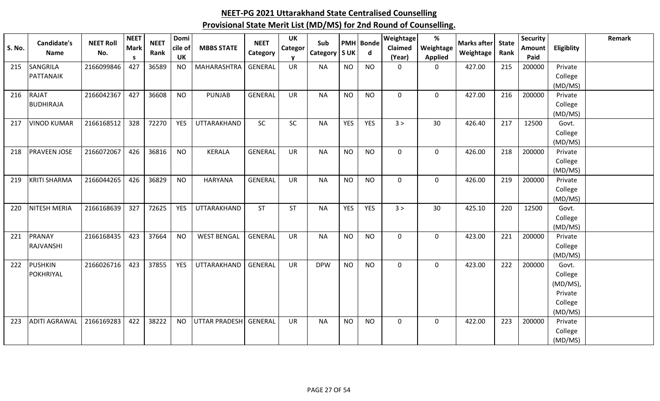| S. No. | Candidate's<br><b>Name</b>       | <b>NEET Roll</b><br>No. | <b>NEET</b><br><b>Mark</b><br><b>S</b> | <b>NEET</b><br>Rank | Domi<br>cile of<br>UK | <b>MBBS STATE</b>  | <b>NEET</b><br>Category | <b>UK</b><br>Categor | Sub<br>Category | <b>SUK</b> | PMH Bonde<br>$\mathbf d$ | Weightage<br>Claimed<br>(Year) | $\%$<br>Weightage<br><b>Applied</b> | <b>Marks after</b><br>Weightage | <b>State</b><br>Rank | Security<br>Amount<br>Paid | Eligiblity                                                    | Remark |
|--------|----------------------------------|-------------------------|----------------------------------------|---------------------|-----------------------|--------------------|-------------------------|----------------------|-----------------|------------|--------------------------|--------------------------------|-------------------------------------|---------------------------------|----------------------|----------------------------|---------------------------------------------------------------|--------|
| 215    | SANGRILA<br>PATTANAIK            | 2166099846              | 427                                    | 36589               | <b>NO</b>             | <b>MAHARASHTRA</b> | <b>GENERAL</b>          | <b>UR</b>            | <b>NA</b>       | <b>NO</b>  | <b>NO</b>                | $\mathbf{0}$                   | 0                                   | 427.00                          | 215                  | 200000                     | Private<br>College<br>(MD/MS)                                 |        |
| 216    | <b>RAJAT</b><br><b>BUDHIRAJA</b> | 2166042367              | 427                                    | 36608               | <b>NO</b>             | <b>PUNJAB</b>      | GENERAL                 | <b>UR</b>            | <b>NA</b>       | <b>NO</b>  | <b>NO</b>                | 0                              | $\mathbf 0$                         | 427.00                          | 216                  | 200000                     | Private<br>College<br>(MD/MS)                                 |        |
| 217    | <b>VINOD KUMAR</b>               | 2166168512              | 328                                    | 72270               | <b>YES</b>            | UTTARAKHAND        | SC                      | <b>SC</b>            | <b>NA</b>       | <b>YES</b> | <b>YES</b>               | 3 >                            | 30                                  | 426.40                          | 217                  | 12500                      | Govt.<br>College<br>(MD/MS)                                   |        |
| 218    | <b>PRAVEEN JOSE</b>              | 2166072067              | 426                                    | 36816               | <b>NO</b>             | <b>KERALA</b>      | GENERAL                 | <b>UR</b>            | <b>NA</b>       | <b>NO</b>  | <b>NO</b>                | 0                              | $\mathbf 0$                         | 426.00                          | 218                  | 200000                     | Private<br>College<br>(MD/MS)                                 |        |
| 219    | <b>KRITI SHARMA</b>              | 2166044265              | 426                                    | 36829               | <b>NO</b>             | HARYANA            | <b>GENERAL</b>          | UR                   | <b>NA</b>       | <b>NO</b>  | <b>NO</b>                | 0                              | $\mathbf 0$                         | 426.00                          | 219                  | 200000                     | Private<br>College<br>(MD/MS)                                 |        |
| 220    | <b>NITESH MERIA</b>              | 2166168639              | 327                                    | 72625               | <b>YES</b>            | UTTARAKHAND        | <b>ST</b>               | <b>ST</b>            | <b>NA</b>       | <b>YES</b> | <b>YES</b>               | 3 >                            | 30                                  | 425.10                          | 220                  | 12500                      | Govt.<br>College<br>(MD/MS)                                   |        |
| 221    | PRANAY<br>RAJVANSHI              | 2166168435              | 423                                    | 37664               | <b>NO</b>             | <b>WEST BENGAL</b> | <b>GENERAL</b>          | <b>UR</b>            | <b>NA</b>       | <b>NO</b>  | <b>NO</b>                | 0                              | $\mathbf 0$                         | 423.00                          | 221                  | 200000                     | Private<br>College<br>(MD/MS)                                 |        |
| 222    | <b>PUSHKIN</b><br>POKHRIYAL      | 2166026716              | 423                                    | 37855               | YES                   | UTTARAKHAND        | <b>GENERAL</b>          | <b>UR</b>            | <b>DPW</b>      | <b>NO</b>  | <b>NO</b>                | 0                              | $\mathbf 0$                         | 423.00                          | 222                  | 200000                     | Govt.<br>College<br>(MD/MS),<br>Private<br>College<br>(MD/MS) |        |
| 223    | <b>ADITI AGRAWAL</b>             | 2166169283              | 422                                    | 38222               | <b>NO</b>             | UTTAR PRADESH      | <b>GENERAL</b>          | UR                   | <b>NA</b>       | <b>NO</b>  | <b>NO</b>                | 0                              | $\mathbf 0$                         | 422.00                          | 223                  | 200000                     | Private<br>College<br>(MD/MS)                                 |        |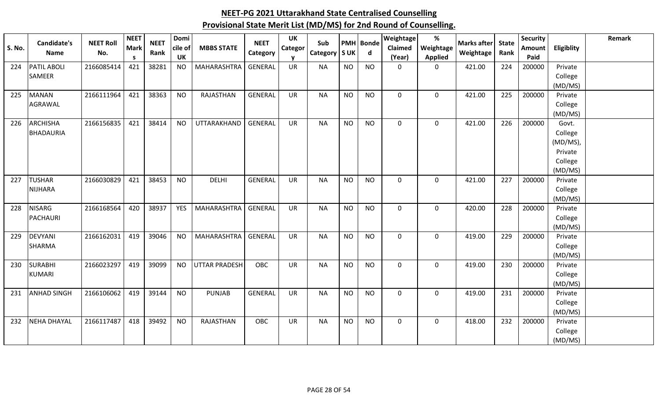| S. No. | Candidate's<br><b>Name</b> | <b>NEET Roll</b><br>No. | <b>NEET</b><br><b>Mark</b><br>s. | <b>NEET</b><br>Rank | Domi<br>cile of<br><b>UK</b> | <b>MBBS STATE</b>    | <b>NEET</b><br>Category | <b>UK</b><br>Categor<br><b>V</b> | Sub<br>Category   S UK |           | <b>PMH</b> Bonde<br>$\mathbf d$ | Weightage<br>Claimed<br>(Year) | %<br>Weightage<br><b>Applied</b> | <b>Marks after</b><br>Weightage | <b>State</b><br>Rank | <b>Security</b><br><b>Amount</b><br>Paid | Eligiblity         | <b>Remark</b> |
|--------|----------------------------|-------------------------|----------------------------------|---------------------|------------------------------|----------------------|-------------------------|----------------------------------|------------------------|-----------|---------------------------------|--------------------------------|----------------------------------|---------------------------------|----------------------|------------------------------------------|--------------------|---------------|
| 224    | <b>PATIL ABOLI</b>         | 2166085414              | 421                              | 38281               | <b>NO</b>                    | <b>MAHARASHTRA</b>   | <b>GENERAL</b>          | <b>UR</b>                        | <b>NA</b>              | <b>NO</b> | <b>NO</b>                       | $\mathbf 0$                    | $\mathbf 0$                      | 421.00                          | 224                  | 200000                                   | Private            |               |
|        | <b>SAMEER</b>              |                         |                                  |                     |                              |                      |                         |                                  |                        |           |                                 |                                |                                  |                                 |                      |                                          | College            |               |
|        |                            |                         |                                  |                     |                              |                      |                         |                                  |                        |           |                                 |                                |                                  |                                 |                      |                                          | (MD/MS)            |               |
| 225    | <b>MANAN</b>               | 2166111964              | 421                              | 38363               | <b>NO</b>                    | RAJASTHAN            | <b>GENERAL</b>          | <b>UR</b>                        | <b>NA</b>              | <b>NO</b> | <b>NO</b>                       | $\mathbf 0$                    | $\mathbf 0$                      | 421.00                          | 225                  | 200000                                   | Private            |               |
|        | <b>AGRAWAL</b>             |                         |                                  |                     |                              |                      |                         |                                  |                        |           |                                 |                                |                                  |                                 |                      |                                          | College            |               |
|        |                            |                         |                                  |                     |                              |                      |                         |                                  |                        |           |                                 |                                |                                  |                                 |                      |                                          | (MD/MS)            |               |
| 226    | <b>ARCHISHA</b>            | 2166156835              | 421                              | 38414               | <b>NO</b>                    | UTTARAKHAND          | <b>GENERAL</b>          | UR                               | <b>NA</b>              | <b>NO</b> | <b>NO</b>                       | $\mathbf 0$                    | $\mathbf 0$                      | 421.00                          | 226                  | 200000                                   | Govt.              |               |
|        | <b>BHADAURIA</b>           |                         |                                  |                     |                              |                      |                         |                                  |                        |           |                                 |                                |                                  |                                 |                      |                                          | College            |               |
|        |                            |                         |                                  |                     |                              |                      |                         |                                  |                        |           |                                 |                                |                                  |                                 |                      |                                          | (MD/MS),           |               |
|        |                            |                         |                                  |                     |                              |                      |                         |                                  |                        |           |                                 |                                |                                  |                                 |                      |                                          | Private            |               |
|        |                            |                         |                                  |                     |                              |                      |                         |                                  |                        |           |                                 |                                |                                  |                                 |                      |                                          | College            |               |
| 227    | <b>TUSHAR</b>              | 2166030829              | 421                              | 38453               | <b>NO</b>                    | <b>DELHI</b>         | <b>GENERAL</b>          | UR                               | <b>NA</b>              | <b>NO</b> | <b>NO</b>                       | $\mathbf 0$                    | $\mathbf 0$                      | 421.00                          | 227                  | 200000                                   | (MD/MS)<br>Private |               |
|        | <b>NIJHARA</b>             |                         |                                  |                     |                              |                      |                         |                                  |                        |           |                                 |                                |                                  |                                 |                      |                                          | College            |               |
|        |                            |                         |                                  |                     |                              |                      |                         |                                  |                        |           |                                 |                                |                                  |                                 |                      |                                          | (MD/MS)            |               |
| 228    | <b>NISARG</b>              | 2166168564              | 420                              | 38937               | <b>YES</b>                   | MAHARASHTRA          | GENERAL                 | <b>UR</b>                        | <b>NA</b>              | <b>NO</b> | <b>NO</b>                       | $\mathbf 0$                    | $\mathbf 0$                      | 420.00                          | 228                  | 200000                                   | Private            |               |
|        | PACHAURI                   |                         |                                  |                     |                              |                      |                         |                                  |                        |           |                                 |                                |                                  |                                 |                      |                                          | College            |               |
|        |                            |                         |                                  |                     |                              |                      |                         |                                  |                        |           |                                 |                                |                                  |                                 |                      |                                          | (MD/MS)            |               |
| 229    | DEVYANI                    | 2166162031              | 419                              | 39046               | <b>NO</b>                    | <b>MAHARASHTRA</b>   | <b>GENERAL</b>          | <b>UR</b>                        | <b>NA</b>              | <b>NO</b> | <b>NO</b>                       | $\mathbf 0$                    | $\mathbf 0$                      | 419.00                          | 229                  | 200000                                   | Private            |               |
|        | <b>SHARMA</b>              |                         |                                  |                     |                              |                      |                         |                                  |                        |           |                                 |                                |                                  |                                 |                      |                                          | College            |               |
|        |                            |                         |                                  |                     |                              |                      |                         |                                  |                        |           |                                 |                                |                                  |                                 |                      |                                          | (MD/MS)            |               |
| 230    | <b>SURABHI</b>             | 2166023297              | 419                              | 39099               | <b>NO</b>                    | <b>UTTAR PRADESH</b> | <b>OBC</b>              | <b>UR</b>                        | <b>NA</b>              | <b>NO</b> | <b>NO</b>                       | $\mathbf 0$                    | $\mathbf 0$                      | 419.00                          | 230                  | 200000                                   | Private            |               |
|        | <b>KUMARI</b>              |                         |                                  |                     |                              |                      |                         |                                  |                        |           |                                 |                                |                                  |                                 |                      |                                          | College            |               |
|        |                            |                         |                                  |                     |                              |                      |                         |                                  |                        |           |                                 |                                |                                  |                                 |                      |                                          | (MD/MS)            |               |
| 231    | <b>ANHAD SINGH</b>         | 2166106062              | 419                              | 39144               | <b>NO</b>                    | <b>PUNJAB</b>        | <b>GENERAL</b>          | <b>UR</b>                        | <b>NA</b>              | <b>NO</b> | <b>NO</b>                       | $\mathbf 0$                    | $\mathbf 0$                      | 419.00                          | 231                  | 200000                                   | Private            |               |
|        |                            |                         |                                  |                     |                              |                      |                         |                                  |                        |           |                                 |                                |                                  |                                 |                      |                                          | College            |               |
|        |                            |                         |                                  |                     |                              |                      |                         |                                  |                        |           |                                 |                                |                                  |                                 |                      |                                          | (MD/MS)            |               |
| 232    | <b>NEHA DHAYAL</b>         | 2166117487              | 418                              | 39492               | <b>NO</b>                    | RAJASTHAN            | <b>OBC</b>              | <b>UR</b>                        | <b>NA</b>              | <b>NO</b> | <b>NO</b>                       | $\mathbf 0$                    | $\mathbf 0$                      | 418.00                          | 232                  | 200000                                   | Private            |               |
|        |                            |                         |                                  |                     |                              |                      |                         |                                  |                        |           |                                 |                                |                                  |                                 |                      |                                          | College            |               |
|        |                            |                         |                                  |                     |                              |                      |                         |                                  |                        |           |                                 |                                |                                  |                                 |                      |                                          | (MD/MS)            |               |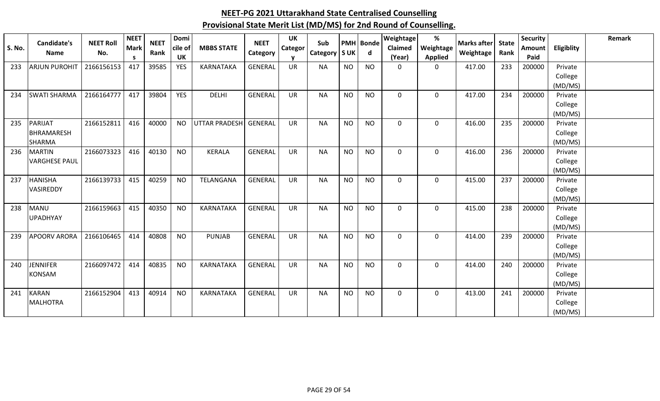|               | Candidate's          | <b>NEET Roll</b> | <b>NEET</b>       | <b>NEET</b> | Domi          |                       | <b>NEET</b>    | <b>UK</b> | Sub       | <b>PMH</b> | <b>Bonde</b> | <b>Weightage</b>  | $\%$                        | <b>Marks after</b> | <b>State</b> | <b>Security</b>       |                    | Remark |
|---------------|----------------------|------------------|-------------------|-------------|---------------|-----------------------|----------------|-----------|-----------|------------|--------------|-------------------|-----------------------------|--------------------|--------------|-----------------------|--------------------|--------|
| <b>S. No.</b> | <b>Name</b>          | No.              | <b>Mark</b><br>s. | Rank        | cile of<br>UK | <b>MBBS STATE</b>     | Category       | Categor   | Category  | <b>SUK</b> | d            | Claimed<br>(Year) | Weightage<br><b>Applied</b> | Weightage          | Rank         | <b>Amount</b><br>Paid | Eligiblity         |        |
| 233           | <b>ARJUN PUROHIT</b> | 2166156153       | 417               | 39585       | <b>YES</b>    | KARNATAKA             | <b>GENERAL</b> | <b>UR</b> | <b>NA</b> | <b>NO</b>  | <b>NO</b>    | $\mathbf 0$       | $\mathbf 0$                 | 417.00             | 233          | 200000                | Private            |        |
|               |                      |                  |                   |             |               |                       |                |           |           |            |              |                   |                             |                    |              |                       | College            |        |
|               |                      |                  |                   |             |               |                       |                |           |           |            |              |                   |                             |                    |              |                       | (MD/MS)            |        |
| 234           | <b>SWATI SHARMA</b>  | 2166164777       | 417               | 39804       | <b>YES</b>    | <b>DELHI</b>          | <b>GENERAL</b> | <b>UR</b> | <b>NA</b> | <b>NO</b>  | <b>NO</b>    | $\Omega$          | 0                           | 417.00             | 234          | 200000                | Private            |        |
|               |                      |                  |                   |             |               |                       |                |           |           |            |              |                   |                             |                    |              |                       | College            |        |
|               |                      |                  |                   |             |               |                       |                |           |           |            |              |                   |                             |                    |              |                       | (MD/MS)            |        |
| 235           | PARIJAT              | 2166152811       | 416               | 40000       | <b>NO</b>     | UTTAR PRADESH GENERAL |                | <b>UR</b> | <b>NA</b> | <b>NO</b>  | <b>NO</b>    | $\mathbf 0$       | 0                           | 416.00             | 235          | 200000                | Private            |        |
|               | <b>BHRAMARESH</b>    |                  |                   |             |               |                       |                |           |           |            |              |                   |                             |                    |              |                       | College            |        |
|               | <b>SHARMA</b>        |                  |                   |             |               |                       |                |           |           |            |              |                   |                             |                    |              |                       | (MD/MS)            |        |
| 236           | <b>MARTIN</b>        | 2166073323       | 416               | 40130       | <b>NO</b>     | <b>KERALA</b>         | <b>GENERAL</b> | <b>UR</b> | <b>NA</b> | <b>NO</b>  | <b>NO</b>    | $\mathbf 0$       | $\mathbf 0$                 | 416.00             | 236          | 200000                | Private            |        |
|               | <b>VARGHESE PAUL</b> |                  |                   |             |               |                       |                |           |           |            |              |                   |                             |                    |              |                       | College            |        |
|               |                      |                  |                   |             |               |                       |                |           |           |            |              |                   |                             |                    |              |                       | (MD/MS)            |        |
| 237           | <b>HANISHA</b>       | 2166139733       | 415               | 40259       | <b>NO</b>     | TELANGANA             | <b>GENERAL</b> | <b>UR</b> | <b>NA</b> | <b>NO</b>  | <b>NO</b>    | $\mathbf 0$       | $\mathbf 0$                 | 415.00             | 237          | 200000                | Private            |        |
|               | VASIREDDY            |                  |                   |             |               |                       |                |           |           |            |              |                   |                             |                    |              |                       | College            |        |
|               |                      |                  |                   |             |               |                       |                |           |           |            |              |                   |                             |                    |              |                       | (MD/MS)            |        |
| 238           | <b>MANU</b>          | 2166159663       | 415               | 40350       | <b>NO</b>     | KARNATAKA             | <b>GENERAL</b> | <b>UR</b> | <b>NA</b> | <b>NO</b>  | <b>NO</b>    | $\mathbf 0$       | $\mathbf 0$                 | 415.00             | 238          | 200000                | Private            |        |
|               | <b>UPADHYAY</b>      |                  |                   |             |               |                       |                |           |           |            |              |                   |                             |                    |              |                       | College            |        |
| 239           | <b>APOORV ARORA</b>  | 2166106465       | 414               | 40808       | <b>NO</b>     | <b>PUNJAB</b>         | <b>GENERAL</b> | <b>UR</b> | <b>NA</b> | <b>NO</b>  | <b>NO</b>    | $\mathbf 0$       | $\mathbf 0$                 | 414.00             | 239          | 200000                | (MD/MS)<br>Private |        |
|               |                      |                  |                   |             |               |                       |                |           |           |            |              |                   |                             |                    |              |                       | College            |        |
|               |                      |                  |                   |             |               |                       |                |           |           |            |              |                   |                             |                    |              |                       | (MD/MS)            |        |
| 240           | <b>JENNIFER</b>      | 2166097472       | 414               | 40835       | <b>NO</b>     | KARNATAKA             | <b>GENERAL</b> | <b>UR</b> | <b>NA</b> | <b>NO</b>  | <b>NO</b>    | $\mathbf 0$       | $\mathbf 0$                 | 414.00             | 240          | 200000                | Private            |        |
|               | <b>KONSAM</b>        |                  |                   |             |               |                       |                |           |           |            |              |                   |                             |                    |              |                       | College            |        |
|               |                      |                  |                   |             |               |                       |                |           |           |            |              |                   |                             |                    |              |                       | (MD/MS)            |        |
| 241           | <b>KARAN</b>         | 2166152904       | 413               | 40914       | <b>NO</b>     | <b>KARNATAKA</b>      | <b>GENERAL</b> | <b>UR</b> | <b>NA</b> | <b>NO</b>  | <b>NO</b>    | $\Omega$          | 0                           | 413.00             | 241          | 200000                | Private            |        |
|               | <b>MALHOTRA</b>      |                  |                   |             |               |                       |                |           |           |            |              |                   |                             |                    |              |                       | College            |        |
|               |                      |                  |                   |             |               |                       |                |           |           |            |              |                   |                             |                    |              |                       | (MD/MS)            |        |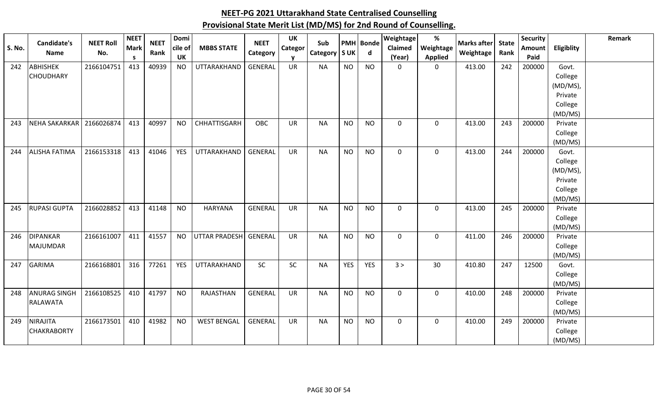| <b>S. No.</b> | <b>Candidate's</b>   | <b>NEET Roll</b><br>No. | <b>NEET</b><br><b>Mark</b> | <b>NEET</b><br>Rank | Domi<br>cile of | <b>MBBS STATE</b>    | <b>NEET</b>    | <b>UK</b><br>Categor | Sub<br>Category   S UK |            | <b>PMH</b> Bonde<br>d | Weightage<br>Claimed | $\%$<br>Weightage | <b>Marks after</b><br>Weightage | <b>State</b><br>Rank | <b>Security</b><br>Amount | Eligiblity         | Remark |
|---------------|----------------------|-------------------------|----------------------------|---------------------|-----------------|----------------------|----------------|----------------------|------------------------|------------|-----------------------|----------------------|-------------------|---------------------------------|----------------------|---------------------------|--------------------|--------|
|               | <b>Name</b>          |                         | -S                         |                     | UK              |                      | Category       |                      |                        |            |                       | (Year)               | <b>Applied</b>    |                                 |                      | Paid                      |                    |        |
| 242           | <b>ABHISHEK</b>      | 2166104751              | 413                        | 40939               | <b>NO</b>       | UTTARAKHAND          | <b>GENERAL</b> | UR                   | <b>NA</b>              | <b>NO</b>  | <b>NO</b>             | $\mathbf 0$          | $\mathbf 0$       | 413.00                          | 242                  | 200000                    | Govt.              |        |
|               | <b>CHOUDHARY</b>     |                         |                            |                     |                 |                      |                |                      |                        |            |                       |                      |                   |                                 |                      |                           | College            |        |
|               |                      |                         |                            |                     |                 |                      |                |                      |                        |            |                       |                      |                   |                                 |                      |                           | (MD/MS),           |        |
|               |                      |                         |                            |                     |                 |                      |                |                      |                        |            |                       |                      |                   |                                 |                      |                           | Private            |        |
|               |                      |                         |                            |                     |                 |                      |                |                      |                        |            |                       |                      |                   |                                 |                      |                           | College            |        |
|               |                      |                         |                            |                     |                 |                      |                |                      |                        |            |                       |                      |                   |                                 |                      |                           | (MD/MS)            |        |
| 243           | <b>NEHA SAKARKAR</b> | 2166026874              | 413                        | 40997               | <b>NO</b>       | CHHATTISGARH         | <b>OBC</b>     | <b>UR</b>            | <b>NA</b>              | <b>NO</b>  | <b>NO</b>             | $\mathbf 0$          | $\mathbf 0$       | 413.00                          | 243                  | 200000                    | Private            |        |
|               |                      |                         |                            |                     |                 |                      |                |                      |                        |            |                       |                      |                   |                                 |                      |                           | College<br>(MD/MS) |        |
| 244           | <b>ALISHA FATIMA</b> | 2166153318              | 413                        | 41046               | <b>YES</b>      | UTTARAKHAND          | GENERAL        | <b>UR</b>            | <b>NA</b>              | <b>NO</b>  | <b>NO</b>             | $\mathbf 0$          | $\mathbf 0$       | 413.00                          | 244                  | 200000                    | Govt.              |        |
|               |                      |                         |                            |                     |                 |                      |                |                      |                        |            |                       |                      |                   |                                 |                      |                           | College            |        |
|               |                      |                         |                            |                     |                 |                      |                |                      |                        |            |                       |                      |                   |                                 |                      |                           | (MD/MS),           |        |
|               |                      |                         |                            |                     |                 |                      |                |                      |                        |            |                       |                      |                   |                                 |                      |                           | Private            |        |
|               |                      |                         |                            |                     |                 |                      |                |                      |                        |            |                       |                      |                   |                                 |                      |                           | College            |        |
|               |                      |                         |                            |                     |                 |                      |                |                      |                        |            |                       |                      |                   |                                 |                      |                           | (MD/MS)            |        |
| 245           | <b>RUPASI GUPTA</b>  | 2166028852              | 413                        | 41148               | <b>NO</b>       | HARYANA              | <b>GENERAL</b> | <b>UR</b>            | <b>NA</b>              | <b>NO</b>  | <b>NO</b>             | $\mathbf 0$          | $\mathbf 0$       | 413.00                          | 245                  | 200000                    | Private            |        |
|               |                      |                         |                            |                     |                 |                      |                |                      |                        |            |                       |                      |                   |                                 |                      |                           | College            |        |
|               |                      |                         |                            |                     |                 |                      |                |                      |                        |            |                       |                      |                   |                                 |                      |                           | (MD/MS)            |        |
| 246           | <b>DIPANKAR</b>      | 2166161007              | 411                        | 41557               | <b>NO</b>       | <b>UTTAR PRADESH</b> | <b>GENERAL</b> | <b>UR</b>            | <b>NA</b>              | <b>NO</b>  | <b>NO</b>             | $\mathbf 0$          | $\mathbf 0$       | 411.00                          | 246                  | 200000                    | Private            |        |
|               | <b>MAJUMDAR</b>      |                         |                            |                     |                 |                      |                |                      |                        |            |                       |                      |                   |                                 |                      |                           | College            |        |
|               |                      |                         |                            |                     |                 |                      |                |                      |                        |            |                       |                      |                   |                                 |                      |                           | (MD/MS)            |        |
| 247           | <b>GARIMA</b>        | 2166168801              | 316                        | 77261               | <b>YES</b>      | UTTARAKHAND          | <b>SC</b>      | <b>SC</b>            | <b>NA</b>              | <b>YES</b> | <b>YES</b>            | 3 >                  | 30                | 410.80                          | 247                  | 12500                     | Govt.              |        |
|               |                      |                         |                            |                     |                 |                      |                |                      |                        |            |                       |                      |                   |                                 |                      |                           | College            |        |
| 248           | <b>ANURAG SINGH</b>  | 2166108525              | 410                        |                     |                 | RAJASTHAN            | GENERAL        | <b>UR</b>            | <b>NA</b>              | <b>NO</b>  | <b>NO</b>             | $\mathbf 0$          | $\mathbf 0$       | 410.00                          | 248                  | 200000                    | (MD/MS)            |        |
|               | <b>RALAWATA</b>      |                         |                            | 41797               | <b>NO</b>       |                      |                |                      |                        |            |                       |                      |                   |                                 |                      |                           | Private<br>College |        |
|               |                      |                         |                            |                     |                 |                      |                |                      |                        |            |                       |                      |                   |                                 |                      |                           | (MD/MS)            |        |
| 249           | NIRAJITA             | 2166173501              | 410                        | 41982               | <b>NO</b>       | <b>WEST BENGAL</b>   | GENERAL        | UR                   | <b>NA</b>              | <b>NO</b>  | <b>NO</b>             | $\mathbf 0$          | $\mathbf 0$       | 410.00                          | 249                  | 200000                    | Private            |        |
|               | <b>CHAKRABORTY</b>   |                         |                            |                     |                 |                      |                |                      |                        |            |                       |                      |                   |                                 |                      |                           | College            |        |
|               |                      |                         |                            |                     |                 |                      |                |                      |                        |            |                       |                      |                   |                                 |                      |                           | (MD/MS)            |        |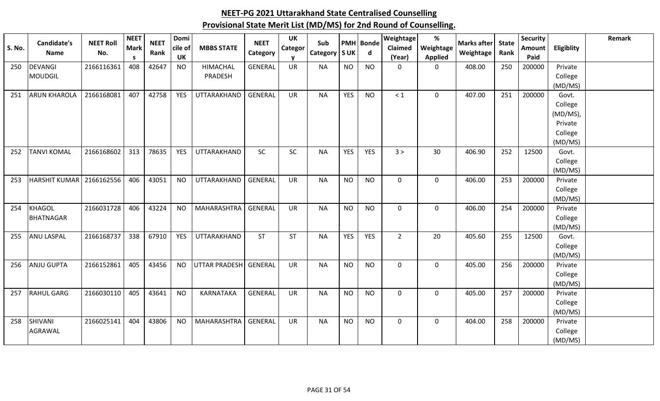| S. No. | <b>Candidate's</b><br><b>Name</b> | <b>NEET Roll</b><br>No. | <b>NEET</b><br><b>Mark</b> | <b>NEET</b><br>Rank | Domi<br>cile of | <b>MBBS STATE</b>    | <b>NEET</b><br>Category | <b>UK</b><br>Categor | Sub<br>Category   S UK |            | <b>PMH</b> Bonde<br>d | Weightage<br>Claimed | $\%$<br>Weightage | <b>Marks after</b><br>Weightage | <b>State</b><br>Rank | <b>Security</b><br>Amount | Eligiblity          | Remark |
|--------|-----------------------------------|-------------------------|----------------------------|---------------------|-----------------|----------------------|-------------------------|----------------------|------------------------|------------|-----------------------|----------------------|-------------------|---------------------------------|----------------------|---------------------------|---------------------|--------|
|        |                                   |                         | -S                         |                     | <b>UK</b>       |                      |                         | <b>V</b>             |                        |            |                       | (Year)               | <b>Applied</b>    |                                 |                      | Paid                      |                     |        |
| 250    | <b>DEVANGI</b>                    | 2166116361              | 408                        | 42647               | <b>NO</b>       | <b>HIMACHAL</b>      | <b>GENERAL</b>          | <b>UR</b>            | <b>NA</b>              | <b>NO</b>  | <b>NO</b>             | $\Omega$             | 0                 | 408.00                          | 250                  | 200000                    | Private             |        |
|        | MOUDGIL                           |                         |                            |                     |                 | PRADESH              |                         |                      |                        |            |                       |                      |                   |                                 |                      |                           | College             |        |
|        |                                   |                         |                            |                     |                 |                      |                         |                      |                        |            |                       |                      |                   |                                 |                      |                           | (MD/MS)             |        |
| 251    | <b>ARUN KHAROLA</b>               | 2166168081              | 407                        | 42758               | YES             | UTTARAKHAND          | GENERAL                 | <b>UR</b>            | <b>NA</b>              | <b>YES</b> | <b>NO</b>             | $\leq 1$             | $\mathbf 0$       | 407.00                          | 251                  | 200000                    | Govt.               |        |
|        |                                   |                         |                            |                     |                 |                      |                         |                      |                        |            |                       |                      |                   |                                 |                      |                           | College             |        |
|        |                                   |                         |                            |                     |                 |                      |                         |                      |                        |            |                       |                      |                   |                                 |                      |                           | (MD/MS),<br>Private |        |
|        |                                   |                         |                            |                     |                 |                      |                         |                      |                        |            |                       |                      |                   |                                 |                      |                           | College             |        |
|        |                                   |                         |                            |                     |                 |                      |                         |                      |                        |            |                       |                      |                   |                                 |                      |                           | (MD/MS)             |        |
| 252    | <b>TANVI KOMAL</b>                | 2166168602              | 313                        | 78635               | <b>YES</b>      | UTTARAKHAND          | <b>SC</b>               | <b>SC</b>            | <b>NA</b>              | <b>YES</b> | <b>YES</b>            | 3 >                  | 30                | 406.90                          | 252                  | 12500                     | Govt.               |        |
|        |                                   |                         |                            |                     |                 |                      |                         |                      |                        |            |                       |                      |                   |                                 |                      |                           | College             |        |
|        |                                   |                         |                            |                     |                 |                      |                         |                      |                        |            |                       |                      |                   |                                 |                      |                           | (MD/MS)             |        |
| 253    | <b>HARSHIT KUMAR</b>              | 2166162556              | 406                        | 43051               | <b>NO</b>       | UTTARAKHAND          | <b>GENERAL</b>          | <b>UR</b>            | <b>NA</b>              | <b>NO</b>  | <b>NO</b>             | $\mathbf 0$          | $\mathbf 0$       | 406.00                          | 253                  | 200000                    | Private             |        |
|        |                                   |                         |                            |                     |                 |                      |                         |                      |                        |            |                       |                      |                   |                                 |                      |                           | College             |        |
|        |                                   |                         |                            |                     |                 |                      |                         |                      |                        |            |                       |                      |                   |                                 |                      |                           | (MD/MS)             |        |
| 254    | <b>KHAGOL</b>                     | 2166031728              | 406                        | 43224               | <b>NO</b>       | MAHARASHTRA          | <b>GENERAL</b>          | <b>UR</b>            | <b>NA</b>              | <b>NO</b>  | <b>NO</b>             | $\mathbf 0$          | $\mathbf 0$       | 406.00                          | 254                  | 200000                    | Private             |        |
|        | <b>BHATNAGAR</b>                  |                         |                            |                     |                 |                      |                         |                      |                        |            |                       |                      |                   |                                 |                      |                           | College             |        |
|        |                                   |                         |                            |                     |                 |                      |                         |                      |                        |            |                       |                      |                   |                                 |                      |                           | (MD/MS)             |        |
| 255    | <b>ANU LASPAL</b>                 | 2166168737              | 338                        | 67910               | <b>YES</b>      | UTTARAKHAND          | <b>ST</b>               | <b>ST</b>            | <b>NA</b>              | <b>YES</b> | <b>YES</b>            | $\overline{2}$       | 20                | 405.60                          | 255                  | 12500                     | Govt.               |        |
|        |                                   |                         |                            |                     |                 |                      |                         |                      |                        |            |                       |                      |                   |                                 |                      |                           | College             |        |
|        |                                   |                         |                            |                     |                 |                      |                         |                      |                        |            |                       |                      |                   |                                 |                      |                           | (MD/MS)             |        |
| 256    | <b>ANJU GUPTA</b>                 | 2166152861              | 405                        | 43456               | <b>NO</b>       | <b>UTTAR PRADESH</b> | GENERAL                 | <b>UR</b>            | <b>NA</b>              | <b>NO</b>  | <b>NO</b>             | $\mathbf 0$          | $\mathbf 0$       | 405.00                          | 256                  | 200000                    | Private<br>College  |        |
|        |                                   |                         |                            |                     |                 |                      |                         |                      |                        |            |                       |                      |                   |                                 |                      |                           | (MD/MS)             |        |
| 257    | <b>RAHUL GARG</b>                 | 2166030110              | 405                        | 43641               | <b>NO</b>       | <b>KARNATAKA</b>     | <b>GENERAL</b>          | <b>UR</b>            | <b>NA</b>              | <b>NO</b>  | <b>NO</b>             | $\mathbf 0$          | $\mathbf 0$       | 405.00                          | 257                  | 200000                    | Private             |        |
|        |                                   |                         |                            |                     |                 |                      |                         |                      |                        |            |                       |                      |                   |                                 |                      |                           | College             |        |
|        |                                   |                         |                            |                     |                 |                      |                         |                      |                        |            |                       |                      |                   |                                 |                      |                           | (MD/MS)             |        |
| 258    | SHIVANI                           | 2166025141              | 404                        | 43806               | <b>NO</b>       | MAHARASHTRA          | <b>GENERAL</b>          | <b>UR</b>            | <b>NA</b>              | <b>NO</b>  | <b>NO</b>             | $\Omega$             | $\mathbf 0$       | 404.00                          | 258                  | 200000                    | Private             |        |
|        | <b>AGRAWAL</b>                    |                         |                            |                     |                 |                      |                         |                      |                        |            |                       |                      |                   |                                 |                      |                           | College             |        |
|        |                                   |                         |                            |                     |                 |                      |                         |                      |                        |            |                       |                      |                   |                                 |                      |                           | (MD/MS)             |        |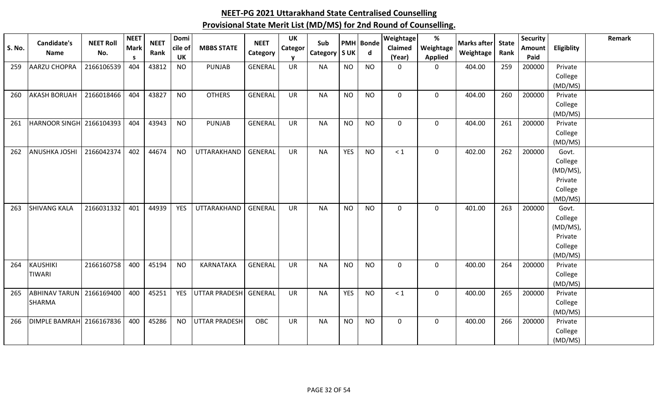| S. No. | <b>Candidate's</b><br><b>Name</b> | <b>NEET Roll</b><br>No. | <b>NEET</b><br><b>Mark</b><br><b>S</b> | <b>NEET</b><br>Rank | Domi<br>cile of<br><b>UK</b> | <b>MBBS STATE</b>    | <b>NEET</b><br>Category | <b>UK</b><br>Categor | Sub<br>Category | <b>SUK</b> | <b>PMH</b> Bonde<br>$\mathsf{d}$ | Weightage<br>Claimed<br>(Year) | $\%$<br>Weightage<br><b>Applied</b> | <b>Marks after</b><br>Weightage | <b>State</b><br>Rank | Security<br>Amount<br>Paid | Eligiblity         | Remark |
|--------|-----------------------------------|-------------------------|----------------------------------------|---------------------|------------------------------|----------------------|-------------------------|----------------------|-----------------|------------|----------------------------------|--------------------------------|-------------------------------------|---------------------------------|----------------------|----------------------------|--------------------|--------|
| 259    | <b>AARZU CHOPRA</b>               | 2166106539              | 404                                    | 43812               | <b>NO</b>                    | PUNJAB               | <b>GENERAL</b>          | <b>UR</b>            | <b>NA</b>       | <b>NO</b>  | <b>NO</b>                        | 0                              | 0                                   | 404.00                          | 259                  | 200000                     | Private            |        |
|        |                                   |                         |                                        |                     |                              |                      |                         |                      |                 |            |                                  |                                |                                     |                                 |                      |                            | College            |        |
|        |                                   |                         |                                        |                     |                              |                      |                         |                      |                 |            |                                  |                                |                                     |                                 |                      |                            | (MD/MS)            |        |
| 260    | <b>AKASH BORUAH</b>               | 2166018466              | 404                                    | 43827               | <b>NO</b>                    | <b>OTHERS</b>        | <b>GENERAL</b>          | UR                   | <b>NA</b>       | <b>NO</b>  | <b>NO</b>                        | 0                              | $\mathbf 0$                         | 404.00                          | 260                  | 200000                     | Private            |        |
|        |                                   |                         |                                        |                     |                              |                      |                         |                      |                 |            |                                  |                                |                                     |                                 |                      |                            | College            |        |
|        |                                   |                         |                                        |                     |                              |                      |                         |                      |                 |            |                                  |                                |                                     |                                 |                      |                            | (MD/MS)            |        |
| 261    | HARNOOR SINGH 2166104393          |                         | 404                                    | 43943               | <b>NO</b>                    | PUNJAB               | <b>GENERAL</b>          | UR                   | <b>NA</b>       | <b>NO</b>  | <b>NO</b>                        | 0                              | 0                                   | 404.00                          | 261                  | 200000                     | Private            |        |
|        |                                   |                         |                                        |                     |                              |                      |                         |                      |                 |            |                                  |                                |                                     |                                 |                      |                            | College            |        |
|        |                                   |                         |                                        |                     |                              |                      |                         |                      |                 |            |                                  |                                |                                     |                                 |                      |                            | (MD/MS)            |        |
| 262    | <b>ANUSHKA JOSHI</b>              | 2166042374              | 402                                    | 44674               | <b>NO</b>                    | UTTARAKHAND          | <b>GENERAL</b>          | <b>UR</b>            | <b>NA</b>       | <b>YES</b> | <b>NO</b>                        | < 1                            | $\mathbf 0$                         | 402.00                          | 262                  | 200000                     | Govt.              |        |
|        |                                   |                         |                                        |                     |                              |                      |                         |                      |                 |            |                                  |                                |                                     |                                 |                      |                            | College            |        |
|        |                                   |                         |                                        |                     |                              |                      |                         |                      |                 |            |                                  |                                |                                     |                                 |                      |                            | (MD/MS),           |        |
|        |                                   |                         |                                        |                     |                              |                      |                         |                      |                 |            |                                  |                                |                                     |                                 |                      |                            | Private            |        |
|        |                                   |                         |                                        |                     |                              |                      |                         |                      |                 |            |                                  |                                |                                     |                                 |                      |                            | College            |        |
|        |                                   |                         |                                        |                     |                              |                      |                         |                      |                 |            |                                  |                                |                                     |                                 |                      |                            | (MD/MS)            |        |
| 263    | <b>SHIVANG KALA</b>               | 2166031332              | 401                                    | 44939               | <b>YES</b>                   | UTTARAKHAND          | <b>GENERAL</b>          | <b>UR</b>            | <b>NA</b>       | <b>NO</b>  | <b>NO</b>                        | 0                              | $\mathbf 0$                         | 401.00                          | 263                  | 200000                     | Govt.              |        |
|        |                                   |                         |                                        |                     |                              |                      |                         |                      |                 |            |                                  |                                |                                     |                                 |                      |                            | College            |        |
|        |                                   |                         |                                        |                     |                              |                      |                         |                      |                 |            |                                  |                                |                                     |                                 |                      |                            | (MD/MS),           |        |
|        |                                   |                         |                                        |                     |                              |                      |                         |                      |                 |            |                                  |                                |                                     |                                 |                      |                            | Private            |        |
|        |                                   |                         |                                        |                     |                              |                      |                         |                      |                 |            |                                  |                                |                                     |                                 |                      |                            | College<br>(MD/MS) |        |
| 264    | <b>KAUSHIKI</b>                   | 2166160758              | 400                                    | 45194               | <b>NO</b>                    | <b>KARNATAKA</b>     | <b>GENERAL</b>          | <b>UR</b>            | <b>NA</b>       | <b>NO</b>  | <b>NO</b>                        | 0                              | $\mathbf 0$                         | 400.00                          | 264                  | 200000                     | Private            |        |
|        | <b>TIWARI</b>                     |                         |                                        |                     |                              |                      |                         |                      |                 |            |                                  |                                |                                     |                                 |                      |                            | College            |        |
|        |                                   |                         |                                        |                     |                              |                      |                         |                      |                 |            |                                  |                                |                                     |                                 |                      |                            | (MD/MS)            |        |
| 265    | <b>ABHINAV TARUN</b>              | 2166169400              | 400                                    | 45251               | YES                          | <b>UTTAR PRADESH</b> | <b>GENERAL</b>          | <b>UR</b>            | <b>NA</b>       | <b>YES</b> | <b>NO</b>                        | < 1                            | $\mathbf 0$                         | 400.00                          | 265                  | 200000                     | Private            |        |
|        | <b>SHARMA</b>                     |                         |                                        |                     |                              |                      |                         |                      |                 |            |                                  |                                |                                     |                                 |                      |                            | College            |        |
|        |                                   |                         |                                        |                     |                              |                      |                         |                      |                 |            |                                  |                                |                                     |                                 |                      |                            | (MD/MS)            |        |
| 266    | DIMPLE BAMRAH 2166167836          |                         | 400                                    | 45286               | <b>NO</b>                    | <b>UTTAR PRADESH</b> | <b>OBC</b>              | <b>UR</b>            | <b>NA</b>       | <b>NO</b>  | <b>NO</b>                        | 0                              | $\mathbf 0$                         | 400.00                          | 266                  | 200000                     | Private            |        |
|        |                                   |                         |                                        |                     |                              |                      |                         |                      |                 |            |                                  |                                |                                     |                                 |                      |                            | College            |        |
|        |                                   |                         |                                        |                     |                              |                      |                         |                      |                 |            |                                  |                                |                                     |                                 |                      |                            | (MD/MS)            |        |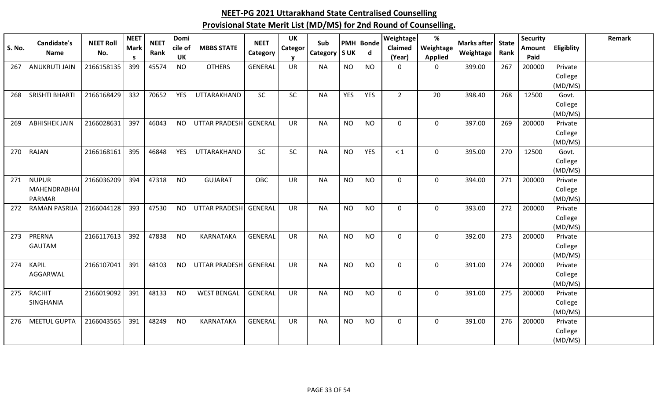| S. No. | Candidate's<br><b>Name</b> | <b>NEET Roll</b><br>No. | <b>NEET</b><br><b>Mark</b> | <b>NEET</b><br>Rank | Domi<br>cile of<br><b>UK</b> | <b>MBBS STATE</b>    | <b>NEET</b><br>Category | <b>UK</b><br>Categor  | Sub<br>Category   S UK |            | <b>PMH</b> Bonde<br>$\mathbf d$ | Weightage<br>Claimed   | $\%$<br>Weightage             | <b>Marks after</b><br>Weightage | <b>State</b><br>Rank | <b>Security</b><br><b>Amount</b><br>Paid | Eligiblity         | Remark |
|--------|----------------------------|-------------------------|----------------------------|---------------------|------------------------------|----------------------|-------------------------|-----------------------|------------------------|------------|---------------------------------|------------------------|-------------------------------|---------------------------------|----------------------|------------------------------------------|--------------------|--------|
| 267    | <b>ANUKRUTI JAIN</b>       | 2166158135              | -S<br>399                  | 45574               | <b>NO</b>                    | <b>OTHERS</b>        | <b>GENERAL</b>          | <b>V</b><br><b>UR</b> | <b>NA</b>              | <b>NO</b>  | <b>NO</b>                       | (Year)<br>$\mathbf{0}$ | <b>Applied</b><br>$\mathbf 0$ | 399.00                          | 267                  | 200000                                   | Private            |        |
|        |                            |                         |                            |                     |                              |                      |                         |                       |                        |            |                                 |                        |                               |                                 |                      |                                          | College            |        |
|        |                            |                         |                            |                     |                              |                      |                         |                       |                        |            |                                 |                        |                               |                                 |                      |                                          | (MD/MS)            |        |
| 268    | <b>SRISHTI BHARTI</b>      | 2166168429              | 332                        | 70652               | <b>YES</b>                   | UTTARAKHAND          | SC                      | SC                    | <b>NA</b>              | <b>YES</b> | <b>YES</b>                      | $\overline{2}$         | 20                            | 398.40                          | 268                  | 12500                                    | Govt.              |        |
|        |                            |                         |                            |                     |                              |                      |                         |                       |                        |            |                                 |                        |                               |                                 |                      |                                          | College            |        |
|        |                            |                         |                            |                     |                              |                      |                         |                       |                        |            |                                 |                        |                               |                                 |                      |                                          | (MD/MS)            |        |
| 269    | <b>ABHISHEK JAIN</b>       | 2166028631              | 397                        | 46043               | <b>NO</b>                    | <b>UTTAR PRADESH</b> | <b>GENERAL</b>          | <b>UR</b>             | <b>NA</b>              | <b>NO</b>  | <b>NO</b>                       | 0                      | $\mathbf 0$                   | 397.00                          | 269                  | 200000                                   | Private            |        |
|        |                            |                         |                            |                     |                              |                      |                         |                       |                        |            |                                 |                        |                               |                                 |                      |                                          | College            |        |
|        |                            |                         |                            |                     |                              |                      |                         |                       |                        |            |                                 |                        |                               |                                 |                      |                                          | (MD/MS)            |        |
| 270    | <b>RAJAN</b>               | 2166168161              | 395                        | 46848               | <b>YES</b>                   | UTTARAKHAND          | <b>SC</b>               | <b>SC</b>             | <b>NA</b>              | <b>NO</b>  | <b>YES</b>                      | $\leq 1$               | $\mathbf 0$                   | 395.00                          | 270                  | 12500                                    | Govt.              |        |
|        |                            |                         |                            |                     |                              |                      |                         |                       |                        |            |                                 |                        |                               |                                 |                      |                                          | College            |        |
| 271    | <b>NUPUR</b>               | 2166036209              | 394                        | 47318               | <b>NO</b>                    | <b>GUJARAT</b>       | OBC                     | UR                    | <b>NA</b>              | <b>NO</b>  | <b>NO</b>                       | $\mathbf 0$            | $\mathbf 0$                   | 394.00                          | 271                  | 200000                                   | (MD/MS)<br>Private |        |
|        | MAHENDRABHAI               |                         |                            |                     |                              |                      |                         |                       |                        |            |                                 |                        |                               |                                 |                      |                                          | College            |        |
|        | PARMAR                     |                         |                            |                     |                              |                      |                         |                       |                        |            |                                 |                        |                               |                                 |                      |                                          | (MD/MS)            |        |
| 272    | <b>RAMAN PASRIJA</b>       | 2166044128              | 393                        | 47530               | <b>NO</b>                    | <b>UTTAR PRADESH</b> | GENERAL                 | <b>UR</b>             | <b>NA</b>              | <b>NO</b>  | <b>NO</b>                       | $\mathbf 0$            | $\mathbf 0$                   | 393.00                          | 272                  | 200000                                   | Private            |        |
|        |                            |                         |                            |                     |                              |                      |                         |                       |                        |            |                                 |                        |                               |                                 |                      |                                          | College            |        |
|        |                            |                         |                            |                     |                              |                      |                         |                       |                        |            |                                 |                        |                               |                                 |                      |                                          | (MD/MS)            |        |
| 273    | PRERNA                     | 2166117613              | 392                        | 47838               | <b>NO</b>                    | <b>KARNATAKA</b>     | <b>GENERAL</b>          | <b>UR</b>             | <b>NA</b>              | <b>NO</b>  | <b>NO</b>                       | $\mathbf 0$            | $\mathbf 0$                   | 392.00                          | 273                  | 200000                                   | Private            |        |
|        | <b>GAUTAM</b>              |                         |                            |                     |                              |                      |                         |                       |                        |            |                                 |                        |                               |                                 |                      |                                          | College            |        |
|        |                            |                         |                            |                     |                              |                      |                         |                       |                        |            |                                 |                        |                               |                                 |                      |                                          | (MD/MS)            |        |
| 274    | <b>KAPIL</b>               | 2166107041              | 391                        | 48103               | <b>NO</b>                    | <b>UTTAR PRADESH</b> | GENERAL                 | <b>UR</b>             | <b>NA</b>              | <b>NO</b>  | <b>NO</b>                       | $\mathbf 0$            | $\mathbf 0$                   | 391.00                          | 274                  | 200000                                   | Private            |        |
|        | AGGARWAL                   |                         |                            |                     |                              |                      |                         |                       |                        |            |                                 |                        |                               |                                 |                      |                                          | College            |        |
|        |                            |                         |                            |                     |                              |                      |                         |                       |                        |            |                                 |                        |                               |                                 |                      |                                          | (MD/MS)            |        |
| 275    | <b>RACHIT</b>              | 2166019092              | 391                        | 48133               | <b>NO</b>                    | <b>WEST BENGAL</b>   | <b>GENERAL</b>          | <b>UR</b>             | <b>NA</b>              | <b>NO</b>  | <b>NO</b>                       | 0                      | $\mathbf 0$                   | 391.00                          | 275                  | 200000                                   | Private            |        |
|        | <b>SINGHANIA</b>           |                         |                            |                     |                              |                      |                         |                       |                        |            |                                 |                        |                               |                                 |                      |                                          | College<br>(MD/MS) |        |
| 276    | <b>MEETUL GUPTA</b>        | 2166043565              | 391                        | 48249               | <b>NO</b>                    | KARNATAKA            | <b>GENERAL</b>          | <b>UR</b>             | <b>NA</b>              | <b>NO</b>  | <b>NO</b>                       | $\mathbf 0$            | $\mathbf 0$                   | 391.00                          | 276                  | 200000                                   | Private            |        |
|        |                            |                         |                            |                     |                              |                      |                         |                       |                        |            |                                 |                        |                               |                                 |                      |                                          | College            |        |
|        |                            |                         |                            |                     |                              |                      |                         |                       |                        |            |                                 |                        |                               |                                 |                      |                                          | (MD/MS)            |        |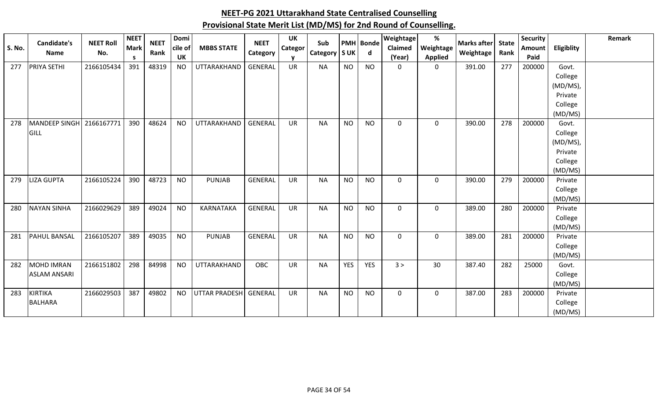|               | <b>Candidate's</b>       | <b>NEET Roll</b> | <b>NEET</b> | <b>NEET</b> | Domi      |                      | <b>NEET</b>    | <b>UK</b>      | Sub             |            | PMH Bonde  | Weightage   | %              | Marks after | <b>State</b> | <b>Security</b> |            | Remark |
|---------------|--------------------------|------------------|-------------|-------------|-----------|----------------------|----------------|----------------|-----------------|------------|------------|-------------|----------------|-------------|--------------|-----------------|------------|--------|
| <b>S. No.</b> | <b>Name</b>              | No.              | <b>Mark</b> | Rank        | cile of   | <b>MBBS STATE</b>    | Category       | <b>Categor</b> | Category   S UK |            | d          | Claimed     | Weightage      | Weightage   | Rank         | Amount          | Eligiblity |        |
|               |                          |                  | <b>S</b>    |             | UK        |                      |                | $\mathbf v$    |                 |            |            | (Year)      | <b>Applied</b> |             |              | Paid            |            |        |
| 277           | <b>PRIYA SETHI</b>       | 2166105434       | 391         | 48319       | <b>NO</b> | UTTARAKHAND          | GENERAL        | UR             | <b>NA</b>       | <b>NO</b>  | <b>NO</b>  | $\mathbf 0$ | $\mathbf 0$    | 391.00      | 277          | 200000          | Govt.      |        |
|               |                          |                  |             |             |           |                      |                |                |                 |            |            |             |                |             |              |                 | College    |        |
|               |                          |                  |             |             |           |                      |                |                |                 |            |            |             |                |             |              |                 | (MD/MS),   |        |
|               |                          |                  |             |             |           |                      |                |                |                 |            |            |             |                |             |              |                 | Private    |        |
|               |                          |                  |             |             |           |                      |                |                |                 |            |            |             |                |             |              |                 | College    |        |
|               |                          |                  |             |             |           |                      |                |                |                 |            |            |             |                |             |              |                 | (MD/MS)    |        |
| 278           | MANDEEP SINGH 2166167771 |                  | 390         | 48624       | <b>NO</b> | UTTARAKHAND          | <b>GENERAL</b> | UR             | <b>NA</b>       | <b>NO</b>  | <b>NO</b>  | 0           | 0              | 390.00      | 278          | 200000          | Govt.      |        |
|               | GILL                     |                  |             |             |           |                      |                |                |                 |            |            |             |                |             |              |                 | College    |        |
|               |                          |                  |             |             |           |                      |                |                |                 |            |            |             |                |             |              |                 | (MD/MS),   |        |
|               |                          |                  |             |             |           |                      |                |                |                 |            |            |             |                |             |              |                 | Private    |        |
|               |                          |                  |             |             |           |                      |                |                |                 |            |            |             |                |             |              |                 | College    |        |
|               |                          |                  |             |             |           |                      |                |                |                 |            |            |             |                |             |              |                 | (MD/MS)    |        |
| 279           | <b>LIZA GUPTA</b>        | 2166105224       | 390         | 48723       | <b>NO</b> | <b>PUNJAB</b>        | <b>GENERAL</b> | <b>UR</b>      | <b>NA</b>       | <b>NO</b>  | <b>NO</b>  | $\mathbf 0$ | $\mathbf 0$    | 390.00      | 279          | 200000          | Private    |        |
|               |                          |                  |             |             |           |                      |                |                |                 |            |            |             |                |             |              |                 | College    |        |
|               |                          |                  |             |             |           |                      |                |                |                 |            |            |             |                |             |              |                 | (MD/MS)    |        |
| 280           | <b>NAYAN SINHA</b>       | 2166029629       | 389         | 49024       | <b>NO</b> | <b>KARNATAKA</b>     | <b>GENERAL</b> | <b>UR</b>      | <b>NA</b>       | <b>NO</b>  | <b>NO</b>  | $\mathbf 0$ | $\mathbf 0$    | 389.00      | 280          | 200000          | Private    |        |
|               |                          |                  |             |             |           |                      |                |                |                 |            |            |             |                |             |              |                 | College    |        |
|               |                          |                  |             |             |           |                      |                |                |                 |            |            |             |                |             |              |                 | (MD/MS)    |        |
| 281           | <b>PAHUL BANSAL</b>      | 2166105207       | 389         | 49035       | <b>NO</b> | <b>PUNJAB</b>        | <b>GENERAL</b> | <b>UR</b>      | <b>NA</b>       | <b>NO</b>  | <b>NO</b>  | $\mathbf 0$ | 0              | 389.00      | 281          | 200000          | Private    |        |
|               |                          |                  |             |             |           |                      |                |                |                 |            |            |             |                |             |              |                 | College    |        |
|               |                          |                  |             |             |           |                      |                |                |                 |            |            |             |                |             |              |                 | (MD/MS)    |        |
| 282           | MOHD IMRAN               | 2166151802       | 298         | 84998       | <b>NO</b> | UTTARAKHAND          | OBC            | UR             | <b>NA</b>       | <b>YES</b> | <b>YES</b> | 3 >         | 30             | 387.40      | 282          | 25000           | Govt.      |        |
|               | <b>ASLAM ANSARI</b>      |                  |             |             |           |                      |                |                |                 |            |            |             |                |             |              |                 | College    |        |
|               |                          |                  |             |             |           |                      |                |                |                 |            |            |             |                |             |              |                 | (MD/MS)    |        |
| 283           | <b>KIRTIKA</b>           | 2166029503       | 387         | 49802       | <b>NO</b> | <b>UTTAR PRADESH</b> | GENERAL        | <b>UR</b>      | <b>NA</b>       | <b>NO</b>  | <b>NO</b>  | 0           | 0              | 387.00      | 283          | 200000          | Private    |        |
|               | <b>BALHARA</b>           |                  |             |             |           |                      |                |                |                 |            |            |             |                |             |              |                 | College    |        |
|               |                          |                  |             |             |           |                      |                |                |                 |            |            |             |                |             |              |                 | (MD/MS)    |        |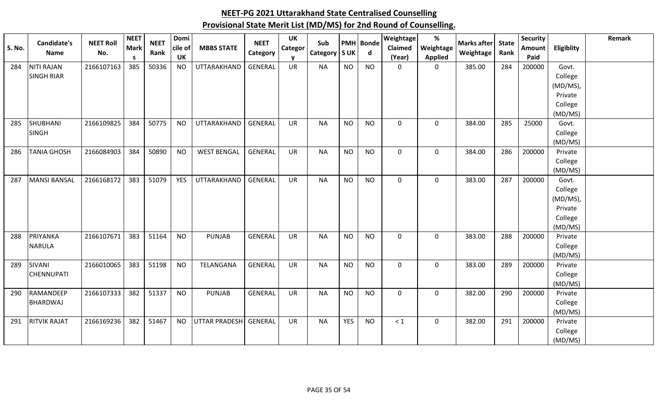| <b>S. No.</b> | <b>Candidate's</b>  | <b>NEET Roll</b> | <b>NEET</b><br><b>Mark</b> | <b>NEET</b> | Domi<br>cile of | <b>MBBS STATE</b>     | <b>NEET</b>    | <b>UK</b><br>Categor | Sub       | <b>PMH</b> | <b>Bonde</b> | Weightage<br>Claimed | $\%$<br>Weightage | <b>Marks after</b> | <b>State</b> | <b>Security</b><br>Amount | Eligiblity         | Remark |
|---------------|---------------------|------------------|----------------------------|-------------|-----------------|-----------------------|----------------|----------------------|-----------|------------|--------------|----------------------|-------------------|--------------------|--------------|---------------------------|--------------------|--------|
|               | <b>Name</b>         | No.              | -S                         | Rank        | <b>UK</b>       |                       | Category       |                      | Category  | <b>SUK</b> | d            | (Year)               | <b>Applied</b>    | Weightage          | Rank         | Paid                      |                    |        |
| 284           | <b>NITI RAJAN</b>   | 2166107163       | 385                        | 50336       | <b>NO</b>       | UTTARAKHAND           | GENERAL        | UR                   | <b>NA</b> | <b>NO</b>  | <b>NO</b>    | $\mathbf 0$          | $\mathbf 0$       | 385.00             | 284          | 200000                    | Govt.              |        |
|               | <b>SINGH RIAR</b>   |                  |                            |             |                 |                       |                |                      |           |            |              |                      |                   |                    |              |                           | College            |        |
|               |                     |                  |                            |             |                 |                       |                |                      |           |            |              |                      |                   |                    |              |                           | (MD/MS),           |        |
|               |                     |                  |                            |             |                 |                       |                |                      |           |            |              |                      |                   |                    |              |                           | Private            |        |
|               |                     |                  |                            |             |                 |                       |                |                      |           |            |              |                      |                   |                    |              |                           | College            |        |
| 285           | <b>SHUBHANI</b>     | 2166109825       | 384                        | 50775       | <b>NO</b>       | <b>UTTARAKHAND</b>    | <b>GENERAL</b> | UR                   | <b>NA</b> | <b>NO</b>  | <b>NO</b>    | $\mathbf 0$          | $\mathbf 0$       | 384.00             | 285          | 25000                     | (MD/MS)<br>Govt.   |        |
|               | <b>SINGH</b>        |                  |                            |             |                 |                       |                |                      |           |            |              |                      |                   |                    |              |                           | College            |        |
|               |                     |                  |                            |             |                 |                       |                |                      |           |            |              |                      |                   |                    |              |                           | (MD/MS)            |        |
| 286           | <b>TANIA GHOSH</b>  | 2166084903       | 384                        | 50890       | <b>NO</b>       | <b>WEST BENGAL</b>    | <b>GENERAL</b> | <b>UR</b>            | <b>NA</b> | <b>NO</b>  | <b>NO</b>    | $\Omega$             | 0                 | 384.00             | 286          | 200000                    | Private            |        |
|               |                     |                  |                            |             |                 |                       |                |                      |           |            |              |                      |                   |                    |              |                           | College            |        |
|               |                     |                  |                            |             |                 |                       |                |                      |           |            |              |                      |                   |                    |              |                           | (MD/MS)            |        |
| 287           | <b>MANSI BANSAL</b> | 2166168172       | 383                        | 51079       | <b>YES</b>      | UTTARAKHAND           | <b>GENERAL</b> | <b>UR</b>            | <b>NA</b> | <b>NO</b>  | <b>NO</b>    | $\mathsf{O}$         | $\mathbf 0$       | 383.00             | 287          | 200000                    | Govt.              |        |
|               |                     |                  |                            |             |                 |                       |                |                      |           |            |              |                      |                   |                    |              |                           | College            |        |
|               |                     |                  |                            |             |                 |                       |                |                      |           |            |              |                      |                   |                    |              |                           | (MD/MS),           |        |
|               |                     |                  |                            |             |                 |                       |                |                      |           |            |              |                      |                   |                    |              |                           | Private            |        |
|               |                     |                  |                            |             |                 |                       |                |                      |           |            |              |                      |                   |                    |              |                           | College            |        |
| 288           | PRIYANKA            | 2166107671       | 383                        | 51164       | <b>NO</b>       | PUNJAB                | <b>GENERAL</b> | <b>UR</b>            | <b>NA</b> | <b>NO</b>  | <b>NO</b>    | $\mathbf 0$          | $\mathbf 0$       | 383.00             | 288          | 200000                    | (MD/MS)<br>Private |        |
|               | <b>NARULA</b>       |                  |                            |             |                 |                       |                |                      |           |            |              |                      |                   |                    |              |                           | College            |        |
|               |                     |                  |                            |             |                 |                       |                |                      |           |            |              |                      |                   |                    |              |                           | (MD/MS)            |        |
| 289           | SIVANI              | 2166010065       | 383                        | 51198       | <b>NO</b>       | TELANGANA             | <b>GENERAL</b> | <b>UR</b>            | <b>NA</b> | <b>NO</b>  | <b>NO</b>    | $\mathbf 0$          | $\mathbf 0$       | 383.00             | 289          | 200000                    | Private            |        |
|               | <b>CHENNUPATI</b>   |                  |                            |             |                 |                       |                |                      |           |            |              |                      |                   |                    |              |                           | College            |        |
|               |                     |                  |                            |             |                 |                       |                |                      |           |            |              |                      |                   |                    |              |                           | (MD/MS)            |        |
| 290           | RAMANDEEP           | 2166107333       | 382                        | 51337       | <b>NO</b>       | <b>PUNJAB</b>         | <b>GENERAL</b> | <b>UR</b>            | <b>NA</b> | <b>NO</b>  | <b>NO</b>    | $\mathbf 0$          | $\mathbf 0$       | 382.00             | 290          | 200000                    | Private            |        |
|               | <b>BHARDWAJ</b>     |                  |                            |             |                 |                       |                |                      |           |            |              |                      |                   |                    |              |                           | College            |        |
|               |                     |                  |                            |             |                 |                       |                |                      |           |            |              |                      |                   |                    |              |                           | (MD/MS)            |        |
| 291           | <b>RITVIK RAJAT</b> | 2166169236       | 382                        | 51467       | <b>NO</b>       | UTTAR PRADESH GENERAL |                | UR                   | <b>NA</b> | <b>YES</b> | <b>NO</b>    | $\leq 1$             | $\mathbf 0$       | 382.00             | 291          | 200000                    | Private            |        |
|               |                     |                  |                            |             |                 |                       |                |                      |           |            |              |                      |                   |                    |              |                           | College            |        |
|               |                     |                  |                            |             |                 |                       |                |                      |           |            |              |                      |                   |                    |              |                           | (MD/MS)            |        |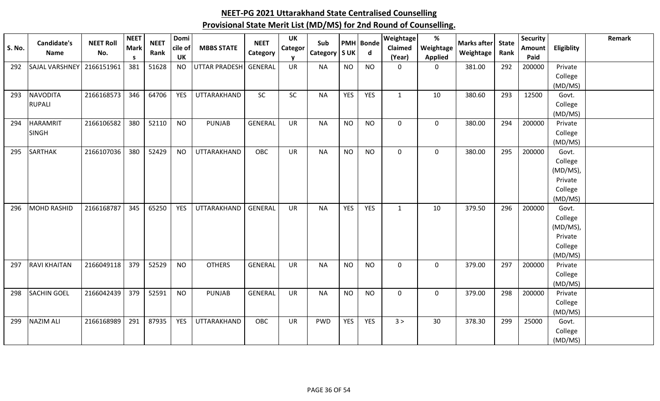| <b>S. No.</b> | Candidate's<br><b>Name</b> | <b>NEET Roll</b><br>No. | <b>NEET</b><br><b>Mark</b><br>-S | <b>NEET</b><br>Rank | Domi<br>cile of<br><b>UK</b> | <b>MBBS STATE</b>    | <b>NEET</b><br>Category | <b>UK</b><br><b>Categor</b><br><b>V</b> | Sub<br><b>Category</b> | <b>SUK</b> | PMH Bonde<br>$\mathsf{d}$ | <b>Weightage</b><br>Claimed<br>(Year) | $\%$<br>Weightage<br><b>Applied</b> | <b>Marks after</b><br>Weightage | <b>State</b><br>Rank | <b>Security</b><br>Amount<br>Paid | Eligiblity         | Remark |
|---------------|----------------------------|-------------------------|----------------------------------|---------------------|------------------------------|----------------------|-------------------------|-----------------------------------------|------------------------|------------|---------------------------|---------------------------------------|-------------------------------------|---------------------------------|----------------------|-----------------------------------|--------------------|--------|
| 292           | <b>SAJAL VARSHNEY</b>      | 2166151961              | 381                              | 51628               | <b>NO</b>                    | <b>UTTAR PRADESH</b> | <b>GENERAL</b>          | <b>UR</b>                               | <b>NA</b>              | <b>NO</b>  | <b>NO</b>                 | $\mathbf 0$                           | $\mathbf 0$                         | 381.00                          | 292                  | 200000                            | Private            |        |
|               |                            |                         |                                  |                     |                              |                      |                         |                                         |                        |            |                           |                                       |                                     |                                 |                      |                                   | College            |        |
|               |                            |                         |                                  |                     |                              |                      |                         |                                         |                        |            |                           |                                       |                                     |                                 |                      |                                   | (MD/MS)            |        |
| 293           | <b>NAVODITA</b>            | 2166168573              | 346                              | 64706               | <b>YES</b>                   | UTTARAKHAND          | SC                      | SC                                      | <b>NA</b>              | <b>YES</b> | YES                       | $\mathbf{1}$                          | 10                                  | 380.60                          | 293                  | 12500                             | Govt.              |        |
|               | <b>RUPALI</b>              |                         |                                  |                     |                              |                      |                         |                                         |                        |            |                           |                                       |                                     |                                 |                      |                                   | College            |        |
|               |                            |                         |                                  |                     |                              |                      |                         |                                         |                        |            |                           |                                       |                                     |                                 |                      |                                   | (MD/MS)            |        |
| 294           | <b>HARAMRIT</b>            | 2166106582              | 380                              | 52110               | <b>NO</b>                    | <b>PUNJAB</b>        | <b>GENERAL</b>          | <b>UR</b>                               | <b>NA</b>              | <b>NO</b>  | <b>NO</b>                 | $\mathbf 0$                           | $\mathbf 0$                         | 380.00                          | 294                  | 200000                            | Private            |        |
|               | <b>SINGH</b>               |                         |                                  |                     |                              |                      |                         |                                         |                        |            |                           |                                       |                                     |                                 |                      |                                   | College<br>(MD/MS) |        |
| 295           | <b>SARTHAK</b>             | 2166107036              | 380                              | 52429               | <b>NO</b>                    | UTTARAKHAND          | <b>OBC</b>              | <b>UR</b>                               | <b>NA</b>              | <b>NO</b>  | <b>NO</b>                 | $\mathbf 0$                           | $\mathbf 0$                         | 380.00                          | 295                  | 200000                            | Govt.              |        |
|               |                            |                         |                                  |                     |                              |                      |                         |                                         |                        |            |                           |                                       |                                     |                                 |                      |                                   | College            |        |
|               |                            |                         |                                  |                     |                              |                      |                         |                                         |                        |            |                           |                                       |                                     |                                 |                      |                                   | (MD/MS),           |        |
|               |                            |                         |                                  |                     |                              |                      |                         |                                         |                        |            |                           |                                       |                                     |                                 |                      |                                   | Private            |        |
|               |                            |                         |                                  |                     |                              |                      |                         |                                         |                        |            |                           |                                       |                                     |                                 |                      |                                   | College            |        |
|               |                            |                         |                                  |                     |                              |                      |                         |                                         |                        |            |                           |                                       |                                     |                                 |                      |                                   | (MD/MS)            |        |
| 296           | <b>MOHD RASHID</b>         | 2166168787              | 345                              | 65250               | <b>YES</b>                   | UTTARAKHAND          | GENERAL                 | UR                                      | <b>NA</b>              | <b>YES</b> | <b>YES</b>                | $\mathbf{1}$                          | 10                                  | 379.50                          | 296                  | 200000                            | Govt.              |        |
|               |                            |                         |                                  |                     |                              |                      |                         |                                         |                        |            |                           |                                       |                                     |                                 |                      |                                   | College            |        |
|               |                            |                         |                                  |                     |                              |                      |                         |                                         |                        |            |                           |                                       |                                     |                                 |                      |                                   | (MD/MS),           |        |
|               |                            |                         |                                  |                     |                              |                      |                         |                                         |                        |            |                           |                                       |                                     |                                 |                      |                                   | Private            |        |
|               |                            |                         |                                  |                     |                              |                      |                         |                                         |                        |            |                           |                                       |                                     |                                 |                      |                                   | College            |        |
|               |                            |                         |                                  |                     |                              |                      |                         |                                         |                        |            |                           |                                       |                                     |                                 |                      |                                   | (MD/MS)            |        |
| 297           | <b>RAVI KHAITAN</b>        | 2166049118              | 379                              | 52529               | <b>NO</b>                    | <b>OTHERS</b>        | <b>GENERAL</b>          | <b>UR</b>                               | <b>NA</b>              | <b>NO</b>  | <b>NO</b>                 | $\mathbf 0$                           | $\mathbf 0$                         | 379.00                          | 297                  | 200000                            | Private            |        |
|               |                            |                         |                                  |                     |                              |                      |                         |                                         |                        |            |                           |                                       |                                     |                                 |                      |                                   | College<br>(MD/MS) |        |
| 298           | <b>SACHIN GOEL</b>         | 2166042439              | 379                              | 52591               | <b>NO</b>                    | <b>PUNJAB</b>        | <b>GENERAL</b>          | <b>UR</b>                               | <b>NA</b>              | <b>NO</b>  | <b>NO</b>                 | $\mathbf 0$                           | $\mathbf 0$                         | 379.00                          | 298                  | 200000                            | Private            |        |
|               |                            |                         |                                  |                     |                              |                      |                         |                                         |                        |            |                           |                                       |                                     |                                 |                      |                                   | College            |        |
|               |                            |                         |                                  |                     |                              |                      |                         |                                         |                        |            |                           |                                       |                                     |                                 |                      |                                   | (MD/MS)            |        |
| 299           | <b>NAZIM ALI</b>           | 2166168989              | 291                              | 87935               | <b>YES</b>                   | UTTARAKHAND          | <b>OBC</b>              | <b>UR</b>                               | <b>PWD</b>             | <b>YES</b> | <b>YES</b>                | 3 >                                   | 30                                  | 378.30                          | 299                  | 25000                             | Govt.              |        |
|               |                            |                         |                                  |                     |                              |                      |                         |                                         |                        |            |                           |                                       |                                     |                                 |                      |                                   | College            |        |
|               |                            |                         |                                  |                     |                              |                      |                         |                                         |                        |            |                           |                                       |                                     |                                 |                      |                                   | (MD/MS)            |        |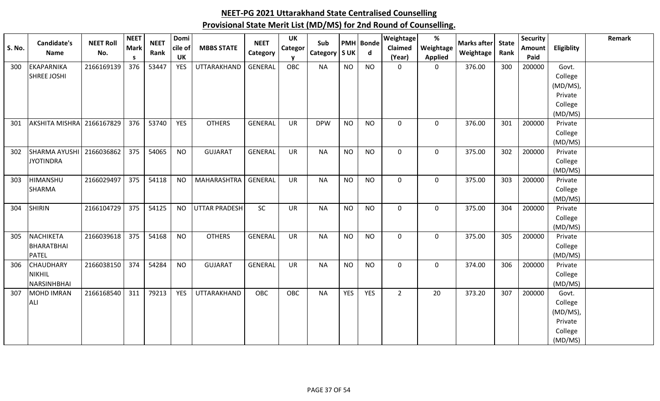| S. No. | <b>Candidate's</b><br><b>Name</b> | <b>NEET Roll</b><br>No. | <b>NEET</b><br><b>Mark</b> | <b>NEET</b><br>Rank | Domi<br>cile of | <b>MBBS STATE</b>    | <b>NEET</b><br>Category | <b>UK</b><br>Categor | Sub<br>Category   S UK |            | <b>PMH</b> Bonde<br>$\mathsf{d}$ | Weightage<br>Claimed | $\%$<br>Weightage | <b>Marks after</b><br>Weightage | <b>State</b><br>Rank | <b>Security</b><br>Amount | Eligiblity          | Remark |
|--------|-----------------------------------|-------------------------|----------------------------|---------------------|-----------------|----------------------|-------------------------|----------------------|------------------------|------------|----------------------------------|----------------------|-------------------|---------------------------------|----------------------|---------------------------|---------------------|--------|
|        |                                   |                         | -S                         |                     | <b>UK</b>       |                      |                         | $\mathbf v$          |                        |            |                                  | (Year)               | <b>Applied</b>    |                                 |                      | Paid                      |                     |        |
| 300    | <b>EKAPARNIKA</b>                 | 2166169139              | 376                        | 53447               | <b>YES</b>      | UTTARAKHAND          | GENERAL                 | OBC                  | <b>NA</b>              | <b>NO</b>  | <b>NO</b>                        | $\mathbf 0$          | $\mathbf 0$       | 376.00                          | 300                  | 200000                    | Govt.               |        |
|        | <b>SHREE JOSHI</b>                |                         |                            |                     |                 |                      |                         |                      |                        |            |                                  |                      |                   |                                 |                      |                           | College             |        |
|        |                                   |                         |                            |                     |                 |                      |                         |                      |                        |            |                                  |                      |                   |                                 |                      |                           | (MD/MS),            |        |
|        |                                   |                         |                            |                     |                 |                      |                         |                      |                        |            |                                  |                      |                   |                                 |                      |                           | Private             |        |
|        |                                   |                         |                            |                     |                 |                      |                         |                      |                        |            |                                  |                      |                   |                                 |                      |                           | College             |        |
|        |                                   |                         |                            |                     |                 |                      |                         |                      |                        |            |                                  |                      |                   |                                 |                      |                           | (MD/MS)             |        |
| 301    | AKSHITA MISHRA 2166167829         |                         | 376                        | 53740               | <b>YES</b>      | <b>OTHERS</b>        | <b>GENERAL</b>          | <b>UR</b>            | <b>DPW</b>             | <b>NO</b>  | <b>NO</b>                        | $\mathbf 0$          | $\mathbf 0$       | 376.00                          | 301                  | 200000                    | Private             |        |
|        |                                   |                         |                            |                     |                 |                      |                         |                      |                        |            |                                  |                      |                   |                                 |                      |                           | College<br>(MD/MS)  |        |
| 302    | <b>SHARMA AYUSHI</b>              | 2166036862              | 375                        | 54065               | <b>NO</b>       | <b>GUJARAT</b>       | <b>GENERAL</b>          | <b>UR</b>            | <b>NA</b>              | <b>NO</b>  | <b>NO</b>                        | $\mathbf 0$          | $\mathbf 0$       | 375.00                          | 302                  | 200000                    | Private             |        |
|        | <b>JYOTINDRA</b>                  |                         |                            |                     |                 |                      |                         |                      |                        |            |                                  |                      |                   |                                 |                      |                           | College             |        |
|        |                                   |                         |                            |                     |                 |                      |                         |                      |                        |            |                                  |                      |                   |                                 |                      |                           | (MD/MS)             |        |
| 303    | <b>HIMANSHU</b>                   | 2166029497              | 375                        | 54118               | <b>NO</b>       | <b>MAHARASHTRA</b>   | <b>GENERAL</b>          | <b>UR</b>            | <b>NA</b>              | <b>NO</b>  | <b>NO</b>                        | $\mathbf 0$          | $\mathbf 0$       | 375.00                          | 303                  | 200000                    | Private             |        |
|        | <b>SHARMA</b>                     |                         |                            |                     |                 |                      |                         |                      |                        |            |                                  |                      |                   |                                 |                      |                           | College             |        |
|        |                                   |                         |                            |                     |                 |                      |                         |                      |                        |            |                                  |                      |                   |                                 |                      |                           | (MD/MS)             |        |
| 304    | <b>SHIRIN</b>                     | 2166104729              | 375                        | 54125               | <b>NO</b>       | <b>UTTAR PRADESH</b> | <b>SC</b>               | <b>UR</b>            | <b>NA</b>              | <b>NO</b>  | <b>NO</b>                        | $\mathbf 0$          | $\mathbf 0$       | 375.00                          | 304                  | 200000                    | Private             |        |
|        |                                   |                         |                            |                     |                 |                      |                         |                      |                        |            |                                  |                      |                   |                                 |                      |                           | College             |        |
|        |                                   |                         |                            |                     |                 |                      |                         |                      |                        |            |                                  |                      |                   |                                 |                      |                           | (MD/MS)             |        |
| 305    | <b>NACHIKETA</b>                  | 2166039618              | 375                        | 54168               | <b>NO</b>       | <b>OTHERS</b>        | <b>GENERAL</b>          | <b>UR</b>            | <b>NA</b>              | <b>NO</b>  | <b>NO</b>                        | $\mathbf 0$          | $\mathbf 0$       | 375.00                          | 305                  | 200000                    | Private             |        |
|        | BHARATBHAI                        |                         |                            |                     |                 |                      |                         |                      |                        |            |                                  |                      |                   |                                 |                      |                           | College             |        |
|        | <b>PATEL</b>                      |                         |                            |                     |                 |                      |                         |                      |                        |            |                                  |                      |                   |                                 |                      |                           | (MD/MS)             |        |
| 306    | <b>CHAUDHARY</b>                  | 2166038150              | 374                        | 54284               | <b>NO</b>       | <b>GUJARAT</b>       | GENERAL                 | <b>UR</b>            | <b>NA</b>              | <b>NO</b>  | <b>NO</b>                        | $\mathbf 0$          | $\mathbf 0$       | 374.00                          | 306                  | 200000                    | Private             |        |
|        | <b>NIKHIL</b>                     |                         |                            |                     |                 |                      |                         |                      |                        |            |                                  |                      |                   |                                 |                      |                           | College             |        |
|        | NARSINHBHAI                       |                         |                            |                     |                 |                      |                         |                      |                        |            |                                  |                      |                   |                                 |                      |                           | (MD/MS)             |        |
| 307    | <b>MOHD IMRAN</b>                 | 2166168540              | 311                        | 79213               | <b>YES</b>      | UTTARAKHAND          | OBC                     | OBC                  | <b>NA</b>              | <b>YES</b> | <b>YES</b>                       | $\overline{2}$       | 20                | 373.20                          | 307                  | 200000                    | Govt.               |        |
|        | <b>ALI</b>                        |                         |                            |                     |                 |                      |                         |                      |                        |            |                                  |                      |                   |                                 |                      |                           | College<br>(MD/MS), |        |
|        |                                   |                         |                            |                     |                 |                      |                         |                      |                        |            |                                  |                      |                   |                                 |                      |                           | Private             |        |
|        |                                   |                         |                            |                     |                 |                      |                         |                      |                        |            |                                  |                      |                   |                                 |                      |                           | College             |        |
|        |                                   |                         |                            |                     |                 |                      |                         |                      |                        |            |                                  |                      |                   |                                 |                      |                           | (MD/MS)             |        |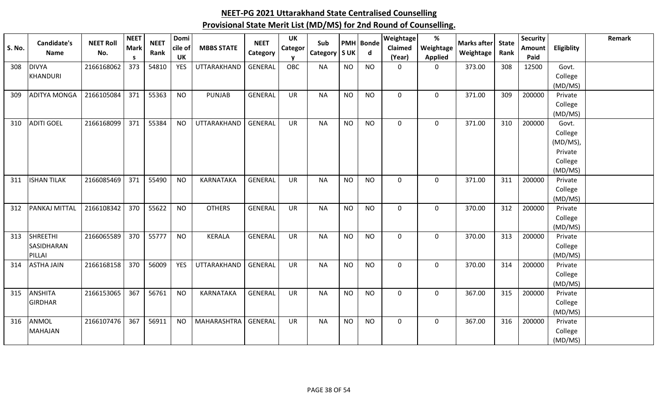| S. No. | Candidate's<br><b>Name</b>      | <b>NEET Roll</b><br>No. | <b>NEET</b><br><b>Mark</b> | <b>NEET</b><br>Rank | Domi<br>cile of | <b>MBBS STATE</b>  | <b>NEET</b><br>Category | <b>UK</b><br><b>Categor</b> | Sub<br>Category   S UK |           | <b>PMH</b> Bonde<br>d | Weightage<br><b>Claimed</b> | $\%$<br>Weightage | <b>Marks after</b><br>Weightage | <b>State</b><br>Rank | <b>Security</b><br>Amount | Eligiblity       | Remark |
|--------|---------------------------------|-------------------------|----------------------------|---------------------|-----------------|--------------------|-------------------------|-----------------------------|------------------------|-----------|-----------------------|-----------------------------|-------------------|---------------------------------|----------------------|---------------------------|------------------|--------|
|        |                                 |                         | s.                         |                     | <b>UK</b>       |                    |                         | <b>OBC</b>                  |                        |           |                       | (Year)                      | <b>Applied</b>    |                                 |                      | Paid                      |                  |        |
| 308    | <b>DIVYA</b><br><b>KHANDURI</b> | 2166168062              | 373                        | 54810               | <b>YES</b>      | UTTARAKHAND        | <b>GENERAL</b>          |                             | <b>NA</b>              | <b>NO</b> | <b>NO</b>             | $\mathbf 0$                 | $\mathbf 0$       | 373.00                          | 308                  | 12500                     | Govt.<br>College |        |
|        |                                 |                         |                            |                     |                 |                    |                         |                             |                        |           |                       |                             |                   |                                 |                      |                           | (MD/MS)          |        |
| 309    | <b>ADITYA MONGA</b>             | 2166105084              | 371                        | 55363               | <b>NO</b>       | <b>PUNJAB</b>      | <b>GENERAL</b>          | <b>UR</b>                   | <b>NA</b>              | <b>NO</b> | <b>NO</b>             | $\mathbf 0$                 | $\mathbf 0$       | 371.00                          | 309                  | 200000                    | Private          |        |
|        |                                 |                         |                            |                     |                 |                    |                         |                             |                        |           |                       |                             |                   |                                 |                      |                           | College          |        |
|        |                                 |                         |                            |                     |                 |                    |                         |                             |                        |           |                       |                             |                   |                                 |                      |                           | (MD/MS)          |        |
| 310    | <b>ADITI GOEL</b>               | 2166168099              | 371                        | 55384               | <b>NO</b>       | UTTARAKHAND        | <b>GENERAL</b>          | <b>UR</b>                   | <b>NA</b>              | <b>NO</b> | <b>NO</b>             | $\mathbf 0$                 | $\mathbf 0$       | 371.00                          | 310                  | 200000                    | Govt.            |        |
|        |                                 |                         |                            |                     |                 |                    |                         |                             |                        |           |                       |                             |                   |                                 |                      |                           | College          |        |
|        |                                 |                         |                            |                     |                 |                    |                         |                             |                        |           |                       |                             |                   |                                 |                      |                           | (MD/MS),         |        |
|        |                                 |                         |                            |                     |                 |                    |                         |                             |                        |           |                       |                             |                   |                                 |                      |                           | Private          |        |
|        |                                 |                         |                            |                     |                 |                    |                         |                             |                        |           |                       |                             |                   |                                 |                      |                           | College          |        |
|        |                                 |                         |                            |                     |                 |                    |                         |                             |                        |           |                       |                             |                   |                                 |                      |                           | (MD/MS)          |        |
| 311    | <b>ISHAN TILAK</b>              | 2166085469              | 371                        | 55490               | <b>NO</b>       | KARNATAKA          | <b>GENERAL</b>          | <b>UR</b>                   | <b>NA</b>              | <b>NO</b> | <b>NO</b>             | $\mathbf 0$                 | $\mathbf 0$       | 371.00                          | 311                  | 200000                    | Private          |        |
|        |                                 |                         |                            |                     |                 |                    |                         |                             |                        |           |                       |                             |                   |                                 |                      |                           | College          |        |
|        |                                 |                         |                            |                     |                 |                    |                         |                             |                        |           |                       |                             |                   |                                 |                      |                           | (MD/MS)          |        |
| 312    | <b>PANKAJ MITTAL</b>            | 2166108342              | 370                        | 55622               | <b>NO</b>       | <b>OTHERS</b>      | <b>GENERAL</b>          | <b>UR</b>                   | <b>NA</b>              | <b>NO</b> | <b>NO</b>             | $\mathbf 0$                 | $\mathbf 0$       | 370.00                          | 312                  | 200000                    | Private          |        |
|        |                                 |                         |                            |                     |                 |                    |                         |                             |                        |           |                       |                             |                   |                                 |                      |                           | College          |        |
|        |                                 |                         |                            |                     |                 |                    |                         |                             |                        |           |                       |                             |                   |                                 |                      |                           | (MD/MS)          |        |
| 313    | <b>SHREETHI</b>                 | 2166065589              | 370                        | 55777               | <b>NO</b>       | <b>KERALA</b>      | <b>GENERAL</b>          | <b>UR</b>                   | <b>NA</b>              | <b>NO</b> | <b>NO</b>             | $\mathbf 0$                 | $\mathbf 0$       | 370.00                          | 313                  | 200000                    | Private          |        |
|        | <b>SASIDHARAN</b>               |                         |                            |                     |                 |                    |                         |                             |                        |           |                       |                             |                   |                                 |                      |                           | College          |        |
|        | PILLAI                          |                         |                            |                     |                 |                    |                         |                             |                        |           |                       |                             |                   |                                 |                      |                           | (MD/MS)          |        |
| 314    | <b>ASTHA JAIN</b>               | 2166168158              | 370                        | 56009               | <b>YES</b>      | UTTARAKHAND        | GENERAL                 | <b>UR</b>                   | <b>NA</b>              | <b>NO</b> | <b>NO</b>             | $\mathbf 0$                 | $\mathbf 0$       | 370.00                          | 314                  | 200000                    | Private          |        |
|        |                                 |                         |                            |                     |                 |                    |                         |                             |                        |           |                       |                             |                   |                                 |                      |                           | College          |        |
|        |                                 |                         |                            |                     |                 |                    |                         |                             |                        |           |                       |                             |                   |                                 |                      |                           | (MD/MS)          |        |
| 315    | <b>ANSHITA</b>                  | 2166153065              | 367                        | 56761               | <b>NO</b>       | KARNATAKA          | <b>GENERAL</b>          | <b>UR</b>                   | <b>NA</b>              | <b>NO</b> | <b>NO</b>             | $\mathbf 0$                 | $\mathbf 0$       | 367.00                          | 315                  | 200000                    | Private          |        |
|        | <b>GIRDHAR</b>                  |                         |                            |                     |                 |                    |                         |                             |                        |           |                       |                             |                   |                                 |                      |                           | College          |        |
|        |                                 |                         |                            |                     |                 |                    |                         |                             |                        |           |                       |                             |                   |                                 |                      |                           | (MD/MS)          |        |
| 316    | <b>ANMOL</b>                    | 2166107476              | 367                        | 56911               | <b>NO</b>       | <b>MAHARASHTRA</b> | <b>GENERAL</b>          | <b>UR</b>                   | <b>NA</b>              | <b>NO</b> | <b>NO</b>             | $\mathbf 0$                 | $\mathbf 0$       | 367.00                          | 316                  | 200000                    | Private          |        |
|        | MAHAJAN                         |                         |                            |                     |                 |                    |                         |                             |                        |           |                       |                             |                   |                                 |                      |                           | College          |        |
|        |                                 |                         |                            |                     |                 |                    |                         |                             |                        |           |                       |                             |                   |                                 |                      |                           | (MD/MS)          |        |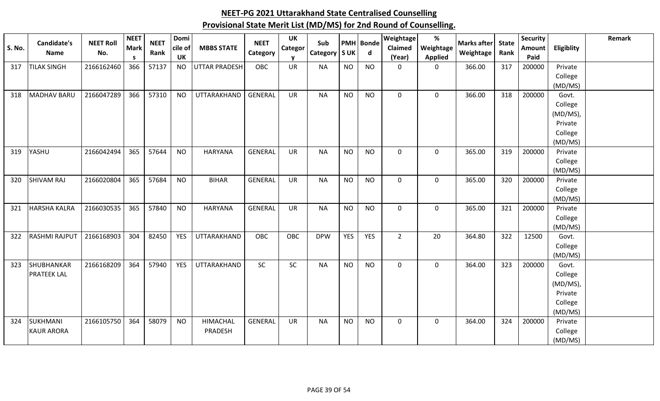| <b>S. No.</b> | <b>Candidate's</b>   | <b>NEET Roll</b> | <b>NEET</b><br><b>Mark</b> | <b>NEET</b> | Domi<br>cile of | <b>MBBS STATE</b>    | <b>NEET</b>    | <b>UK</b><br>Categor | Sub             |            | <b>PMH</b> Bonde | Weightage<br>Claimed | $\%$<br>Weightage | <b>Marks after</b> | <b>State</b> | <b>Security</b><br><b>Amount</b> | Eligiblity         | Remark |
|---------------|----------------------|------------------|----------------------------|-------------|-----------------|----------------------|----------------|----------------------|-----------------|------------|------------------|----------------------|-------------------|--------------------|--------------|----------------------------------|--------------------|--------|
|               | <b>Name</b>          | No.              | <b>S</b>                   | Rank        | <b>UK</b>       |                      | Category       |                      | Category   S UK |            | $\mathbf d$      | (Year)               | <b>Applied</b>    | Weightage          | Rank         | Paid                             |                    |        |
| 317           | <b>TILAK SINGH</b>   | 2166162460       | 366                        | 57137       | <b>NO</b>       | <b>UTTAR PRADESH</b> | OBC            | <b>UR</b>            | <b>NA</b>       | <b>NO</b>  | <b>NO</b>        | $\mathbf{0}$         | $\mathbf 0$       | 366.00             | 317          | 200000                           | Private            |        |
|               |                      |                  |                            |             |                 |                      |                |                      |                 |            |                  |                      |                   |                    |              |                                  | College            |        |
|               |                      |                  |                            |             |                 |                      |                |                      |                 |            |                  |                      |                   |                    |              |                                  | (MD/MS)            |        |
| 318           | <b>MADHAV BARU</b>   | 2166047289       | 366                        | 57310       | <b>NO</b>       | UTTARAKHAND          | <b>GENERAL</b> | <b>UR</b>            | <b>NA</b>       | <b>NO</b>  | <b>NO</b>        | $\mathbf 0$          | $\mathbf 0$       | 366.00             | 318          | 200000                           | Govt.              |        |
|               |                      |                  |                            |             |                 |                      |                |                      |                 |            |                  |                      |                   |                    |              |                                  | College            |        |
|               |                      |                  |                            |             |                 |                      |                |                      |                 |            |                  |                      |                   |                    |              |                                  | (MD/MS),           |        |
|               |                      |                  |                            |             |                 |                      |                |                      |                 |            |                  |                      |                   |                    |              |                                  | Private<br>College |        |
|               |                      |                  |                            |             |                 |                      |                |                      |                 |            |                  |                      |                   |                    |              |                                  | (MD/MS)            |        |
| 319           | YASHU                | 2166042494       | 365                        | 57644       | <b>NO</b>       | <b>HARYANA</b>       | GENERAL        | <b>UR</b>            | <b>NA</b>       | <b>NO</b>  | <b>NO</b>        | $\mathbf 0$          | $\mathbf 0$       | 365.00             | 319          | 200000                           | Private            |        |
|               |                      |                  |                            |             |                 |                      |                |                      |                 |            |                  |                      |                   |                    |              |                                  | College            |        |
|               |                      |                  |                            |             |                 |                      |                |                      |                 |            |                  |                      |                   |                    |              |                                  | (MD/MS)            |        |
| 320           | <b>SHIVAM RAJ</b>    | 2166020804       | 365                        | 57684       | <b>NO</b>       | <b>BIHAR</b>         | <b>GENERAL</b> | <b>UR</b>            | <b>NA</b>       | <b>NO</b>  | <b>NO</b>        | 0                    | $\mathbf 0$       | 365.00             | 320          | 200000                           | Private            |        |
|               |                      |                  |                            |             |                 |                      |                |                      |                 |            |                  |                      |                   |                    |              |                                  | College            |        |
|               |                      |                  |                            |             |                 |                      |                |                      |                 |            |                  |                      |                   |                    |              |                                  | (MD/MS)            |        |
| 321           | <b>HARSHA KALRA</b>  | 2166030535       | 365                        | 57840       | <b>NO</b>       | <b>HARYANA</b>       | <b>GENERAL</b> | <b>UR</b>            | <b>NA</b>       | <b>NO</b>  | <b>NO</b>        | 0                    | $\mathbf 0$       | 365.00             | 321          | 200000                           | Private            |        |
|               |                      |                  |                            |             |                 |                      |                |                      |                 |            |                  |                      |                   |                    |              |                                  | College            |        |
|               |                      |                  |                            |             |                 |                      |                |                      |                 |            |                  |                      |                   |                    |              |                                  | (MD/MS)            |        |
| 322           | <b>RASHMI RAJPUT</b> | 2166168903       | 304                        | 82450       | <b>YES</b>      | UTTARAKHAND          | OBC            | OBC                  | <b>DPW</b>      | <b>YES</b> | YES              | $\overline{2}$       | 20                | 364.80             | 322          | 12500                            | Govt.              |        |
|               |                      |                  |                            |             |                 |                      |                |                      |                 |            |                  |                      |                   |                    |              |                                  | College            |        |
| 323           | SHUBHANKAR           | 2166168209       | 364                        | 57940       | <b>YES</b>      | UTTARAKHAND          | <b>SC</b>      | <b>SC</b>            | <b>NA</b>       | <b>NO</b>  | <b>NO</b>        | $\mathbf 0$          | $\mathbf 0$       | 364.00             | 323          | 200000                           | (MD/MS)<br>Govt.   |        |
|               | <b>PRATEEK LAL</b>   |                  |                            |             |                 |                      |                |                      |                 |            |                  |                      |                   |                    |              |                                  | College            |        |
|               |                      |                  |                            |             |                 |                      |                |                      |                 |            |                  |                      |                   |                    |              |                                  | (MD/MS),           |        |
|               |                      |                  |                            |             |                 |                      |                |                      |                 |            |                  |                      |                   |                    |              |                                  | Private            |        |
|               |                      |                  |                            |             |                 |                      |                |                      |                 |            |                  |                      |                   |                    |              |                                  | College            |        |
|               |                      |                  |                            |             |                 |                      |                |                      |                 |            |                  |                      |                   |                    |              |                                  | (MD/MS)            |        |
| 324           | SUKHMANI             | 2166105750       | 364                        | 58079       | <b>NO</b>       | HIMACHAL             | <b>GENERAL</b> | <b>UR</b>            | <b>NA</b>       | <b>NO</b>  | <b>NO</b>        | $\mathbf 0$          | $\mathbf 0$       | 364.00             | 324          | 200000                           | Private            |        |
|               | <b>KAUR ARORA</b>    |                  |                            |             |                 | PRADESH              |                |                      |                 |            |                  |                      |                   |                    |              |                                  | College            |        |
|               |                      |                  |                            |             |                 |                      |                |                      |                 |            |                  |                      |                   |                    |              |                                  | (MD/MS)            |        |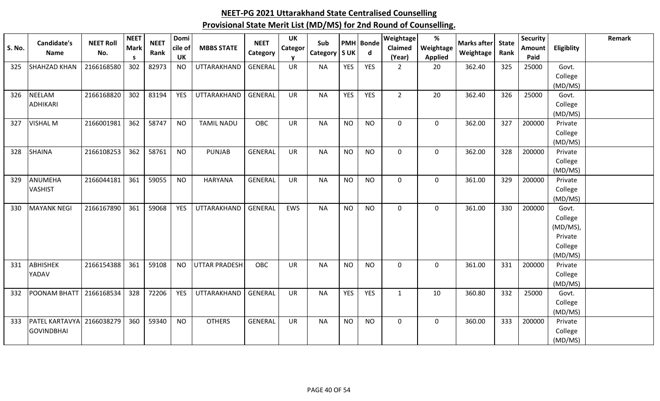| S. No. | Candidate's<br><b>Name</b> | <b>NEET Roll</b><br>No. | <b>NEET</b><br><b>Mark</b> | <b>NEET</b><br>Rank | Domi<br>cile of | <b>MBBS STATE</b>    | <b>NEET</b><br>Category | <b>UK</b><br><b>Categor</b> | Sub<br>Category   S UK |            | <b>PMH</b> Bonde<br>d | <b>Weightage</b><br><b>Claimed</b> | $\%$<br>Weightage | <b>Marks after</b><br>Weightage | <b>State</b><br>Rank | <b>Security</b><br>Amount | Eligiblity         | Remark |
|--------|----------------------------|-------------------------|----------------------------|---------------------|-----------------|----------------------|-------------------------|-----------------------------|------------------------|------------|-----------------------|------------------------------------|-------------------|---------------------------------|----------------------|---------------------------|--------------------|--------|
|        |                            |                         | s.                         |                     | <b>UK</b>       |                      |                         |                             |                        |            |                       | (Year)                             | <b>Applied</b>    |                                 |                      | Paid                      |                    |        |
| 325    | <b>SHAHZAD KHAN</b>        | 2166168580              | 302                        | 82973               | <b>NO</b>       | UTTARAKHAND          | <b>GENERAL</b>          | <b>UR</b>                   | <b>NA</b>              | <b>YES</b> | <b>YES</b>            | $\overline{2}$                     | 20                | 362.40                          | 325                  | 25000                     | Govt.              |        |
|        |                            |                         |                            |                     |                 |                      |                         |                             |                        |            |                       |                                    |                   |                                 |                      |                           | College<br>(MD/MS) |        |
| 326    | <b>NEELAM</b>              | 2166168820              | 302                        | 83194               | <b>YES</b>      | UTTARAKHAND          | <b>GENERAL</b>          | <b>UR</b>                   | <b>NA</b>              | <b>YES</b> | <b>YES</b>            | $\overline{2}$                     | 20                | 362.40                          | 326                  | 25000                     | Govt.              |        |
|        | <b>ADHIKARI</b>            |                         |                            |                     |                 |                      |                         |                             |                        |            |                       |                                    |                   |                                 |                      |                           | College            |        |
|        |                            |                         |                            |                     |                 |                      |                         |                             |                        |            |                       |                                    |                   |                                 |                      |                           | (MD/MS)            |        |
| 327    | <b>VISHAL M</b>            | 2166001981              | 362                        | 58747               | <b>NO</b>       | <b>TAMIL NADU</b>    | <b>OBC</b>              | <b>UR</b>                   | <b>NA</b>              | <b>NO</b>  | <b>NO</b>             | $\mathbf 0$                        | $\mathbf 0$       | 362.00                          | 327                  | 200000                    | Private            |        |
|        |                            |                         |                            |                     |                 |                      |                         |                             |                        |            |                       |                                    |                   |                                 |                      |                           | College            |        |
|        |                            |                         |                            |                     |                 |                      |                         |                             |                        |            |                       |                                    |                   |                                 |                      |                           | (MD/MS)            |        |
| 328    | <b>SHAINA</b>              | 2166108253              | 362                        | 58761               | <b>NO</b>       | <b>PUNJAB</b>        | <b>GENERAL</b>          | <b>UR</b>                   | <b>NA</b>              | <b>NO</b>  | <b>NO</b>             | $\mathbf 0$                        | 0                 | 362.00                          | 328                  | 200000                    | Private            |        |
|        |                            |                         |                            |                     |                 |                      |                         |                             |                        |            |                       |                                    |                   |                                 |                      |                           | College            |        |
|        |                            |                         |                            |                     |                 |                      |                         |                             |                        |            |                       |                                    |                   |                                 |                      |                           | (MD/MS)            |        |
| 329    | ANUMEHA                    | 2166044181              | 361                        | 59055               | <b>NO</b>       | <b>HARYANA</b>       | <b>GENERAL</b>          | <b>UR</b>                   | <b>NA</b>              | <b>NO</b>  | <b>NO</b>             | $\mathbf 0$                        | $\mathbf 0$       | 361.00                          | 329                  | 200000                    | Private            |        |
|        | <b>VASHIST</b>             |                         |                            |                     |                 |                      |                         |                             |                        |            |                       |                                    |                   |                                 |                      |                           | College            |        |
| 330    | <b>MAYANK NEGI</b>         | 2166167890              | 361                        | 59068               | <b>YES</b>      | UTTARAKHAND          | GENERAL                 | EWS                         | <b>NA</b>              | <b>NO</b>  | <b>NO</b>             | $\mathbf 0$                        |                   | 361.00                          | 330                  | 200000                    | (MD/MS)<br>Govt.   |        |
|        |                            |                         |                            |                     |                 |                      |                         |                             |                        |            |                       |                                    | $\mathbf 0$       |                                 |                      |                           | College            |        |
|        |                            |                         |                            |                     |                 |                      |                         |                             |                        |            |                       |                                    |                   |                                 |                      |                           | (MD/MS),           |        |
|        |                            |                         |                            |                     |                 |                      |                         |                             |                        |            |                       |                                    |                   |                                 |                      |                           | Private            |        |
|        |                            |                         |                            |                     |                 |                      |                         |                             |                        |            |                       |                                    |                   |                                 |                      |                           | College            |        |
|        |                            |                         |                            |                     |                 |                      |                         |                             |                        |            |                       |                                    |                   |                                 |                      |                           | (MD/MS)            |        |
| 331    | <b>ABHISHEK</b>            | 2166154388              | 361                        | 59108               | <b>NO</b>       | <b>UTTAR PRADESH</b> | OBC                     | <b>UR</b>                   | <b>NA</b>              | <b>NO</b>  | <b>NO</b>             | $\mathbf 0$                        | $\mathbf 0$       | 361.00                          | 331                  | 200000                    | Private            |        |
|        | YADAV                      |                         |                            |                     |                 |                      |                         |                             |                        |            |                       |                                    |                   |                                 |                      |                           | College            |        |
|        |                            |                         |                            |                     |                 |                      |                         |                             |                        |            |                       |                                    |                   |                                 |                      |                           | (MD/MS)            |        |
| 332    | <b>POONAM BHATT</b>        | 2166168534              | 328                        | 72206               | <b>YES</b>      | UTTARAKHAND          | <b>GENERAL</b>          | <b>UR</b>                   | <b>NA</b>              | <b>YES</b> | <b>YES</b>            | $\mathbf{1}$                       | 10                | 360.80                          | 332                  | 25000                     | Govt.              |        |
|        |                            |                         |                            |                     |                 |                      |                         |                             |                        |            |                       |                                    |                   |                                 |                      |                           | College            |        |
|        |                            |                         |                            |                     |                 |                      |                         |                             |                        |            |                       |                                    |                   |                                 |                      |                           | (MD/MS)            |        |
| 333    | PATEL KARTAVYA             | 2166038279              | 360                        | 59340               | <b>NO</b>       | <b>OTHERS</b>        | GENERAL                 | <b>UR</b>                   | <b>NA</b>              | <b>NO</b>  | <b>NO</b>             | $\mathbf 0$                        | $\mathbf 0$       | 360.00                          | 333                  | 200000                    | Private            |        |
|        | <b>GOVINDBHAI</b>          |                         |                            |                     |                 |                      |                         |                             |                        |            |                       |                                    |                   |                                 |                      |                           | College            |        |
|        |                            |                         |                            |                     |                 |                      |                         |                             |                        |            |                       |                                    |                   |                                 |                      |                           | (MD/MS)            |        |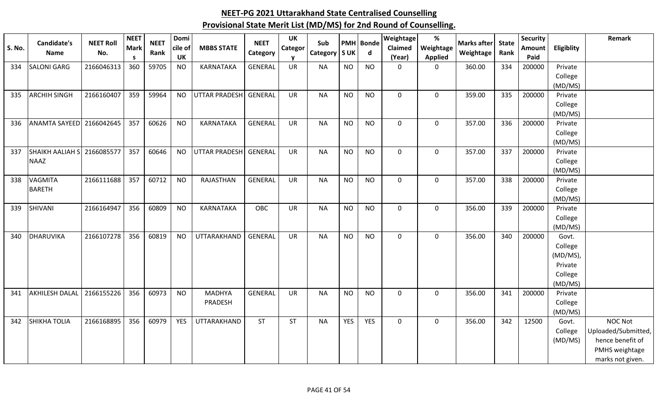|        | <b>Candidate's</b>                | <b>NEET Roll</b> | <b>NEET</b> | <b>NEET</b> | Domi       |                      | <b>NEET</b>    | <b>UK</b> | Sub       |            | PMH Bonde    | Weightage    | $\%$           | <b>Marks after</b> | <b>State</b> | Security |                    | Remark              |
|--------|-----------------------------------|------------------|-------------|-------------|------------|----------------------|----------------|-----------|-----------|------------|--------------|--------------|----------------|--------------------|--------------|----------|--------------------|---------------------|
| S. No. | <b>Name</b>                       | No.              | <b>Mark</b> | Rank        | cile of    | <b>MBBS STATE</b>    | Category       | Categor   | Category  | <b>SUK</b> | $\mathsf{d}$ | Claimed      | Weightage      | Weightage          | Rank         | Amount   | Eligiblity         |                     |
|        |                                   |                  | <b>S</b>    |             | <b>UK</b>  |                      |                | V         |           |            |              | (Year)       | <b>Applied</b> |                    |              | Paid     |                    |                     |
| 334    | <b>SALONI GARG</b>                | 2166046313       | 360         | 59705       | <b>NO</b>  | <b>KARNATAKA</b>     | <b>GENERAL</b> | UR        | <b>NA</b> | <b>NO</b>  | <b>NO</b>    | $\Omega$     | $\mathbf 0$    | 360.00             | 334          | 200000   | Private            |                     |
|        |                                   |                  |             |             |            |                      |                |           |           |            |              |              |                |                    |              |          | College            |                     |
|        |                                   |                  |             |             |            |                      |                |           |           |            |              |              |                |                    |              |          | (MD/MS)            |                     |
| 335    | <b>ARCHIH SINGH</b>               | 2166160407       | 359         | 59964       | <b>NO</b>  | <b>UTTAR PRADESH</b> | <b>GENERAL</b> | <b>UR</b> | <b>NA</b> | <b>NO</b>  | <b>NO</b>    | 0            | $\mathbf 0$    | 359.00             | 335          | 200000   | Private            |                     |
|        |                                   |                  |             |             |            |                      |                |           |           |            |              |              |                |                    |              |          | College            |                     |
|        |                                   |                  |             |             |            |                      |                |           |           |            |              |              |                |                    |              |          | (MD/MS)            |                     |
| 336    | ANAMTA SAYEED 2166042645          |                  | 357         | 60626       | <b>NO</b>  | KARNATAKA            | <b>GENERAL</b> | <b>UR</b> | <b>NA</b> | <b>NO</b>  | <b>NO</b>    | 0            | 0              | 357.00             | 336          | 200000   | Private            |                     |
|        |                                   |                  |             |             |            |                      |                |           |           |            |              |              |                |                    |              |          | College            |                     |
|        |                                   |                  |             |             |            |                      |                |           |           |            |              |              |                |                    |              |          | (MD/MS)            |                     |
| 337    | <b>SHAIKH AALIAH S 2166085577</b> |                  | 357         | 60646       | <b>NO</b>  | <b>UTTAR PRADESH</b> | <b>GENERAL</b> | <b>UR</b> | <b>NA</b> | <b>NO</b>  | <b>NO</b>    | 0            | $\mathbf 0$    | 357.00             | 337          | 200000   | Private            |                     |
|        | <b>NAAZ</b>                       |                  |             |             |            |                      |                |           |           |            |              |              |                |                    |              |          | College            |                     |
|        |                                   |                  |             |             |            |                      |                |           |           |            |              |              |                |                    |              |          | (MD/MS)            |                     |
| 338    | <b>VAGMITA</b>                    | 2166111688       | 357         | 60712       | <b>NO</b>  | RAJASTHAN            | <b>GENERAL</b> | <b>UR</b> | <b>NA</b> | <b>NO</b>  | <b>NO</b>    | $\mathsf{O}$ | $\mathbf 0$    | 357.00             | 338          | 200000   | Private            |                     |
|        | <b>BARETH</b>                     |                  |             |             |            |                      |                |           |           |            |              |              |                |                    |              |          | College            |                     |
|        |                                   |                  |             |             |            |                      |                |           |           |            |              |              |                |                    |              |          | (MD/MS)            |                     |
| 339    | <b>SHIVANI</b>                    | 2166164947       | 356         | 60809       | <b>NO</b>  | <b>KARNATAKA</b>     | OBC            | UR        | <b>NA</b> | <b>NO</b>  | <b>NO</b>    | 0            | 0              | 356.00             | 339          | 200000   | Private            |                     |
|        |                                   |                  |             |             |            |                      |                |           |           |            |              |              |                |                    |              |          | College<br>(MD/MS) |                     |
| 340    | DHARUVIKA                         | 2166107278       | 356         | 60819       | <b>NO</b>  | UTTARAKHAND          | <b>GENERAL</b> | <b>UR</b> | <b>NA</b> | <b>NO</b>  | <b>NO</b>    | 0            | $\mathbf 0$    | 356.00             | 340          | 200000   | Govt.              |                     |
|        |                                   |                  |             |             |            |                      |                |           |           |            |              |              |                |                    |              |          | College            |                     |
|        |                                   |                  |             |             |            |                      |                |           |           |            |              |              |                |                    |              |          | (MD/MS),           |                     |
|        |                                   |                  |             |             |            |                      |                |           |           |            |              |              |                |                    |              |          | Private            |                     |
|        |                                   |                  |             |             |            |                      |                |           |           |            |              |              |                |                    |              |          | College            |                     |
|        |                                   |                  |             |             |            |                      |                |           |           |            |              |              |                |                    |              |          | (MD/MS)            |                     |
| 341    | <b>AKHILESH DALAL</b>             | 2166155226       | 356         | 60973       | <b>NO</b>  | <b>MADHYA</b>        | <b>GENERAL</b> | <b>UR</b> | <b>NA</b> | <b>NO</b>  | <b>NO</b>    | 0            | $\mathbf 0$    | 356.00             | 341          | 200000   | Private            |                     |
|        |                                   |                  |             |             |            | PRADESH              |                |           |           |            |              |              |                |                    |              |          | College            |                     |
|        |                                   |                  |             |             |            |                      |                |           |           |            |              |              |                |                    |              |          | (MD/MS)            |                     |
| 342    | <b>SHIKHA TOLIA</b>               | 2166168895       | 356         | 60979       | <b>YES</b> | UTTARAKHAND          | <b>ST</b>      | <b>ST</b> | <b>NA</b> | <b>YES</b> | <b>YES</b>   | 0            | $\mathbf 0$    | 356.00             | 342          | 12500    | Govt.              | <b>NOC Not</b>      |
|        |                                   |                  |             |             |            |                      |                |           |           |            |              |              |                |                    |              |          | College            | Uploaded/Submitted, |
|        |                                   |                  |             |             |            |                      |                |           |           |            |              |              |                |                    |              |          | (MD/MS)            | hence benefit of    |
|        |                                   |                  |             |             |            |                      |                |           |           |            |              |              |                |                    |              |          |                    | PMHS weightage      |
|        |                                   |                  |             |             |            |                      |                |           |           |            |              |              |                |                    |              |          |                    | marks not given.    |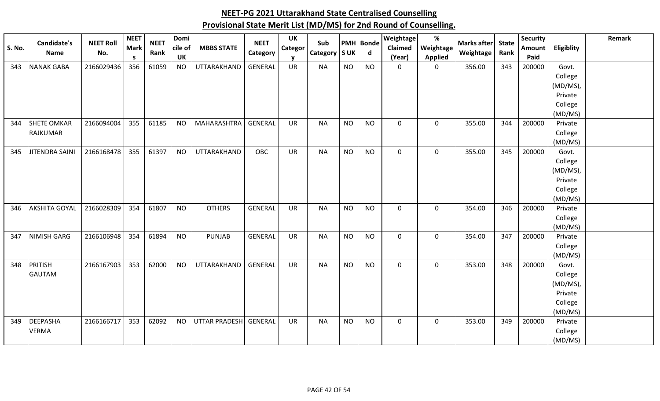| S. No. | <b>Candidate's</b><br>Name | <b>NEET Roll</b><br>No. | <b>NEET</b><br><b>Mark</b> | <b>NEET</b><br>Rank | Domi<br>cile of | <b>MBBS STATE</b>    | <b>NEET</b>    | UK<br>Categor | Sub<br>Category | <b>SUK</b> | PMH Bonde<br>$\mathbf d$ | Weightage<br>Claimed | %<br>Weightage | <b>Marks after</b><br>Weightage | <b>State</b><br>Rank | <b>Security</b><br>Amount | Eligiblity          | Remark |
|--------|----------------------------|-------------------------|----------------------------|---------------------|-----------------|----------------------|----------------|---------------|-----------------|------------|--------------------------|----------------------|----------------|---------------------------------|----------------------|---------------------------|---------------------|--------|
|        |                            |                         | <b>S</b>                   |                     | UK              |                      | Category       | v             |                 |            |                          | (Year)               | <b>Applied</b> |                                 |                      | Paid                      |                     |        |
| 343    | <b>NANAK GABA</b>          | 2166029436              | 356                        | 61059               | <b>NO</b>       | <b>UTTARAKHAND</b>   | <b>GENERAL</b> | UR            | <b>NA</b>       | <b>NO</b>  | <b>NO</b>                | $\mathbf{0}$         | 0              | 356.00                          | 343                  | 200000                    | Govt.               |        |
|        |                            |                         |                            |                     |                 |                      |                |               |                 |            |                          |                      |                |                                 |                      |                           | College             |        |
|        |                            |                         |                            |                     |                 |                      |                |               |                 |            |                          |                      |                |                                 |                      |                           | (MD/MS),            |        |
|        |                            |                         |                            |                     |                 |                      |                |               |                 |            |                          |                      |                |                                 |                      |                           | Private             |        |
|        |                            |                         |                            |                     |                 |                      |                |               |                 |            |                          |                      |                |                                 |                      |                           | College             |        |
|        |                            |                         |                            |                     |                 |                      |                |               |                 |            |                          |                      |                |                                 |                      |                           | (MD/MS)             |        |
| 344    | <b>SHETE OMKAR</b>         | 2166094004              | 355                        | 61185               | <b>NO</b>       | MAHARASHTRA          | <b>GENERAL</b> | <b>UR</b>     | <b>NA</b>       | <b>NO</b>  | <b>NO</b>                | 0                    | 0              | 355.00                          | 344                  | 200000                    | Private             |        |
|        | RAJKUMAR                   |                         |                            |                     |                 |                      |                |               |                 |            |                          |                      |                |                                 |                      |                           | College             |        |
|        |                            |                         |                            |                     |                 |                      |                |               |                 |            |                          |                      |                |                                 |                      |                           | (MD/MS)             |        |
| 345    | <b>JITENDRA SAINI</b>      | 2166168478              | 355                        | 61397               | <b>NO</b>       | UTTARAKHAND          | OBC            | UR            | <b>NA</b>       | <b>NO</b>  | <b>NO</b>                | 0                    | 0              | 355.00                          | 345                  | 200000                    | Govt.               |        |
|        |                            |                         |                            |                     |                 |                      |                |               |                 |            |                          |                      |                |                                 |                      |                           | College             |        |
|        |                            |                         |                            |                     |                 |                      |                |               |                 |            |                          |                      |                |                                 |                      |                           | (MD/MS),<br>Private |        |
|        |                            |                         |                            |                     |                 |                      |                |               |                 |            |                          |                      |                |                                 |                      |                           | College             |        |
|        |                            |                         |                            |                     |                 |                      |                |               |                 |            |                          |                      |                |                                 |                      |                           | (MD/MS)             |        |
| 346    | <b>AKSHITA GOYAL</b>       | 2166028309              | 354                        | 61807               | <b>NO</b>       | <b>OTHERS</b>        | <b>GENERAL</b> | <b>UR</b>     | <b>NA</b>       | <b>NO</b>  | <b>NO</b>                | 0                    | 0              | 354.00                          | 346                  | 200000                    | Private             |        |
|        |                            |                         |                            |                     |                 |                      |                |               |                 |            |                          |                      |                |                                 |                      |                           | College             |        |
|        |                            |                         |                            |                     |                 |                      |                |               |                 |            |                          |                      |                |                                 |                      |                           | (MD/MS)             |        |
| 347    | <b>NIMISH GARG</b>         | 2166106948              | 354                        | 61894               | <b>NO</b>       | <b>PUNJAB</b>        | <b>GENERAL</b> | UR            | <b>NA</b>       | <b>NO</b>  | <b>NO</b>                | 0                    | 0              | 354.00                          | 347                  | 200000                    | Private             |        |
|        |                            |                         |                            |                     |                 |                      |                |               |                 |            |                          |                      |                |                                 |                      |                           | College             |        |
|        |                            |                         |                            |                     |                 |                      |                |               |                 |            |                          |                      |                |                                 |                      |                           | (MD/MS)             |        |
| 348    | <b>PRITISH</b>             | 2166167903              | 353                        | 62000               | <b>NO</b>       | UTTARAKHAND          | <b>GENERAL</b> | <b>UR</b>     | <b>NA</b>       | <b>NO</b>  | <b>NO</b>                | 0                    | 0              | 353.00                          | 348                  | 200000                    | Govt.               |        |
|        | <b>GAUTAM</b>              |                         |                            |                     |                 |                      |                |               |                 |            |                          |                      |                |                                 |                      |                           | College             |        |
|        |                            |                         |                            |                     |                 |                      |                |               |                 |            |                          |                      |                |                                 |                      |                           | (MD/MS),            |        |
|        |                            |                         |                            |                     |                 |                      |                |               |                 |            |                          |                      |                |                                 |                      |                           | Private             |        |
|        |                            |                         |                            |                     |                 |                      |                |               |                 |            |                          |                      |                |                                 |                      |                           | College             |        |
|        |                            |                         |                            |                     |                 |                      |                |               |                 |            |                          |                      |                |                                 |                      |                           | (MD/MS)             |        |
| 349    | <b>DEEPASHA</b>            | 2166166717              | 353                        | 62092               | <b>NO</b>       | <b>UTTAR PRADESH</b> | <b>GENERAL</b> | <b>UR</b>     | <b>NA</b>       | <b>NO</b>  | <b>NO</b>                | 0                    | 0              | 353.00                          | 349                  | 200000                    | Private             |        |
|        | <b>VERMA</b>               |                         |                            |                     |                 |                      |                |               |                 |            |                          |                      |                |                                 |                      |                           | College             |        |
|        |                            |                         |                            |                     |                 |                      |                |               |                 |            |                          |                      |                |                                 |                      |                           | (MD/MS)             |        |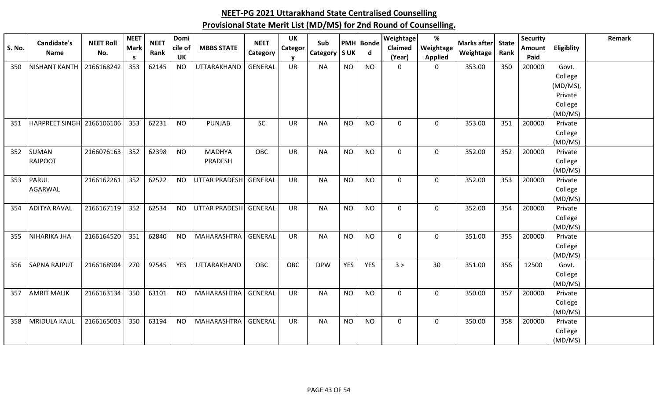| <b>S. No.</b> | <b>Candidate's</b><br><b>Name</b> | <b>NEET Roll</b><br>No. | <b>NEET</b><br><b>Mark</b> | <b>NEET</b><br>Rank | Domi<br>cile of | <b>MBBS STATE</b>    | <b>NEET</b><br>Category | <b>UK</b><br>Categor | Sub<br>Category   S UK |            | <b>PMH</b> Bonde<br>d | Weightage<br><b>Claimed</b> | $\%$<br>Weightage | <b>Marks after</b><br>Weightage | <b>State</b><br>Rank | <b>Security</b><br>Amount | Eligiblity         | <b>Remark</b> |
|---------------|-----------------------------------|-------------------------|----------------------------|---------------------|-----------------|----------------------|-------------------------|----------------------|------------------------|------------|-----------------------|-----------------------------|-------------------|---------------------------------|----------------------|---------------------------|--------------------|---------------|
|               |                                   |                         | -S                         |                     | <b>UK</b>       |                      |                         |                      |                        |            |                       | (Year)                      | <b>Applied</b>    |                                 |                      | Paid                      |                    |               |
| 350           | NISHANT KANTH                     | 2166168242              | 353                        | 62145               | <b>NO</b>       | UTTARAKHAND          | <b>GENERAL</b>          | <b>UR</b>            | <b>NA</b>              | <b>NO</b>  | <b>NO</b>             | $\mathbf 0$                 | $\mathbf 0$       | 353.00                          | 350                  | 200000                    | Govt.              |               |
|               |                                   |                         |                            |                     |                 |                      |                         |                      |                        |            |                       |                             |                   |                                 |                      |                           | College            |               |
|               |                                   |                         |                            |                     |                 |                      |                         |                      |                        |            |                       |                             |                   |                                 |                      |                           | (MD/MS),           |               |
|               |                                   |                         |                            |                     |                 |                      |                         |                      |                        |            |                       |                             |                   |                                 |                      |                           | Private            |               |
|               |                                   |                         |                            |                     |                 |                      |                         |                      |                        |            |                       |                             |                   |                                 |                      |                           | College            |               |
|               |                                   |                         |                            |                     |                 |                      |                         |                      |                        |            |                       |                             |                   |                                 |                      |                           | (MD/MS)            |               |
| 351           | HARPREET SINGH 2166106106         |                         | 353                        | 62231               | <b>NO</b>       | <b>PUNJAB</b>        | SC                      | <b>UR</b>            | <b>NA</b>              | <b>NO</b>  | <b>NO</b>             | $\mathbf 0$                 | $\mathbf 0$       | 353.00                          | 351                  | 200000                    | Private            |               |
|               |                                   |                         |                            |                     |                 |                      |                         |                      |                        |            |                       |                             |                   |                                 |                      |                           | College<br>(MD/MS) |               |
| 352           | <b>SUMAN</b>                      | 2166076163              | 352                        | 62398               | <b>NO</b>       | <b>MADHYA</b>        | OBC                     | <b>UR</b>            | <b>NA</b>              | <b>NO</b>  | <b>NO</b>             | $\mathbf 0$                 | $\mathbf 0$       | 352.00                          | 352                  | 200000                    | Private            |               |
|               | RAJPOOT                           |                         |                            |                     |                 | PRADESH              |                         |                      |                        |            |                       |                             |                   |                                 |                      |                           | College            |               |
|               |                                   |                         |                            |                     |                 |                      |                         |                      |                        |            |                       |                             |                   |                                 |                      |                           | (MD/MS)            |               |
| 353           | PARUL                             | 2166162261              | 352                        | 62522               | <b>NO</b>       | <b>UTTAR PRADESH</b> | GENERAL                 | <b>UR</b>            | <b>NA</b>              | <b>NO</b>  | <b>NO</b>             | $\mathbf 0$                 | $\mathbf 0$       | 352.00                          | 353                  | 200000                    | Private            |               |
|               | AGARWAL                           |                         |                            |                     |                 |                      |                         |                      |                        |            |                       |                             |                   |                                 |                      |                           | College            |               |
|               |                                   |                         |                            |                     |                 |                      |                         |                      |                        |            |                       |                             |                   |                                 |                      |                           | (MD/MS)            |               |
| 354           | <b>ADITYA RAVAL</b>               | 2166167119              | 352                        | 62534               | <b>NO</b>       | UTTAR PRADESH        | GENERAL                 | <b>UR</b>            | <b>NA</b>              | <b>NO</b>  | <b>NO</b>             | $\overline{0}$              | $\mathbf 0$       | 352.00                          | 354                  | 200000                    | Private            |               |
|               |                                   |                         |                            |                     |                 |                      |                         |                      |                        |            |                       |                             |                   |                                 |                      |                           | College            |               |
|               |                                   |                         |                            |                     |                 |                      |                         |                      |                        |            |                       |                             |                   |                                 |                      |                           | (MD/MS)            |               |
| 355           | <b>NIHARIKA JHA</b>               | 2166164520              | 351                        | 62840               | <b>NO</b>       | <b>MAHARASHTRA</b>   | <b>GENERAL</b>          | <b>UR</b>            | <b>NA</b>              | <b>NO</b>  | <b>NO</b>             | $\mathbf 0$                 | $\mathbf 0$       | 351.00                          | 355                  | 200000                    | Private            |               |
|               |                                   |                         |                            |                     |                 |                      |                         |                      |                        |            |                       |                             |                   |                                 |                      |                           | College            |               |
|               |                                   |                         |                            |                     |                 |                      |                         |                      |                        |            |                       |                             |                   |                                 |                      |                           | (MD/MS)            |               |
| 356           | <b>SAPNA RAJPUT</b>               | 2166168904              | 270                        | 97545               | <b>YES</b>      | UTTARAKHAND          | OBC                     | OBC                  | <b>DPW</b>             | <b>YES</b> | <b>YES</b>            | 3 >                         | 30                | 351.00                          | 356                  | 12500                     | Govt.              |               |
|               |                                   |                         |                            |                     |                 |                      |                         |                      |                        |            |                       |                             |                   |                                 |                      |                           | College            |               |
|               |                                   |                         |                            |                     |                 |                      |                         |                      |                        |            |                       |                             |                   |                                 |                      |                           | (MD/MS)            |               |
| 357           | <b>AMRIT MALIK</b>                | 2166163134              | 350                        | 63101               | <b>NO</b>       | MAHARASHTRA          | <b>GENERAL</b>          | <b>UR</b>            | <b>NA</b>              | <b>NO</b>  | <b>NO</b>             | $\mathbf 0$                 | $\mathbf 0$       | 350.00                          | 357                  | 200000                    | Private            |               |
|               |                                   |                         |                            |                     |                 |                      |                         |                      |                        |            |                       |                             |                   |                                 |                      |                           | College            |               |
|               |                                   |                         |                            |                     |                 |                      |                         |                      |                        |            |                       |                             |                   |                                 |                      |                           | (MD/MS)            |               |
| 358           | <b>MRIDULA KAUL</b>               | 2166165003              | 350                        | 63194               | <b>NO</b>       | MAHARASHTRA          | <b>GENERAL</b>          | <b>UR</b>            | <b>NA</b>              | <b>NO</b>  | <b>NO</b>             | $\mathbf 0$                 | $\mathbf 0$       | 350.00                          | 358                  | 200000                    | Private            |               |
|               |                                   |                         |                            |                     |                 |                      |                         |                      |                        |            |                       |                             |                   |                                 |                      |                           | College            |               |
|               |                                   |                         |                            |                     |                 |                      |                         |                      |                        |            |                       |                             |                   |                                 |                      |                           | (MD/MS)            |               |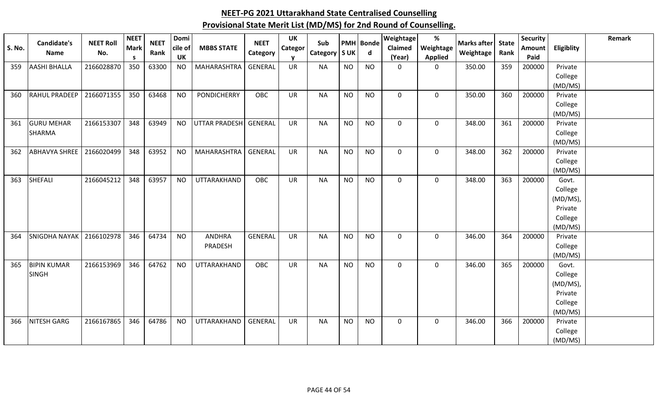| S. No. | <b>Candidate's</b><br><b>Name</b> | <b>NEET Roll</b><br>No. | <b>NEET</b><br><b>Mark</b> | <b>NEET</b><br>Rank | Domi<br>cile of | <b>MBBS STATE</b>    | <b>NEET</b><br>Category | <b>UK</b><br>Categor | Sub<br>Category   S UK |           | <b>PMH</b> Bonde<br>d | Weightage<br>Claimed | $\%$<br>Weightage | <b>Marks after</b><br>Weightage | <b>State</b><br>Rank | <b>Security</b><br>Amount | Eligiblity         | Remark |
|--------|-----------------------------------|-------------------------|----------------------------|---------------------|-----------------|----------------------|-------------------------|----------------------|------------------------|-----------|-----------------------|----------------------|-------------------|---------------------------------|----------------------|---------------------------|--------------------|--------|
|        |                                   |                         | <b>S</b>                   |                     | UK              |                      |                         |                      |                        |           |                       | (Year)               | <b>Applied</b>    |                                 |                      | Paid                      |                    |        |
| 359    | <b>AASHI BHALLA</b>               | 2166028870              | 350                        | 63300               | <b>NO</b>       | MAHARASHTRA          | <b>GENERAL</b>          | <b>UR</b>            | <b>NA</b>              | <b>NO</b> | <b>NO</b>             | $\Omega$             | $\mathbf 0$       | 350.00                          | 359                  | 200000                    | Private            |        |
|        |                                   |                         |                            |                     |                 |                      |                         |                      |                        |           |                       |                      |                   |                                 |                      |                           | College<br>(MD/MS) |        |
| 360    | <b>RAHUL PRADEEP</b>              | 2166071355              | 350                        | 63468               | <b>NO</b>       | <b>PONDICHERRY</b>   | OBC                     | <b>UR</b>            | <b>NA</b>              | <b>NO</b> | <b>NO</b>             | $\mathbf 0$          | $\mathbf 0$       | 350.00                          | 360                  | 200000                    | Private            |        |
|        |                                   |                         |                            |                     |                 |                      |                         |                      |                        |           |                       |                      |                   |                                 |                      |                           | College            |        |
|        |                                   |                         |                            |                     |                 |                      |                         |                      |                        |           |                       |                      |                   |                                 |                      |                           | (MD/MS)            |        |
| 361    | <b>GURU MEHAR</b>                 | 2166153307              | 348                        | 63949               | <b>NO</b>       | <b>UTTAR PRADESH</b> | GENERAL                 | <b>UR</b>            | <b>NA</b>              | <b>NO</b> | <b>NO</b>             | $\mathbf 0$          | $\mathbf 0$       | 348.00                          | 361                  | 200000                    | Private            |        |
|        | <b>SHARMA</b>                     |                         |                            |                     |                 |                      |                         |                      |                        |           |                       |                      |                   |                                 |                      |                           | College            |        |
|        |                                   |                         |                            |                     |                 |                      |                         |                      |                        |           |                       |                      |                   |                                 |                      |                           | (MD/MS)            |        |
| 362    | <b>ABHAVYA SHREE</b>              | 2166020499              | 348                        | 63952               | <b>NO</b>       | <b>MAHARASHTRA</b>   | <b>GENERAL</b>          | <b>UR</b>            | <b>NA</b>              | <b>NO</b> | <b>NO</b>             | $\mathbf 0$          | $\mathbf 0$       | 348.00                          | 362                  | 200000                    | Private            |        |
|        |                                   |                         |                            |                     |                 |                      |                         |                      |                        |           |                       |                      |                   |                                 |                      |                           | College            |        |
|        |                                   |                         |                            |                     |                 |                      |                         |                      |                        |           |                       |                      |                   |                                 |                      |                           | (MD/MS)            |        |
| 363    | <b>SHEFALI</b>                    | 2166045212              | 348                        | 63957               | <b>NO</b>       | UTTARAKHAND          | <b>OBC</b>              | <b>UR</b>            | <b>NA</b>              | <b>NO</b> | <b>NO</b>             | 0                    | $\mathbf 0$       | 348.00                          | 363                  | 200000                    | Govt.              |        |
|        |                                   |                         |                            |                     |                 |                      |                         |                      |                        |           |                       |                      |                   |                                 |                      |                           | College            |        |
|        |                                   |                         |                            |                     |                 |                      |                         |                      |                        |           |                       |                      |                   |                                 |                      |                           | $(MD/MS)$ ,        |        |
|        |                                   |                         |                            |                     |                 |                      |                         |                      |                        |           |                       |                      |                   |                                 |                      |                           | Private            |        |
|        |                                   |                         |                            |                     |                 |                      |                         |                      |                        |           |                       |                      |                   |                                 |                      |                           | College            |        |
|        | <b>SNIGDHA NAYAK</b>              | 2166102978              | 346                        | 64734               | <b>NO</b>       | <b>ANDHRA</b>        | <b>GENERAL</b>          | <b>UR</b>            | <b>NA</b>              | <b>NO</b> | <b>NO</b>             | $\mathbf 0$          | $\mathbf 0$       | 346.00                          | 364                  | 200000                    | (MD/MS)<br>Private |        |
| 364    |                                   |                         |                            |                     |                 | PRADESH              |                         |                      |                        |           |                       |                      |                   |                                 |                      |                           | College            |        |
|        |                                   |                         |                            |                     |                 |                      |                         |                      |                        |           |                       |                      |                   |                                 |                      |                           | (MD/MS)            |        |
| 365    | <b>BIPIN KUMAR</b>                | 2166153969              | 346                        | 64762               | <b>NO</b>       | UTTARAKHAND          | OBC                     | <b>UR</b>            | <b>NA</b>              | <b>NO</b> | <b>NO</b>             | $\mathbf 0$          | $\mathbf 0$       | 346.00                          | 365                  | 200000                    | Govt.              |        |
|        | <b>SINGH</b>                      |                         |                            |                     |                 |                      |                         |                      |                        |           |                       |                      |                   |                                 |                      |                           | College            |        |
|        |                                   |                         |                            |                     |                 |                      |                         |                      |                        |           |                       |                      |                   |                                 |                      |                           | (MD/MS),           |        |
|        |                                   |                         |                            |                     |                 |                      |                         |                      |                        |           |                       |                      |                   |                                 |                      |                           | Private            |        |
|        |                                   |                         |                            |                     |                 |                      |                         |                      |                        |           |                       |                      |                   |                                 |                      |                           | College            |        |
|        |                                   |                         |                            |                     |                 |                      |                         |                      |                        |           |                       |                      |                   |                                 |                      |                           | (MD/MS)            |        |
| 366    | <b>NITESH GARG</b>                | 2166167865              | 346                        | 64786               | <b>NO</b>       | UTTARAKHAND          | <b>GENERAL</b>          | <b>UR</b>            | <b>NA</b>              | <b>NO</b> | <b>NO</b>             | $\mathbf 0$          | $\mathbf 0$       | 346.00                          | 366                  | 200000                    | Private            |        |
|        |                                   |                         |                            |                     |                 |                      |                         |                      |                        |           |                       |                      |                   |                                 |                      |                           | College            |        |
|        |                                   |                         |                            |                     |                 |                      |                         |                      |                        |           |                       |                      |                   |                                 |                      |                           | (MD/MS)            |        |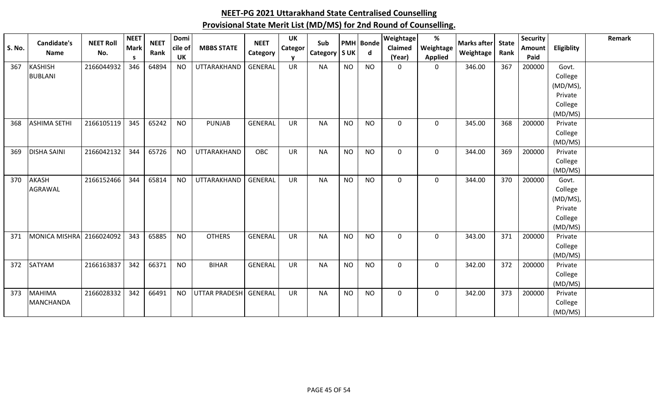|               | <b>Candidate's</b>   | <b>NEET Roll</b> | <b>NEET</b> | <b>NEET</b> | Domi      |                      | <b>NEET</b>    | <b>UK</b>      | Sub             |            | PMH Bonde | Weightage   | %              | <b>Marks after</b> | <b>State</b> | <b>Security</b> |            | Remark |
|---------------|----------------------|------------------|-------------|-------------|-----------|----------------------|----------------|----------------|-----------------|------------|-----------|-------------|----------------|--------------------|--------------|-----------------|------------|--------|
| <b>S. No.</b> | <b>Name</b>          | No.              | <b>Mark</b> | Rank        | cile of   | <b>MBBS STATE</b>    | Category       | <b>Categor</b> | <b>Category</b> | <b>SUK</b> | d         | Claimed     | Weightage      | Weightage          | Rank         | Amount          | Eligiblity |        |
|               |                      |                  | S           |             | <b>UK</b> |                      |                | $\mathbf v$    |                 |            |           | (Year)      | <b>Applied</b> |                    |              | Paid            |            |        |
| 367           | <b>KASHISH</b>       | 2166044932       | 346         | 64894       | <b>NO</b> | UTTARAKHAND          | GENERAL        | <b>UR</b>      | <b>NA</b>       | <b>NO</b>  | <b>NO</b> | $\mathbf 0$ | $\mathbf 0$    | 346.00             | 367          | 200000          | Govt.      |        |
|               | <b>BUBLANI</b>       |                  |             |             |           |                      |                |                |                 |            |           |             |                |                    |              |                 | College    |        |
|               |                      |                  |             |             |           |                      |                |                |                 |            |           |             |                |                    |              |                 | (MD/MS),   |        |
|               |                      |                  |             |             |           |                      |                |                |                 |            |           |             |                |                    |              |                 | Private    |        |
|               |                      |                  |             |             |           |                      |                |                |                 |            |           |             |                |                    |              |                 | College    |        |
|               |                      |                  |             |             |           |                      |                |                |                 |            |           |             |                |                    |              |                 | (MD/MS)    |        |
| 368           | <b>ASHIMA SETHI</b>  | 2166105119       | 345         | 65242       | <b>NO</b> | <b>PUNJAB</b>        | <b>GENERAL</b> | <b>UR</b>      | <b>NA</b>       | <b>NO</b>  | <b>NO</b> | $\mathbf 0$ | $\mathbf 0$    | 345.00             | 368          | 200000          | Private    |        |
|               |                      |                  |             |             |           |                      |                |                |                 |            |           |             |                |                    |              |                 | College    |        |
|               |                      |                  |             |             |           |                      |                |                |                 |            |           |             |                |                    |              |                 | (MD/MS)    |        |
| 369           | <b>DISHA SAINI</b>   | 2166042132       | 344         | 65726       | <b>NO</b> | UTTARAKHAND          | OBC            | <b>UR</b>      | <b>NA</b>       | <b>NO</b>  | <b>NO</b> | $\mathbf 0$ | 0              | 344.00             | 369          | 200000          | Private    |        |
|               |                      |                  |             |             |           |                      |                |                |                 |            |           |             |                |                    |              |                 | College    |        |
|               |                      |                  |             |             |           |                      |                |                |                 |            |           |             |                |                    |              |                 | (MD/MS)    |        |
| 370           | <b>AKASH</b>         | 2166152466       | 344         | 65814       | <b>NO</b> | UTTARAKHAND          | <b>GENERAL</b> | <b>UR</b>      | <b>NA</b>       | <b>NO</b>  | <b>NO</b> | $\mathbf 0$ | 0              | 344.00             | 370          | 200000          | Govt.      |        |
|               | AGRAWAL              |                  |             |             |           |                      |                |                |                 |            |           |             |                |                    |              |                 | College    |        |
|               |                      |                  |             |             |           |                      |                |                |                 |            |           |             |                |                    |              |                 | (MD/MS),   |        |
|               |                      |                  |             |             |           |                      |                |                |                 |            |           |             |                |                    |              |                 | Private    |        |
|               |                      |                  |             |             |           |                      |                |                |                 |            |           |             |                |                    |              |                 | College    |        |
|               |                      |                  |             |             |           |                      |                |                |                 |            |           |             |                |                    |              |                 | (MD/MS)    |        |
| 371           | <b>MONICA MISHRA</b> | 2166024092       | 343         | 65885       | <b>NO</b> | <b>OTHERS</b>        | <b>GENERAL</b> | <b>UR</b>      | <b>NA</b>       | <b>NO</b>  | <b>NO</b> | $\mathbf 0$ | $\mathbf 0$    | 343.00             | 371          | 200000          | Private    |        |
|               |                      |                  |             |             |           |                      |                |                |                 |            |           |             |                |                    |              |                 | College    |        |
|               |                      |                  |             |             |           |                      |                |                |                 |            |           |             |                |                    |              |                 | (MD/MS)    |        |
| 372           | SATYAM               | 2166163837       | 342         | 66371       | <b>NO</b> | <b>BIHAR</b>         | <b>GENERAL</b> | UR             | <b>NA</b>       | <b>NO</b>  | <b>NO</b> | $\mathbf 0$ | $\mathbf 0$    | 342.00             | 372          | 200000          | Private    |        |
|               |                      |                  |             |             |           |                      |                |                |                 |            |           |             |                |                    |              |                 | College    |        |
|               |                      |                  |             |             |           |                      |                |                |                 |            |           |             |                |                    |              |                 | (MD/MS)    |        |
| 373           | <b>MAHIMA</b>        | 2166028332       | 342         | 66491       | <b>NO</b> | <b>UTTAR PRADESH</b> | GENERAL        | UR             | <b>NA</b>       | <b>NO</b>  | <b>NO</b> | $\mathbf 0$ | $\mathbf 0$    | 342.00             | 373          | 200000          | Private    |        |
|               | <b>MANCHANDA</b>     |                  |             |             |           |                      |                |                |                 |            |           |             |                |                    |              |                 | College    |        |
|               |                      |                  |             |             |           |                      |                |                |                 |            |           |             |                |                    |              |                 | (MD/MS)    |        |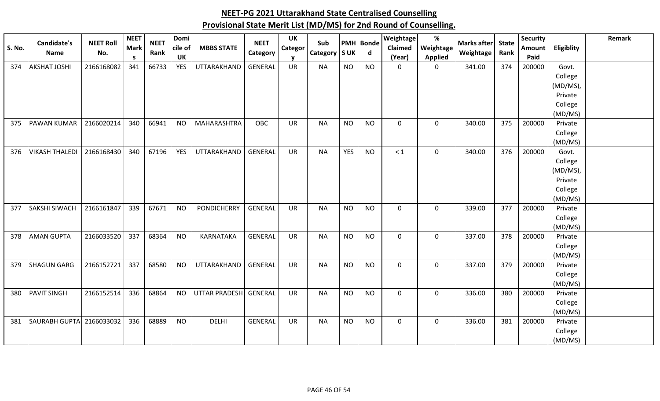| <b>S. No.</b> | Candidate's              | <b>NEET Roll</b> | <b>NEET</b><br>Mark | <b>NEET</b> | Domi<br>cile of | <b>MBBS STATE</b>  | <b>NEET</b>    | UK<br><b>Categor</b> | Sub       |            | <b>PMH</b> Bonde | Weightage<br>Claimed | $\%$<br>Weightage | <b>Marks after</b> | <b>State</b> | <b>Security</b><br>Amount | Eligiblity         | Remark |
|---------------|--------------------------|------------------|---------------------|-------------|-----------------|--------------------|----------------|----------------------|-----------|------------|------------------|----------------------|-------------------|--------------------|--------------|---------------------------|--------------------|--------|
|               | <b>Name</b>              | No.              | <b>S</b>            | Rank        | UK              |                    | Category       |                      | Category  | <b>SUK</b> | $\mathsf{d}$     | (Year)               | <b>Applied</b>    | Weightage          | Rank         | Paid                      |                    |        |
| 374           | <b>AKSHAT JOSHI</b>      | 2166168082       | 341                 | 66733       | <b>YES</b>      | UTTARAKHAND        | <b>GENERAL</b> | <b>UR</b>            | <b>NA</b> | <b>NO</b>  | <b>NO</b>        | $\mathbf 0$          | 0                 | 341.00             | 374          | 200000                    | Govt.              |        |
|               |                          |                  |                     |             |                 |                    |                |                      |           |            |                  |                      |                   |                    |              |                           | College            |        |
|               |                          |                  |                     |             |                 |                    |                |                      |           |            |                  |                      |                   |                    |              |                           | (MD/MS),           |        |
|               |                          |                  |                     |             |                 |                    |                |                      |           |            |                  |                      |                   |                    |              |                           | Private            |        |
|               |                          |                  |                     |             |                 |                    |                |                      |           |            |                  |                      |                   |                    |              |                           | College<br>(MD/MS) |        |
| 375           | <b>PAWAN KUMAR</b>       | 2166020214       | 340                 | 66941       | <b>NO</b>       | <b>MAHARASHTRA</b> | OBC            | <b>UR</b>            | <b>NA</b> | <b>NO</b>  | <b>NO</b>        | $\mathbf 0$          | $\mathbf 0$       | 340.00             | 375          | 200000                    | Private            |        |
|               |                          |                  |                     |             |                 |                    |                |                      |           |            |                  |                      |                   |                    |              |                           | College            |        |
|               |                          |                  |                     |             |                 |                    |                |                      |           |            |                  |                      |                   |                    |              |                           | (MD/MS)            |        |
| 376           | <b>VIKASH THALEDI</b>    | 2166168430       | 340                 | 67196       | <b>YES</b>      | UTTARAKHAND        | GENERAL        | <b>UR</b>            | <b>NA</b> | <b>YES</b> | <b>NO</b>        | $< 1$                | $\mathbf 0$       | 340.00             | 376          | 200000                    | Govt.              |        |
|               |                          |                  |                     |             |                 |                    |                |                      |           |            |                  |                      |                   |                    |              |                           | College            |        |
|               |                          |                  |                     |             |                 |                    |                |                      |           |            |                  |                      |                   |                    |              |                           | (MD/MS),           |        |
|               |                          |                  |                     |             |                 |                    |                |                      |           |            |                  |                      |                   |                    |              |                           | Private            |        |
|               |                          |                  |                     |             |                 |                    |                |                      |           |            |                  |                      |                   |                    |              |                           | College            |        |
|               |                          |                  |                     |             |                 |                    |                |                      |           |            |                  |                      |                   |                    |              |                           | (MD/MS)            |        |
| 377           | <b>SAKSHI SIWACH</b>     | 2166161847       | 339                 | 67671       | <b>NO</b>       | <b>PONDICHERRY</b> | <b>GENERAL</b> | <b>UR</b>            | <b>NA</b> | <b>NO</b>  | <b>NO</b>        | $\mathbf 0$          | $\mathbf 0$       | 339.00             | 377          | 200000                    | Private            |        |
|               |                          |                  |                     |             |                 |                    |                |                      |           |            |                  |                      |                   |                    |              |                           | College            |        |
|               |                          |                  |                     |             |                 |                    |                | <b>UR</b>            |           |            |                  |                      |                   |                    |              |                           | (MD/MS)            |        |
| 378           | <b>AMAN GUPTA</b>        | 2166033520       | 337                 | 68364       | <b>NO</b>       | KARNATAKA          | <b>GENERAL</b> |                      | <b>NA</b> | <b>NO</b>  | <b>NO</b>        | $\mathbf 0$          | $\mathbf 0$       | 337.00             | 378          | 200000                    | Private<br>College |        |
|               |                          |                  |                     |             |                 |                    |                |                      |           |            |                  |                      |                   |                    |              |                           | (MD/MS)            |        |
| 379           | <b>SHAGUN GARG</b>       | 2166152721       | 337                 | 68580       | <b>NO</b>       | UTTARAKHAND        | <b>GENERAL</b> | <b>UR</b>            | <b>NA</b> | <b>NO</b>  | <b>NO</b>        | $\mathbf 0$          | $\mathbf 0$       | 337.00             | 379          | 200000                    | Private            |        |
|               |                          |                  |                     |             |                 |                    |                |                      |           |            |                  |                      |                   |                    |              |                           | College            |        |
|               |                          |                  |                     |             |                 |                    |                |                      |           |            |                  |                      |                   |                    |              |                           | (MD/MS)            |        |
| 380           | <b>PAVIT SINGH</b>       | 2166152514       | 336                 | 68864       | <b>NO</b>       | UTTAR PRADESH      | GENERAL        | UR                   | <b>NA</b> | <b>NO</b>  | <b>NO</b>        | $\mathbf 0$          | $\mathbf 0$       | 336.00             | 380          | 200000                    | Private            |        |
|               |                          |                  |                     |             |                 |                    |                |                      |           |            |                  |                      |                   |                    |              |                           | College            |        |
|               |                          |                  |                     |             |                 |                    |                |                      |           |            |                  |                      |                   |                    |              |                           | (MD/MS)            |        |
| 381           | SAURABH GUPTA 2166033032 |                  | 336                 | 68889       | <b>NO</b>       | <b>DELHI</b>       | <b>GENERAL</b> | <b>UR</b>            | <b>NA</b> | <b>NO</b>  | <b>NO</b>        | $\mathbf 0$          | $\mathbf 0$       | 336.00             | 381          | 200000                    | Private            |        |
|               |                          |                  |                     |             |                 |                    |                |                      |           |            |                  |                      |                   |                    |              |                           | College            |        |
|               |                          |                  |                     |             |                 |                    |                |                      |           |            |                  |                      |                   |                    |              |                           | (MD/MS)            |        |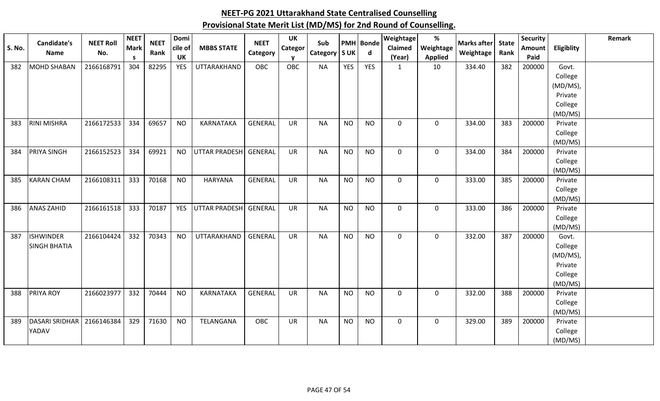| <b>S. No.</b> | Candidate's<br><b>Name</b>              | <b>NEET Roll</b><br>No. | <b>NEET</b><br>Mark | <b>NEET</b><br>Rank | Domi<br>cile of | <b>MBBS STATE</b>    | <b>NEET</b><br>Category | UK<br>Categor | Sub<br>Category | <b>SUK</b> | PMH Bonde<br>$\mathsf{d}$ | Weightage<br>Claimed | $\%$<br>Weightage | Marks after<br>Weightage | <b>State</b><br>Rank | <b>Security</b><br>Amount | Eligiblity         | Remark |
|---------------|-----------------------------------------|-------------------------|---------------------|---------------------|-----------------|----------------------|-------------------------|---------------|-----------------|------------|---------------------------|----------------------|-------------------|--------------------------|----------------------|---------------------------|--------------------|--------|
|               |                                         |                         | -S                  |                     | <b>UK</b>       |                      |                         |               |                 |            |                           | (Year)               | <b>Applied</b>    |                          |                      | Paid                      |                    |        |
| 382           | <b>MOHD SHABAN</b>                      | 2166168791              | 304                 | 82295               | <b>YES</b>      | UTTARAKHAND          | OBC                     | OBC           | <b>NA</b>       | <b>YES</b> | <b>YES</b>                | $\mathbf{1}$         | 10                | 334.40                   | 382                  | 200000                    | Govt.              |        |
|               |                                         |                         |                     |                     |                 |                      |                         |               |                 |            |                           |                      |                   |                          |                      |                           | College            |        |
|               |                                         |                         |                     |                     |                 |                      |                         |               |                 |            |                           |                      |                   |                          |                      |                           | (MD/MS),           |        |
|               |                                         |                         |                     |                     |                 |                      |                         |               |                 |            |                           |                      |                   |                          |                      |                           | Private<br>College |        |
|               |                                         |                         |                     |                     |                 |                      |                         |               |                 |            |                           |                      |                   |                          |                      |                           | (MD/MS)            |        |
| 383           | <b>RINI MISHRA</b>                      | 2166172533              | 334                 | 69657               | <b>NO</b>       | <b>KARNATAKA</b>     | <b>GENERAL</b>          | UR            | <b>NA</b>       | <b>NO</b>  | <b>NO</b>                 | 0                    | $\mathbf 0$       | 334.00                   | 383                  | 200000                    | Private            |        |
|               |                                         |                         |                     |                     |                 |                      |                         |               |                 |            |                           |                      |                   |                          |                      |                           | College            |        |
|               |                                         |                         |                     |                     |                 |                      |                         |               |                 |            |                           |                      |                   |                          |                      |                           | (MD/MS)            |        |
| 384           | PRIYA SINGH                             | 2166152523              | 334                 | 69921               | <b>NO</b>       | <b>UTTAR PRADESH</b> | <b>GENERAL</b>          | <b>UR</b>     | <b>NA</b>       | <b>NO</b>  | <b>NO</b>                 | 0                    | 0                 | 334.00                   | 384                  | 200000                    | Private            |        |
|               |                                         |                         |                     |                     |                 |                      |                         |               |                 |            |                           |                      |                   |                          |                      |                           | College            |        |
|               |                                         |                         |                     |                     |                 |                      |                         |               |                 |            |                           |                      |                   |                          |                      |                           | (MD/MS)            |        |
| 385           | <b>KARAN CHAM</b>                       | 2166108311              | 333                 | 70168               | <b>NO</b>       | HARYANA              | <b>GENERAL</b>          | UR            | <b>NA</b>       | <b>NO</b>  | <b>NO</b>                 | 0                    | 0                 | 333.00                   | 385                  | 200000                    | Private            |        |
|               |                                         |                         |                     |                     |                 |                      |                         |               |                 |            |                           |                      |                   |                          |                      |                           | College            |        |
|               |                                         |                         |                     |                     |                 |                      |                         |               |                 |            |                           |                      |                   |                          |                      |                           | (MD/MS)            |        |
| 386           | <b>ANAS ZAHID</b>                       | 2166161518              | 333                 | 70187               | <b>YES</b>      | <b>UTTAR PRADESH</b> | <b>GENERAL</b>          | <b>UR</b>     | <b>NA</b>       | <b>NO</b>  | <b>NO</b>                 | 0                    | 0                 | 333.00                   | 386                  | 200000                    | Private            |        |
|               |                                         |                         |                     |                     |                 |                      |                         |               |                 |            |                           |                      |                   |                          |                      |                           | College            |        |
|               |                                         |                         |                     |                     |                 |                      |                         |               |                 |            |                           |                      |                   |                          |                      |                           | (MD/MS)            |        |
| 387           | <b>ISHWINDER</b><br><b>SINGH BHATIA</b> | 2166104424              | 332                 | 70343               | <b>NO</b>       | UTTARAKHAND          | <b>GENERAL</b>          | <b>UR</b>     | <b>NA</b>       | <b>NO</b>  | <b>NO</b>                 | 0                    | $\mathbf 0$       | 332.00                   | 387                  | 200000                    | Govt.<br>College   |        |
|               |                                         |                         |                     |                     |                 |                      |                         |               |                 |            |                           |                      |                   |                          |                      |                           | (MD/MS),           |        |
|               |                                         |                         |                     |                     |                 |                      |                         |               |                 |            |                           |                      |                   |                          |                      |                           | Private            |        |
|               |                                         |                         |                     |                     |                 |                      |                         |               |                 |            |                           |                      |                   |                          |                      |                           | College            |        |
|               |                                         |                         |                     |                     |                 |                      |                         |               |                 |            |                           |                      |                   |                          |                      |                           | (MD/MS)            |        |
| 388           | <b>PRIYA ROY</b>                        | 2166023977              | 332                 | 70444               | <b>NO</b>       | <b>KARNATAKA</b>     | <b>GENERAL</b>          | <b>UR</b>     | <b>NA</b>       | <b>NO</b>  | <b>NO</b>                 | 0                    | $\mathbf 0$       | 332.00                   | 388                  | 200000                    | Private            |        |
|               |                                         |                         |                     |                     |                 |                      |                         |               |                 |            |                           |                      |                   |                          |                      |                           | College            |        |
|               |                                         |                         |                     |                     |                 |                      |                         |               |                 |            |                           |                      |                   |                          |                      |                           | (MD/MS)            |        |
| 389           | <b>DASARI SRIDHAR</b>                   | 2166146384              | 329                 | 71630               | <b>NO</b>       | TELANGANA            | OBC                     | UR            | <b>NA</b>       | <b>NO</b>  | <b>NO</b>                 | 0                    | $\mathbf 0$       | 329.00                   | 389                  | 200000                    | Private            |        |
|               | YADAV                                   |                         |                     |                     |                 |                      |                         |               |                 |            |                           |                      |                   |                          |                      |                           | College            |        |
|               |                                         |                         |                     |                     |                 |                      |                         |               |                 |            |                           |                      |                   |                          |                      |                           | (MD/MS)            |        |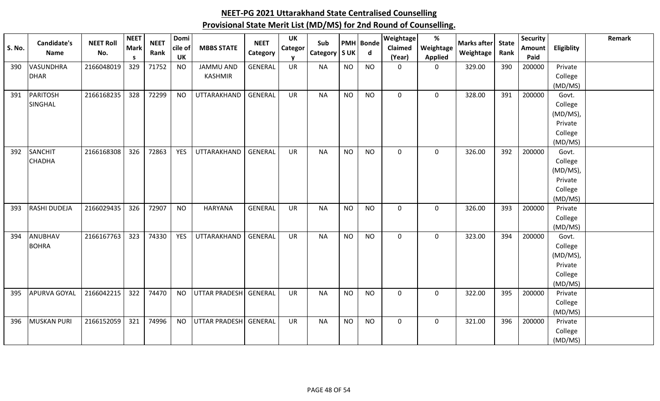| S. No. | Candidate's<br><b>Name</b> | <b>NEET Roll</b><br>No. | <b>NEET</b><br><b>Mark</b><br>-S | <b>NEET</b><br>Rank | Domi<br>cile of<br><b>UK</b> | <b>MBBS STATE</b>    | <b>NEET</b><br>Category | <b>UK</b><br>Categor<br><b>V</b> | Sub<br>Category   S UK |           | <b>PMH</b> Bonde<br>$\mathsf{d}$ | Weightage<br>Claimed<br>(Year) | $\%$<br>Weightage<br><b>Applied</b> | <b>Marks after</b><br>Weightage | <b>State</b><br>Rank | <b>Security</b><br>Amount<br>Paid | Eligiblity         | Remark |
|--------|----------------------------|-------------------------|----------------------------------|---------------------|------------------------------|----------------------|-------------------------|----------------------------------|------------------------|-----------|----------------------------------|--------------------------------|-------------------------------------|---------------------------------|----------------------|-----------------------------------|--------------------|--------|
| 390    | <b>VASUNDHRA</b>           | 2166048019              | 329                              | 71752               | <b>NO</b>                    | <b>JAMMU AND</b>     | GENERAL                 | <b>UR</b>                        | <b>NA</b>              | <b>NO</b> | <b>NO</b>                        | $\mathbf 0$                    | $\mathbf 0$                         | 329.00                          | 390                  | 200000                            | Private            |        |
|        | <b>DHAR</b>                |                         |                                  |                     |                              | <b>KASHMIR</b>       |                         |                                  |                        |           |                                  |                                |                                     |                                 |                      |                                   | College            |        |
|        |                            |                         |                                  |                     |                              |                      |                         |                                  |                        |           |                                  |                                |                                     |                                 |                      |                                   | (MD/MS)            |        |
| 391    | PARITOSH                   | 2166168235              | 328                              | 72299               | <b>NO</b>                    | UTTARAKHAND          | GENERAL                 | <b>UR</b>                        | <b>NA</b>              | <b>NO</b> | <b>NO</b>                        | $\mathbf 0$                    | $\mathbf 0$                         | 328.00                          | 391                  | 200000                            | Govt.              |        |
|        | SINGHAL                    |                         |                                  |                     |                              |                      |                         |                                  |                        |           |                                  |                                |                                     |                                 |                      |                                   | College            |        |
|        |                            |                         |                                  |                     |                              |                      |                         |                                  |                        |           |                                  |                                |                                     |                                 |                      |                                   | $(MD/MS)$ ,        |        |
|        |                            |                         |                                  |                     |                              |                      |                         |                                  |                        |           |                                  |                                |                                     |                                 |                      |                                   | Private            |        |
|        |                            |                         |                                  |                     |                              |                      |                         |                                  |                        |           |                                  |                                |                                     |                                 |                      |                                   | College            |        |
|        |                            |                         |                                  |                     |                              |                      |                         |                                  |                        |           |                                  |                                |                                     |                                 |                      |                                   | (MD/MS)            |        |
| 392    | <b>SANCHIT</b>             | 2166168308              | 326                              | 72863               | <b>YES</b>                   | UTTARAKHAND          | <b>GENERAL</b>          | <b>UR</b>                        | <b>NA</b>              | <b>NO</b> | <b>NO</b>                        | 0                              | $\mathbf 0$                         | 326.00                          | 392                  | 200000                            | Govt.              |        |
|        | <b>CHADHA</b>              |                         |                                  |                     |                              |                      |                         |                                  |                        |           |                                  |                                |                                     |                                 |                      |                                   | College            |        |
|        |                            |                         |                                  |                     |                              |                      |                         |                                  |                        |           |                                  |                                |                                     |                                 |                      |                                   | (MD/MS),           |        |
|        |                            |                         |                                  |                     |                              |                      |                         |                                  |                        |           |                                  |                                |                                     |                                 |                      |                                   | Private            |        |
|        |                            |                         |                                  |                     |                              |                      |                         |                                  |                        |           |                                  |                                |                                     |                                 |                      |                                   | College<br>(MD/MS) |        |
| 393    | <b>RASHI DUDEJA</b>        | 2166029435              | 326                              | 72907               | <b>NO</b>                    | <b>HARYANA</b>       | GENERAL                 | <b>UR</b>                        | <b>NA</b>              | <b>NO</b> | <b>NO</b>                        | $\mathbf 0$                    | $\mathbf 0$                         | 326.00                          | 393                  | 200000                            | Private            |        |
|        |                            |                         |                                  |                     |                              |                      |                         |                                  |                        |           |                                  |                                |                                     |                                 |                      |                                   | College            |        |
|        |                            |                         |                                  |                     |                              |                      |                         |                                  |                        |           |                                  |                                |                                     |                                 |                      |                                   | (MD/MS)            |        |
| 394    | ANUBHAV                    | 2166167763              | 323                              | 74330               | YES                          | UTTARAKHAND          | <b>GENERAL</b>          | <b>UR</b>                        | <b>NA</b>              | <b>NO</b> | <b>NO</b>                        | $\mathbf 0$                    | $\mathbf 0$                         | 323.00                          | 394                  | 200000                            | Govt.              |        |
|        | <b>BOHRA</b>               |                         |                                  |                     |                              |                      |                         |                                  |                        |           |                                  |                                |                                     |                                 |                      |                                   | College            |        |
|        |                            |                         |                                  |                     |                              |                      |                         |                                  |                        |           |                                  |                                |                                     |                                 |                      |                                   | $(MD/MS)$ ,        |        |
|        |                            |                         |                                  |                     |                              |                      |                         |                                  |                        |           |                                  |                                |                                     |                                 |                      |                                   | Private            |        |
|        |                            |                         |                                  |                     |                              |                      |                         |                                  |                        |           |                                  |                                |                                     |                                 |                      |                                   | College            |        |
|        |                            |                         |                                  |                     |                              |                      |                         |                                  |                        |           |                                  |                                |                                     |                                 |                      |                                   | (MD/MS)            |        |
| 395    | <b>APURVA GOYAL</b>        | 2166042215              | 322                              | 74470               | <b>NO</b>                    | <b>UTTAR PRADESH</b> | <b>GENERAL</b>          | <b>UR</b>                        | <b>NA</b>              | <b>NO</b> | <b>NO</b>                        | 0                              | $\mathbf 0$                         | 322.00                          | 395                  | 200000                            | Private            |        |
|        |                            |                         |                                  |                     |                              |                      |                         |                                  |                        |           |                                  |                                |                                     |                                 |                      |                                   | College            |        |
|        |                            |                         |                                  |                     |                              |                      |                         |                                  |                        |           |                                  |                                |                                     |                                 |                      |                                   | (MD/MS)            |        |
| 396    | MUSKAN PURI                | 2166152059              | 321                              | 74996               | <b>NO</b>                    | <b>UTTAR PRADESH</b> | GENERAL                 | <b>UR</b>                        | <b>NA</b>              | <b>NO</b> | <b>NO</b>                        | $\mathbf 0$                    | $\mathbf 0$                         | 321.00                          | 396                  | 200000                            | Private            |        |
|        |                            |                         |                                  |                     |                              |                      |                         |                                  |                        |           |                                  |                                |                                     |                                 |                      |                                   | College            |        |
|        |                            |                         |                                  |                     |                              |                      |                         |                                  |                        |           |                                  |                                |                                     |                                 |                      |                                   | (MD/MS)            |        |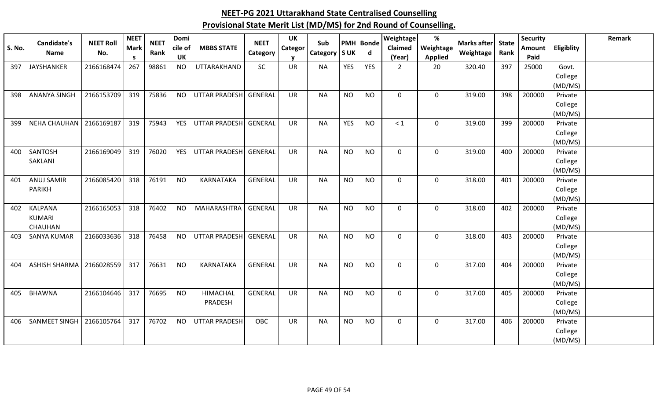| S. No. | Candidate's<br><b>Name</b> | <b>NEET Roll</b><br>No. | <b>NEET</b><br><b>Mark</b> | <b>NEET</b><br>Rank | Domi<br>cile of | <b>MBBS STATE</b>    | <b>NEET</b><br>Category | <b>UK</b><br>Categor | Sub<br>Category | <b>SUK</b> | PMH Bonde<br>$\mathbf d$ | Weightage<br><b>Claimed</b> | $\%$<br>Weightage | <b>Marks after</b><br>Weightage | <b>State</b><br>Rank | Security<br>Amount | Eligiblity         | Remark |
|--------|----------------------------|-------------------------|----------------------------|---------------------|-----------------|----------------------|-------------------------|----------------------|-----------------|------------|--------------------------|-----------------------------|-------------------|---------------------------------|----------------------|--------------------|--------------------|--------|
|        |                            |                         | <b>S</b>                   |                     | UK              |                      |                         |                      |                 |            |                          | (Year)                      | <b>Applied</b>    |                                 |                      | Paid               |                    |        |
| 397    | <b>JAYSHANKER</b>          | 2166168474              | 267                        | 98861               | <b>NO</b>       | UTTARAKHAND          | SC                      | <b>UR</b>            | <b>NA</b>       | <b>YES</b> | <b>YES</b>               | $\overline{2}$              | 20                | 320.40                          | 397                  | 25000              | Govt.              |        |
|        |                            |                         |                            |                     |                 |                      |                         |                      |                 |            |                          |                             |                   |                                 |                      |                    | College            |        |
|        |                            |                         |                            |                     |                 |                      |                         |                      |                 |            |                          |                             |                   |                                 |                      |                    | (MD/MS)            |        |
| 398    | <b>ANANYA SINGH</b>        | 2166153709              | 319                        | 75836               | <b>NO</b>       | <b>UTTAR PRADESH</b> | GENERAL                 | <b>UR</b>            | <b>NA</b>       | <b>NO</b>  | <b>NO</b>                | 0                           | $\mathbf 0$       | 319.00                          | 398                  | 200000             | Private            |        |
|        |                            |                         |                            |                     |                 |                      |                         |                      |                 |            |                          |                             |                   |                                 |                      |                    | College            |        |
|        |                            |                         |                            |                     |                 | <b>UTTAR PRADESH</b> |                         |                      |                 |            |                          |                             |                   |                                 |                      |                    | (MD/MS)            |        |
| 399    | <b>NEHA CHAUHAN</b>        | 2166169187              | 319                        | 75943               | <b>YES</b>      |                      | <b>GENERAL</b>          | <b>UR</b>            | <b>NA</b>       | <b>YES</b> | <b>NO</b>                | $\leq 1$                    | 0                 | 319.00                          | 399                  | 200000             | Private            |        |
|        |                            |                         |                            |                     |                 |                      |                         |                      |                 |            |                          |                             |                   |                                 |                      |                    | College<br>(MD/MS) |        |
| 400    | <b>SANTOSH</b>             | 2166169049              | 319                        | 76020               | YES             | <b>UTTAR PRADESH</b> | GENERAL                 | <b>UR</b>            | <b>NA</b>       | <b>NO</b>  | <b>NO</b>                | 0                           | $\mathbf 0$       | 319.00                          | 400                  | 200000             | Private            |        |
|        | <b>SAKLANI</b>             |                         |                            |                     |                 |                      |                         |                      |                 |            |                          |                             |                   |                                 |                      |                    | College            |        |
|        |                            |                         |                            |                     |                 |                      |                         |                      |                 |            |                          |                             |                   |                                 |                      |                    | (MD/MS)            |        |
| 401    | <b>ANUJ SAMIR</b>          | 2166085420              | 318                        | 76191               | <b>NO</b>       | KARNATAKA            | <b>GENERAL</b>          | UR                   | <b>NA</b>       | <b>NO</b>  | <b>NO</b>                | 0                           | $\mathbf 0$       | 318.00                          | 401                  | 200000             | Private            |        |
|        | <b>PARIKH</b>              |                         |                            |                     |                 |                      |                         |                      |                 |            |                          |                             |                   |                                 |                      |                    | College            |        |
|        |                            |                         |                            |                     |                 |                      |                         |                      |                 |            |                          |                             |                   |                                 |                      |                    | (MD/MS)            |        |
| 402    | <b>KALPANA</b>             | 2166165053              | 318                        | 76402               | <b>NO</b>       | MAHARASHTRA          | <b>GENERAL</b>          | <b>UR</b>            | <b>NA</b>       | <b>NO</b>  | <b>NO</b>                | $\mathbf{0}$                | $\mathbf 0$       | 318.00                          | 402                  | 200000             | Private            |        |
|        | <b>KUMARI</b>              |                         |                            |                     |                 |                      |                         |                      |                 |            |                          |                             |                   |                                 |                      |                    | College            |        |
|        | <b>CHAUHAN</b>             |                         |                            |                     |                 |                      |                         |                      |                 |            |                          |                             |                   |                                 |                      |                    | (MD/MS)            |        |
| 403    | <b>SANYA KUMAR</b>         | 2166033636              | 318                        | 76458               | <b>NO</b>       | <b>UTTAR PRADESH</b> | <b>GENERAL</b>          | <b>UR</b>            | <b>NA</b>       | <b>NO</b>  | <b>NO</b>                | 0                           | 0                 | 318.00                          | 403                  | 200000             | Private            |        |
|        |                            |                         |                            |                     |                 |                      |                         |                      |                 |            |                          |                             |                   |                                 |                      |                    | College            |        |
|        |                            |                         |                            |                     |                 |                      |                         |                      |                 |            |                          |                             |                   |                                 |                      |                    | (MD/MS)            |        |
| 404    | <b>ASHISH SHARMA</b>       | 2166028559              | 317                        | 76631               | <b>NO</b>       | KARNATAKA            | <b>GENERAL</b>          | <b>UR</b>            | <b>NA</b>       | <b>NO</b>  | <b>NO</b>                | 0                           | $\mathbf 0$       | 317.00                          | 404                  | 200000             | Private            |        |
|        |                            |                         |                            |                     |                 |                      |                         |                      |                 |            |                          |                             |                   |                                 |                      |                    | College            |        |
|        |                            |                         |                            |                     |                 |                      |                         |                      |                 |            |                          |                             |                   |                                 |                      |                    | (MD/MS)            |        |
| 405    | <b>BHAWNA</b>              | 2166104646              | 317                        | 76695               | <b>NO</b>       | <b>HIMACHAL</b>      | <b>GENERAL</b>          | UR                   | <b>NA</b>       | <b>NO</b>  | <b>NO</b>                | 0                           | $\mathbf 0$       | 317.00                          | 405                  | 200000             | Private            |        |
|        |                            |                         |                            |                     |                 | PRADESH              |                         |                      |                 |            |                          |                             |                   |                                 |                      |                    | College            |        |
|        |                            |                         |                            |                     |                 |                      |                         |                      |                 |            |                          |                             |                   |                                 |                      |                    | (MD/MS)            |        |
| 406    | <b>SANMEET SINGH</b>       | 2166105764              | 317                        | 76702               | <b>NO</b>       | <b>UTTAR PRADESH</b> | OBC                     | UR                   | <b>NA</b>       | <b>NO</b>  | <b>NO</b>                | 0                           | $\mathbf 0$       | 317.00                          | 406                  | 200000             | Private            |        |
|        |                            |                         |                            |                     |                 |                      |                         |                      |                 |            |                          |                             |                   |                                 |                      |                    | College            |        |
|        |                            |                         |                            |                     |                 |                      |                         |                      |                 |            |                          |                             |                   |                                 |                      |                    | (MD/MS)            |        |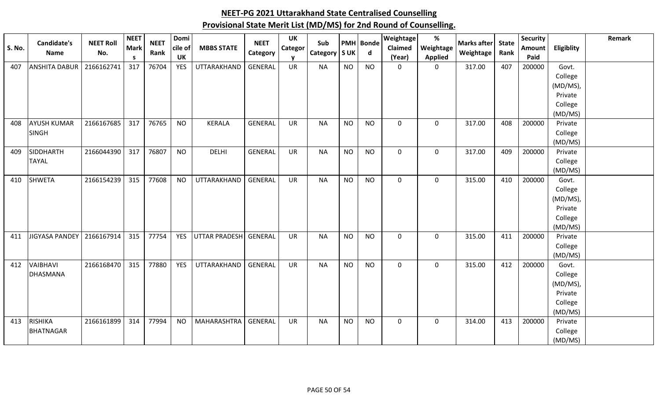| <b>S. No.</b> | Candidate's           | <b>NEET Roll</b> | <b>NEET</b><br>Mark | <b>NEET</b> | Domi<br>cile of | <b>MBBS STATE</b>    | <b>NEET</b>    | UK<br>Categor | Sub       |            | <b>PMH</b> Bonde | Weightage<br>Claimed | $\%$<br>Weightage | Marks after | <b>State</b> | Security<br>Amount | Eligiblity         | Remark |
|---------------|-----------------------|------------------|---------------------|-------------|-----------------|----------------------|----------------|---------------|-----------|------------|------------------|----------------------|-------------------|-------------|--------------|--------------------|--------------------|--------|
|               | <b>Name</b>           | No.              | -S                  | Rank        | UK              |                      | Category       |               | Category  | <b>SUK</b> | $\mathsf{d}$     | (Year)               | <b>Applied</b>    | Weightage   | Rank         | Paid               |                    |        |
| 407           | <b>ANSHITA DABUR</b>  | 2166162741       | 317                 | 76704       | <b>YES</b>      | UTTARAKHAND          | <b>GENERAL</b> | <b>UR</b>     | <b>NA</b> | <b>NO</b>  | <b>NO</b>        | 0                    | 0                 | 317.00      | 407          | 200000             | Govt.              |        |
|               |                       |                  |                     |             |                 |                      |                |               |           |            |                  |                      |                   |             |              |                    | College            |        |
|               |                       |                  |                     |             |                 |                      |                |               |           |            |                  |                      |                   |             |              |                    | (MD/MS),           |        |
|               |                       |                  |                     |             |                 |                      |                |               |           |            |                  |                      |                   |             |              |                    | Private            |        |
|               |                       |                  |                     |             |                 |                      |                |               |           |            |                  |                      |                   |             |              |                    | College            |        |
|               | <b>AYUSH KUMAR</b>    | 2166167685       | 317                 | 76765       | <b>NO</b>       | <b>KERALA</b>        | <b>GENERAL</b> | UR            | <b>NA</b> | <b>NO</b>  | <b>NO</b>        | 0                    | $\mathbf 0$       | 317.00      | 408          | 200000             | (MD/MS)<br>Private |        |
| 408           | <b>SINGH</b>          |                  |                     |             |                 |                      |                |               |           |            |                  |                      |                   |             |              |                    | College            |        |
|               |                       |                  |                     |             |                 |                      |                |               |           |            |                  |                      |                   |             |              |                    | (MD/MS)            |        |
| 409           | <b>SIDDHARTH</b>      | 2166044390       | 317                 | 76807       | <b>NO</b>       | <b>DELHI</b>         | <b>GENERAL</b> | <b>UR</b>     | <b>NA</b> | <b>NO</b>  | <b>NO</b>        | 0                    | $\mathbf 0$       | 317.00      | 409          | 200000             | Private            |        |
|               | <b>TAYAL</b>          |                  |                     |             |                 |                      |                |               |           |            |                  |                      |                   |             |              |                    | College            |        |
|               |                       |                  |                     |             |                 |                      |                |               |           |            |                  |                      |                   |             |              |                    | (MD/MS)            |        |
| 410           | <b>SHWETA</b>         | 2166154239       | 315                 | 77608       | <b>NO</b>       | UTTARAKHAND          | <b>GENERAL</b> | UR            | <b>NA</b> | <b>NO</b>  | <b>NO</b>        | 0                    | 0                 | 315.00      | 410          | 200000             | Govt.              |        |
|               |                       |                  |                     |             |                 |                      |                |               |           |            |                  |                      |                   |             |              |                    | College            |        |
|               |                       |                  |                     |             |                 |                      |                |               |           |            |                  |                      |                   |             |              |                    | (MD/MS),           |        |
|               |                       |                  |                     |             |                 |                      |                |               |           |            |                  |                      |                   |             |              |                    | Private            |        |
|               |                       |                  |                     |             |                 |                      |                |               |           |            |                  |                      |                   |             |              |                    | College            |        |
|               |                       |                  |                     |             |                 |                      |                |               |           |            |                  |                      |                   |             |              |                    | (MD/MS)            |        |
| 411           | <b>JIGYASA PANDEY</b> | 2166167914       | 315                 | 77754       | <b>YES</b>      | <b>UTTAR PRADESH</b> | <b>GENERAL</b> | <b>UR</b>     | <b>NA</b> | <b>NO</b>  | <b>NO</b>        | 0                    | $\mathbf 0$       | 315.00      | 411          | 200000             | Private            |        |
|               |                       |                  |                     |             |                 |                      |                |               |           |            |                  |                      |                   |             |              |                    | College            |        |
| 412           | VAIBHAVI              | 2166168470       | 315                 | 77880       | <b>YES</b>      | UTTARAKHAND          | <b>GENERAL</b> | <b>UR</b>     | <b>NA</b> | <b>NO</b>  | <b>NO</b>        | 0                    | 0                 | 315.00      | 412          | 200000             | (MD/MS)<br>Govt.   |        |
|               | <b>DHASMANA</b>       |                  |                     |             |                 |                      |                |               |           |            |                  |                      |                   |             |              |                    | College            |        |
|               |                       |                  |                     |             |                 |                      |                |               |           |            |                  |                      |                   |             |              |                    | (MD/MS),           |        |
|               |                       |                  |                     |             |                 |                      |                |               |           |            |                  |                      |                   |             |              |                    | Private            |        |
|               |                       |                  |                     |             |                 |                      |                |               |           |            |                  |                      |                   |             |              |                    | College            |        |
|               |                       |                  |                     |             |                 |                      |                |               |           |            |                  |                      |                   |             |              |                    | (MD/MS)            |        |
| 413           | <b>RISHIKA</b>        | 2166161899       | 314                 | 77994       | <b>NO</b>       | MAHARASHTRA          | <b>GENERAL</b> | <b>UR</b>     | <b>NA</b> | <b>NO</b>  | <b>NO</b>        | 0                    | $\mathbf 0$       | 314.00      | 413          | 200000             | Private            |        |
|               | BHATNAGAR             |                  |                     |             |                 |                      |                |               |           |            |                  |                      |                   |             |              |                    | College            |        |
|               |                       |                  |                     |             |                 |                      |                |               |           |            |                  |                      |                   |             |              |                    | (MD/MS)            |        |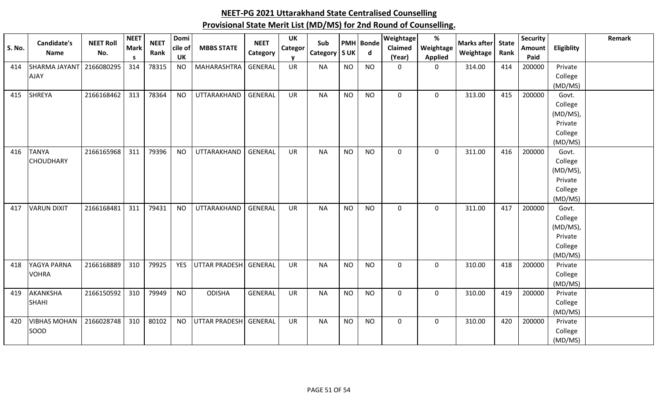| S. No. | Candidate's                | <b>NEET Roll</b> | <b>NEET</b><br><b>Mark</b> | <b>NEET</b> | Domi<br>cile of | <b>MBBS STATE</b>    | <b>NEET</b>    | UK<br>Categor | Sub             |           | <b>PMH</b> Bonde | Weightage<br>Claimed | %<br>Weightage | Marks after | <b>State</b> | <b>Security</b><br>Amount | Eligiblity         | Remark |
|--------|----------------------------|------------------|----------------------------|-------------|-----------------|----------------------|----------------|---------------|-----------------|-----------|------------------|----------------------|----------------|-------------|--------------|---------------------------|--------------------|--------|
|        | Name                       | No.              | -S                         | Rank        | <b>UK</b>       |                      | Category       |               | Category   S UK |           | d                | (Year)               | <b>Applied</b> | Weightage   | Rank         | Paid                      |                    |        |
| 414    | SHARMA JAYANT   2166080295 |                  | 314                        | 78315       | <b>NO</b>       | MAHARASHTRA          | <b>GENERAL</b> | UR            | <b>NA</b>       | <b>NO</b> | <b>NO</b>        | 0                    | 0              | 314.00      | 414          | 200000                    | Private            |        |
|        | <b>AJAY</b>                |                  |                            |             |                 |                      |                |               |                 |           |                  |                      |                |             |              |                           | College            |        |
|        |                            |                  |                            |             |                 |                      |                |               |                 |           |                  |                      |                |             |              |                           | (MD/MS)            |        |
| 415    | <b>SHREYA</b>              | 2166168462       | 313                        | 78364       | <b>NO</b>       | UTTARAKHAND          | <b>GENERAL</b> | <b>UR</b>     | <b>NA</b>       | <b>NO</b> | <b>NO</b>        | $\mathbf 0$          | $\mathbf 0$    | 313.00      | 415          | 200000                    | Govt.              |        |
|        |                            |                  |                            |             |                 |                      |                |               |                 |           |                  |                      |                |             |              |                           | College            |        |
|        |                            |                  |                            |             |                 |                      |                |               |                 |           |                  |                      |                |             |              |                           | (MD/MS),           |        |
|        |                            |                  |                            |             |                 |                      |                |               |                 |           |                  |                      |                |             |              |                           | Private            |        |
|        |                            |                  |                            |             |                 |                      |                |               |                 |           |                  |                      |                |             |              |                           | College            |        |
|        |                            |                  |                            |             |                 |                      |                |               |                 |           |                  |                      |                |             |              |                           | (MD/MS)            |        |
| 416    | <b>TANYA</b>               | 2166165968       | 311                        | 79396       | <b>NO</b>       | UTTARAKHAND          | <b>GENERAL</b> | <b>UR</b>     | <b>NA</b>       | <b>NO</b> | <b>NO</b>        | $\mathbf{0}$         | $\mathbf 0$    | 311.00      | 416          | 200000                    | Govt.              |        |
|        | <b>CHOUDHARY</b>           |                  |                            |             |                 |                      |                |               |                 |           |                  |                      |                |             |              |                           | College            |        |
|        |                            |                  |                            |             |                 |                      |                |               |                 |           |                  |                      |                |             |              |                           | (MD/MS),           |        |
|        |                            |                  |                            |             |                 |                      |                |               |                 |           |                  |                      |                |             |              |                           | Private<br>College |        |
|        |                            |                  |                            |             |                 |                      |                |               |                 |           |                  |                      |                |             |              |                           | (MD/MS)            |        |
| 417    | <b>VARUN DIXIT</b>         | 2166168481       | 311                        | 79431       | <b>NO</b>       | UTTARAKHAND          | GENERAL        | <b>UR</b>     | <b>NA</b>       | <b>NO</b> | <b>NO</b>        | 0                    | $\mathbf 0$    | 311.00      | 417          | 200000                    | Govt.              |        |
|        |                            |                  |                            |             |                 |                      |                |               |                 |           |                  |                      |                |             |              |                           | College            |        |
|        |                            |                  |                            |             |                 |                      |                |               |                 |           |                  |                      |                |             |              |                           | (MD/MS),           |        |
|        |                            |                  |                            |             |                 |                      |                |               |                 |           |                  |                      |                |             |              |                           | Private            |        |
|        |                            |                  |                            |             |                 |                      |                |               |                 |           |                  |                      |                |             |              |                           | College            |        |
|        |                            |                  |                            |             |                 |                      |                |               |                 |           |                  |                      |                |             |              |                           | (MD/MS)            |        |
| 418    | YAGYA PARNA                | 2166168889       | 310                        | 79925       | <b>YES</b>      | <b>UTTAR PRADESH</b> | GENERAL        | <b>UR</b>     | <b>NA</b>       | <b>NO</b> | <b>NO</b>        | $\mathbf 0$          | $\mathbf 0$    | 310.00      | 418          | 200000                    | Private            |        |
|        | <b>VOHRA</b>               |                  |                            |             |                 |                      |                |               |                 |           |                  |                      |                |             |              |                           | College            |        |
|        |                            |                  |                            |             |                 |                      |                |               |                 |           |                  |                      |                |             |              |                           | (MD/MS)            |        |
| 419    | AKANKSHA                   | 2166150592       | 310                        | 79949       | <b>NO</b>       | <b>ODISHA</b>        | <b>GENERAL</b> | <b>UR</b>     | <b>NA</b>       | <b>NO</b> | <b>NO</b>        | $\mathbf 0$          | $\mathbf 0$    | 310.00      | 419          | 200000                    | Private            |        |
|        | <b>SHAHI</b>               |                  |                            |             |                 |                      |                |               |                 |           |                  |                      |                |             |              |                           | College            |        |
|        |                            |                  |                            |             |                 |                      |                |               |                 |           |                  |                      |                |             |              |                           | (MD/MS)            |        |
| 420    | <b>VIBHAS MOHAN</b>        | 2166028748       | 310                        | 80102       | <b>NO</b>       | <b>UTTAR PRADESH</b> | GENERAL        | <b>UR</b>     | <b>NA</b>       | <b>NO</b> | <b>NO</b>        | $\mathbf 0$          | $\mathbf 0$    | 310.00      | 420          | 200000                    | Private            |        |
|        | SOOD                       |                  |                            |             |                 |                      |                |               |                 |           |                  |                      |                |             |              |                           | College            |        |
|        |                            |                  |                            |             |                 |                      |                |               |                 |           |                  |                      |                |             |              |                           | (MD/MS)            |        |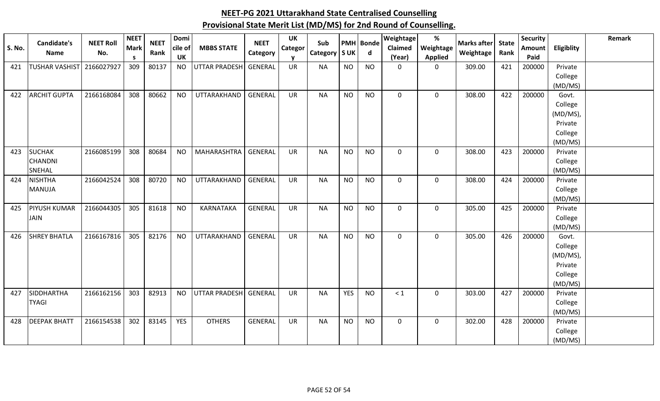| <b>S. No.</b> | Candidate's<br>Name       | <b>NEET Roll</b><br>No. | <b>NEET</b><br><b>Mark</b> | <b>NEET</b><br>Rank | Domi<br>cile of        | <b>MBBS STATE</b>     | <b>NEET</b><br>Category | <b>UK</b><br>Categor | Sub<br>Category | <b>SUK</b> | PMH Bonde<br>$\mathsf{d}$ | Weightage<br>Claimed  | $\%$<br>Weightage             | <b>Marks after</b><br>Weightage | <b>State</b><br>Rank | <b>Security</b><br>Amount | Eligiblity         | Remark |
|---------------|---------------------------|-------------------------|----------------------------|---------------------|------------------------|-----------------------|-------------------------|----------------------|-----------------|------------|---------------------------|-----------------------|-------------------------------|---------------------------------|----------------------|---------------------------|--------------------|--------|
| 421           | TUSHAR VASHIST 2166027927 |                         | <b>S</b><br>309            | 80137               | <b>UK</b><br><b>NO</b> | UTTAR PRADESH         | <b>GENERAL</b>          | v<br><b>UR</b>       | <b>NA</b>       | <b>NO</b>  | <b>NO</b>                 | (Year)<br>$\mathbf 0$ | <b>Applied</b><br>$\mathbf 0$ | 309.00                          | 421                  | Paid<br>200000            | Private            |        |
|               |                           |                         |                            |                     |                        |                       |                         |                      |                 |            |                           |                       |                               |                                 |                      |                           | College            |        |
|               |                           |                         |                            |                     |                        |                       |                         |                      |                 |            |                           |                       |                               |                                 |                      |                           | (MD/MS)            |        |
| 422           | <b>ARCHIT GUPTA</b>       | 2166168084              | 308                        | 80662               | <b>NO</b>              | UTTARAKHAND           | <b>GENERAL</b>          | <b>UR</b>            | <b>NA</b>       | <b>NO</b>  | <b>NO</b>                 | 0                     | $\mathbf 0$                   | 308.00                          | 422                  | 200000                    | Govt.              |        |
|               |                           |                         |                            |                     |                        |                       |                         |                      |                 |            |                           |                       |                               |                                 |                      |                           | College            |        |
|               |                           |                         |                            |                     |                        |                       |                         |                      |                 |            |                           |                       |                               |                                 |                      |                           | (MD/MS),           |        |
|               |                           |                         |                            |                     |                        |                       |                         |                      |                 |            |                           |                       |                               |                                 |                      |                           | Private            |        |
|               |                           |                         |                            |                     |                        |                       |                         |                      |                 |            |                           |                       |                               |                                 |                      |                           | College            |        |
|               |                           |                         |                            |                     |                        |                       |                         |                      |                 |            |                           |                       |                               |                                 |                      |                           | (MD/MS)            |        |
| 423           | <b>SUCHAK</b>             | 2166085199              | 308                        | 80684               | <b>NO</b>              | MAHARASHTRA           | GENERAL                 | <b>UR</b>            | <b>NA</b>       | <b>NO</b>  | <b>NO</b>                 | 0                     | 0                             | 308.00                          | 423                  | 200000                    | Private            |        |
|               | <b>CHANDNI</b>            |                         |                            |                     |                        |                       |                         |                      |                 |            |                           |                       |                               |                                 |                      |                           | College            |        |
|               | SNEHAL<br><b>NISHTHA</b>  |                         | 308                        | 80720               |                        |                       | <b>GENERAL</b>          | <b>UR</b>            |                 | <b>NO</b>  |                           |                       |                               | 308.00                          | 424                  | 200000                    | (MD/MS)            |        |
| 424           | MANUJA                    | 2166042524              |                            |                     | <b>NO</b>              | UTTARAKHAND           |                         |                      | <b>NA</b>       |            | <b>NO</b>                 | 0                     | $\mathbf 0$                   |                                 |                      |                           | Private<br>College |        |
|               |                           |                         |                            |                     |                        |                       |                         |                      |                 |            |                           |                       |                               |                                 |                      |                           | (MD/MS)            |        |
| 425           | <b>PIYUSH KUMAR</b>       | 2166044305              | 305                        | 81618               | <b>NO</b>              | KARNATAKA             | <b>GENERAL</b>          | <b>UR</b>            | <b>NA</b>       | <b>NO</b>  | <b>NO</b>                 | 0                     | $\mathbf 0$                   | 305.00                          | 425                  | 200000                    | Private            |        |
|               | <b>JAIN</b>               |                         |                            |                     |                        |                       |                         |                      |                 |            |                           |                       |                               |                                 |                      |                           | College            |        |
|               |                           |                         |                            |                     |                        |                       |                         |                      |                 |            |                           |                       |                               |                                 |                      |                           | (MD/MS)            |        |
| 426           | <b>SHREY BHATLA</b>       | 2166167816              | 305                        | 82176               | <b>NO</b>              | UTTARAKHAND           | <b>GENERAL</b>          | <b>UR</b>            | <b>NA</b>       | <b>NO</b>  | <b>NO</b>                 | 0                     | $\mathbf 0$                   | 305.00                          | 426                  | 200000                    | Govt.              |        |
|               |                           |                         |                            |                     |                        |                       |                         |                      |                 |            |                           |                       |                               |                                 |                      |                           | College            |        |
|               |                           |                         |                            |                     |                        |                       |                         |                      |                 |            |                           |                       |                               |                                 |                      |                           | (MD/MS),           |        |
|               |                           |                         |                            |                     |                        |                       |                         |                      |                 |            |                           |                       |                               |                                 |                      |                           | Private            |        |
|               |                           |                         |                            |                     |                        |                       |                         |                      |                 |            |                           |                       |                               |                                 |                      |                           | College            |        |
|               |                           |                         |                            |                     |                        |                       |                         |                      |                 |            |                           |                       |                               |                                 |                      |                           | (MD/MS)            |        |
| 427           | SIDDHARTHA                | 2166162156              | 303                        | 82913               | <b>NO</b>              | UTTAR PRADESH GENERAL |                         | <b>UR</b>            | <b>NA</b>       | <b>YES</b> | <b>NO</b>                 | < 1                   | $\mathsf{O}$                  | 303.00                          | 427                  | 200000                    | Private            |        |
|               | <b>TYAGI</b>              |                         |                            |                     |                        |                       |                         |                      |                 |            |                           |                       |                               |                                 |                      |                           | College            |        |
|               | <b>DEEPAK BHATT</b>       | 2166154538              | 302                        | 83145               |                        | <b>OTHERS</b>         | <b>GENERAL</b>          |                      |                 |            |                           |                       |                               |                                 |                      |                           | (MD/MS)            |        |
| 428           |                           |                         |                            |                     | <b>YES</b>             |                       |                         | <b>UR</b>            | <b>NA</b>       | <b>NO</b>  | <b>NO</b>                 | 0                     | $\mathbf 0$                   | 302.00                          | 428                  | 200000                    | Private            |        |
|               |                           |                         |                            |                     |                        |                       |                         |                      |                 |            |                           |                       |                               |                                 |                      |                           | College<br>(MD/MS) |        |
|               |                           |                         |                            |                     |                        |                       |                         |                      |                 |            |                           |                       |                               |                                 |                      |                           |                    |        |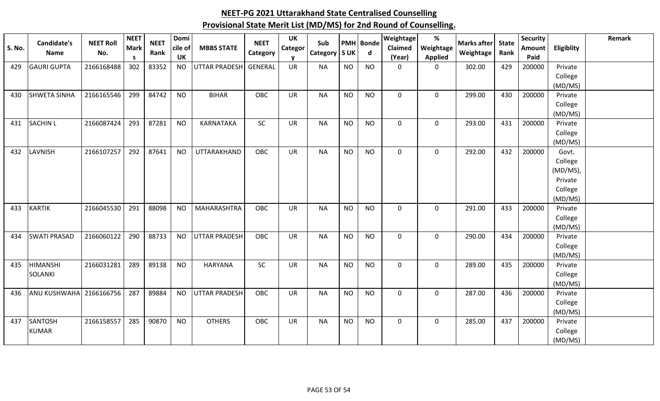| <b>S. No.</b> | Candidate's<br><b>Name</b> | <b>NEET Roll</b><br>No. | <b>NEET</b><br><b>Mark</b><br>S | <b>NEET</b><br>Rank | Domi<br>cile of<br><b>UK</b> | <b>MBBS STATE</b>    | <b>NEET</b><br>Category | <b>UK</b><br>Categor | Sub<br>Category   S UK |           | <b>PMH</b> Bonde<br>$\mathbf d$ | <b>Weightage</b><br>Claimed<br>(Year) | $\%$<br>Weightage<br><b>Applied</b> | <b>Marks after</b><br>Weightage | <b>State</b><br>Rank | <b>Security</b><br>Amount<br>Paid | Eligiblity         | <b>Remark</b> |
|---------------|----------------------------|-------------------------|---------------------------------|---------------------|------------------------------|----------------------|-------------------------|----------------------|------------------------|-----------|---------------------------------|---------------------------------------|-------------------------------------|---------------------------------|----------------------|-----------------------------------|--------------------|---------------|
| 429           | <b>GAURI GUPTA</b>         | 2166168488              | 302                             | 83352               | <b>NO</b>                    | <b>UTTAR PRADESH</b> | <b>GENERAL</b>          | <b>UR</b>            | <b>NA</b>              | <b>NO</b> | <b>NO</b>                       | $\Omega$                              | $\Omega$                            | 302.00                          | 429                  | 200000                            | Private            |               |
|               |                            |                         |                                 |                     |                              |                      |                         |                      |                        |           |                                 |                                       |                                     |                                 |                      |                                   | College            |               |
|               |                            |                         |                                 |                     |                              |                      |                         |                      |                        |           |                                 |                                       |                                     |                                 |                      |                                   | (MD/MS)            |               |
| 430           | <b>SHWETA SINHA</b>        | 2166165546              | 299                             | 84742               | <b>NO</b>                    | <b>BIHAR</b>         | OBC                     | <b>UR</b>            | <b>NA</b>              | <b>NO</b> | <b>NO</b>                       | $\mathbf 0$                           | $\mathbf 0$                         | 299.00                          | 430                  | 200000                            | Private            |               |
|               |                            |                         |                                 |                     |                              |                      |                         |                      |                        |           |                                 |                                       |                                     |                                 |                      |                                   | College            |               |
|               |                            |                         |                                 |                     |                              |                      |                         |                      |                        |           |                                 |                                       |                                     |                                 |                      |                                   | (MD/MS)            |               |
| 431           | <b>SACHIN L</b>            | 2166087424              | 293                             | 87281               | <b>NO</b>                    | KARNATAKA            | <b>SC</b>               | <b>UR</b>            | <b>NA</b>              | <b>NO</b> | <b>NO</b>                       | $\mathbf 0$                           | $\mathbf 0$                         | 293.00                          | 431                  | 200000                            | Private            |               |
|               |                            |                         |                                 |                     |                              |                      |                         |                      |                        |           |                                 |                                       |                                     |                                 |                      |                                   | College            |               |
| 432           | <b>LAVNISH</b>             | 2166107257              | 292                             | 87641               | <b>NO</b>                    | UTTARAKHAND          | OBC                     | <b>UR</b>            | <b>NA</b>              | <b>NO</b> | <b>NO</b>                       | $\mathbf 0$                           | $\mathbf 0$                         | 292.00                          | 432                  | 200000                            | (MD/MS)<br>Govt.   |               |
|               |                            |                         |                                 |                     |                              |                      |                         |                      |                        |           |                                 |                                       |                                     |                                 |                      |                                   | College            |               |
|               |                            |                         |                                 |                     |                              |                      |                         |                      |                        |           |                                 |                                       |                                     |                                 |                      |                                   | (MD/MS),           |               |
|               |                            |                         |                                 |                     |                              |                      |                         |                      |                        |           |                                 |                                       |                                     |                                 |                      |                                   | Private            |               |
|               |                            |                         |                                 |                     |                              |                      |                         |                      |                        |           |                                 |                                       |                                     |                                 |                      |                                   | College            |               |
|               |                            |                         |                                 |                     |                              |                      |                         |                      |                        |           |                                 |                                       |                                     |                                 |                      |                                   | (MD/MS)            |               |
| 433           | <b>KARTIK</b>              | 2166045530              | 291                             | 88098               | <b>NO</b>                    | MAHARASHTRA          | OBC                     | <b>UR</b>            | <b>NA</b>              | <b>NO</b> | <b>NO</b>                       | $\mathbf 0$                           | $\mathbf 0$                         | 291.00                          | 433                  | 200000                            | Private            |               |
|               |                            |                         |                                 |                     |                              |                      |                         |                      |                        |           |                                 |                                       |                                     |                                 |                      |                                   | College            |               |
|               |                            |                         |                                 |                     |                              |                      |                         |                      |                        |           |                                 |                                       |                                     |                                 |                      |                                   | (MD/MS)            |               |
| 434           | <b>SWATI PRASAD</b>        | 2166060122              | 290                             | 88733               | <b>NO</b>                    | <b>UTTAR PRADESH</b> | OBC                     | <b>UR</b>            | <b>NA</b>              | <b>NO</b> | <b>NO</b>                       | $\mathbf 0$                           | $\mathbf 0$                         | 290.00                          | 434                  | 200000                            | Private            |               |
|               |                            |                         |                                 |                     |                              |                      |                         |                      |                        |           |                                 |                                       |                                     |                                 |                      |                                   | College            |               |
| 435           | <b>HIMANSHI</b>            | 2166031281              | 289                             | 89138               | <b>NO</b>                    | <b>HARYANA</b>       | SC                      | <b>UR</b>            | <b>NA</b>              | <b>NO</b> | <b>NO</b>                       | $\mathbf 0$                           | $\mathbf 0$                         | 289.00                          | 435                  | 200000                            | (MD/MS)<br>Private |               |
|               | <b>SOLANKI</b>             |                         |                                 |                     |                              |                      |                         |                      |                        |           |                                 |                                       |                                     |                                 |                      |                                   | College            |               |
|               |                            |                         |                                 |                     |                              |                      |                         |                      |                        |           |                                 |                                       |                                     |                                 |                      |                                   | (MD/MS)            |               |
| 436           | <b>ANU KUSHWAHA</b>        | 2166166756              | 287                             | 89884               | <b>NO</b>                    | <b>UTTAR PRADESH</b> | OBC                     | <b>UR</b>            | <b>NA</b>              | <b>NO</b> | <b>NO</b>                       | $\mathbf 0$                           | $\mathbf 0$                         | 287.00                          | 436                  | 200000                            | Private            |               |
|               |                            |                         |                                 |                     |                              |                      |                         |                      |                        |           |                                 |                                       |                                     |                                 |                      |                                   | College            |               |
|               |                            |                         |                                 |                     |                              |                      |                         |                      |                        |           |                                 |                                       |                                     |                                 |                      |                                   | (MD/MS)            |               |
| 437           | <b>SANTOSH</b>             | 2166158557              | 285                             | 90870               | <b>NO</b>                    | <b>OTHERS</b>        | OBC                     | <b>UR</b>            | <b>NA</b>              | <b>NO</b> | <b>NO</b>                       | $\mathbf 0$                           | $\mathbf 0$                         | 285.00                          | 437                  | 200000                            | Private            |               |
|               | <b>KUMAR</b>               |                         |                                 |                     |                              |                      |                         |                      |                        |           |                                 |                                       |                                     |                                 |                      |                                   | College            |               |
|               |                            |                         |                                 |                     |                              |                      |                         |                      |                        |           |                                 |                                       |                                     |                                 |                      |                                   | (MD/MS)            |               |